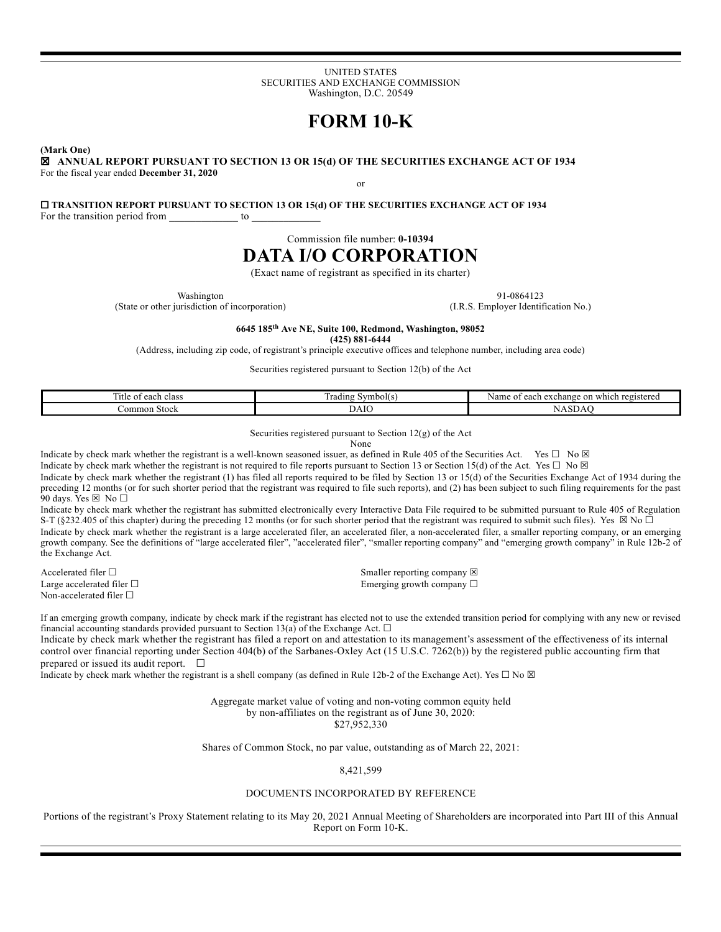#### UNITED STATES SECURITIES AND EXCHANGE COMMISSION Washington, D.C. 20549

# **FORM 10-K**

**(Mark One)**

☒ **ANNUAL REPORT PURSUANT TO SECTION 13 OR 15(d) OF THE SECURITIES EXCHANGE ACT OF 1934** For the fiscal year ended **December 31, 2020**

☐ **TRANSITION REPORT PURSUANT TO SECTION 13 OR 15(d) OF THE SECURITIES EXCHANGE ACT OF 1934** For the transition period from  $\frac{1}{\sqrt{2\pi}}$  to  $\frac{1}{\sqrt{2\pi}}$ 

Commission file number: **0-10394**

or

## **DATA I/O CORPORATION**

(Exact name of registrant as specified in its charter)

(State or other jurisdiction of incorporation) (I.R.S. Employer Identification No.)

Washington 91-0864123

**6645 185 th Ave NE, Suite 100, Redmond, Washington, 98052**

**(425) 881-6444**

(Address, including zip code, of registrant's principle executive offices and telephone number, including area code)

Securities registered pursuant to Section 12(b) of the Act

| $\overline{\phantom{a}}$<br>class<br>each<br>⊥itle of | <b>CONTRACTOR</b><br>: Symbol(s<br>rading | registered<br>Name<br>. exchange<br><sub>on</sub><br>each<br>An which i.e. |
|-------------------------------------------------------|-------------------------------------------|----------------------------------------------------------------------------|
| ∠ommon                                                | -                                         | N                                                                          |
| ∟Stock                                                | DAIC                                      | - 31.                                                                      |

Securities registered pursuant to Section 12(g) of the Act

None

Indicate by check mark whether the registrant is a well-known seasoned issuer, as defined in Rule 405 of the Securities Act. Yes  $\Box$  No  $\boxtimes$ Indicate by check mark whether the registrant is not required to file reports pursuant to Section 13 or Section 15(d) of the Act. Yes  $\Box$  No  $\boxtimes$ Indicate by check mark whether the registrant (1) has filed all reports required to be filed by Section 13 or 15(d) of the Securities Exchange Act of 1934 during the preceding 12 months (or for such shorter period that the registrant was required to file such reports), and (2) has been subject to such filing requirements for the past 90 days. Yes  $\boxtimes$  No  $\square$ 

Indicate by check mark whether the registrant has submitted electronically every Interactive Data File required to be submitted pursuant to Rule 405 of Regulation S-T (§232.405 of this chapter) during the preceding 12 months (or for such shorter period that the registrant was required to submit such files). Yes  $\boxtimes$  No  $\Box$ Indicate by check mark whether the registrant is a large accelerated filer, an accelerated filer, a non-accelerated filer, a smaller reporting company, or an emerging growth company. See the definitions of "large accelerated filer", "accelerated filer", "smaller reporting company" and "emerging growth company" in Rule 12b-2 of the Exchange Act.

Accelerated filer □ state of the state of the state of the Smaller reporting company ⊠ Non-accelerated filer □

Large accelerated filer □ example of the set of the set of the set of the set of the set of the set of the set of the set of the set of the set of the set of the set of the set of the set of the set of the set of the set

If an emerging growth company, indicate by check mark if the registrant has elected not to use the extended transition period for complying with any new or revised financial accounting standards provided pursuant to Section 13(a) of the Exchange Act.  $\Box$ 

Indicate by check mark whether the registrant has filed a report on and attestation to its management's assessment of the effectiveness of its internal control over financial reporting under Section 404(b) of the Sarbanes-Oxley Act (15 U.S.C. 7262(b)) by the registered public accounting firm that prepared or issued its audit report.  $\Box$ 

Indicate by check mark whether the registrant is a shell company (as defined in Rule 12b-2 of the Exchange Act). Yes  $\Box$  No  $\boxtimes$ 

Aggregate market value of voting and non-voting common equity held by non-affiliates on the registrant as of June 30, 2020: \$27,952,330

Shares of Common Stock, no par value, outstanding as of March 22, 2021:

8,421,599

#### DOCUMENTS INCORPORATED BY REFERENCE

Portions of the registrant's Proxy Statement relating to its May 20, 2021 Annual Meeting of Shareholders are incorporated into Part III of this Annual Report on Form 10-K.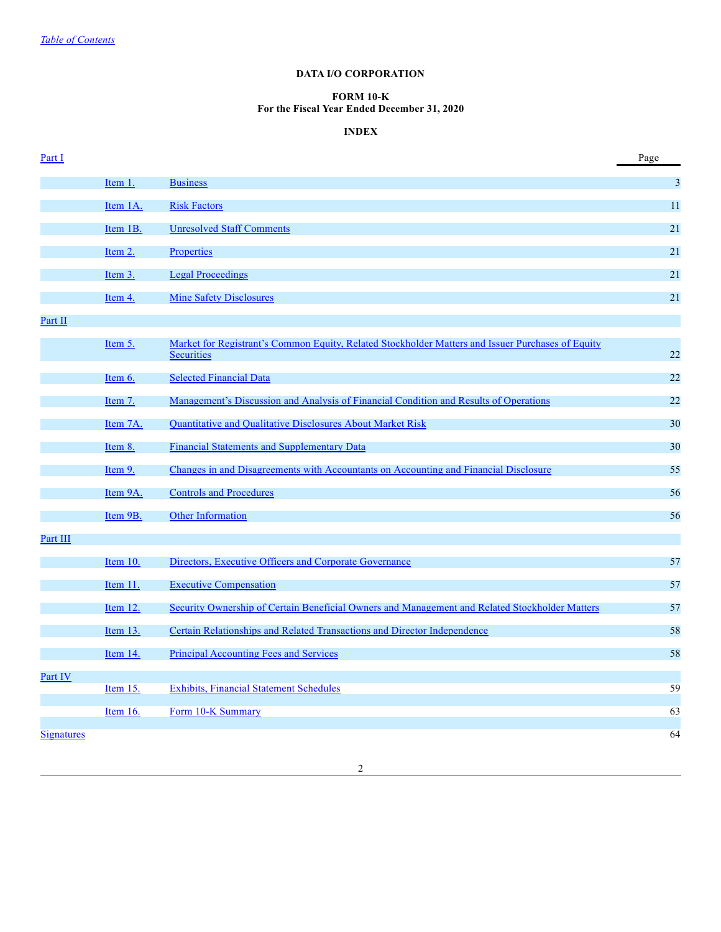## **DATA I/O CORPORATION**

## **FORM 10-K For the Fiscal Year Ended December 31, 2020**

## <span id="page-1-0"></span>**INDEX**

| Part I            |             |                                                                                                                        | Page                    |
|-------------------|-------------|------------------------------------------------------------------------------------------------------------------------|-------------------------|
|                   | Item 1.     | <b>Business</b>                                                                                                        | $\overline{\mathbf{3}}$ |
|                   | Item 1A.    | <b>Risk Factors</b>                                                                                                    | 11                      |
|                   | Item 1B.    | <b>Unresolved Staff Comments</b>                                                                                       | 21                      |
|                   | Item 2.     | Properties                                                                                                             | 21                      |
|                   | Item 3.     | <b>Legal Proceedings</b>                                                                                               | 21                      |
|                   | Item 4.     | <b>Mine Safety Disclosures</b>                                                                                         | 21                      |
| Part II           |             |                                                                                                                        |                         |
|                   | Item 5.     | Market for Registrant's Common Equity, Related Stockholder Matters and Issuer Purchases of Equity<br><b>Securities</b> | 22                      |
|                   | Item 6.     | <b>Selected Financial Data</b>                                                                                         | 22                      |
|                   | Item 7.     | Management's Discussion and Analysis of Financial Condition and Results of Operations                                  | 22                      |
|                   | Item 7A.    | <b>Quantitative and Qualitative Disclosures About Market Risk</b>                                                      | 30                      |
|                   | Item 8.     | <b>Financial Statements and Supplementary Data</b>                                                                     | 30                      |
|                   | Item 9.     | Changes in and Disagreements with Accountants on Accounting and Financial Disclosure                                   | 55                      |
|                   | Item 9A.    | <b>Controls and Procedures</b>                                                                                         | 56                      |
|                   | Item 9B.    | Other Information                                                                                                      | 56                      |
| Part III          |             |                                                                                                                        |                         |
|                   | Item 10.    | Directors, Executive Officers and Corporate Governance                                                                 | 57                      |
|                   | Item 11.    | <b>Executive Compensation</b>                                                                                          | 57                      |
|                   | Item 12.    | Security Ownership of Certain Beneficial Owners and Management and Related Stockholder Matters                         | 57                      |
|                   | Item 13.    | Certain Relationships and Related Transactions and Director Independence                                               | 58                      |
|                   | Item $14$ . | <b>Principal Accounting Fees and Services</b>                                                                          | 58                      |
| Part IV           | Item 15.    | <b>Exhibits, Financial Statement Schedules</b>                                                                         | 59                      |
|                   | Item 16.    | Form 10-K Summary                                                                                                      | 63                      |
| <b>Signatures</b> |             |                                                                                                                        | 64                      |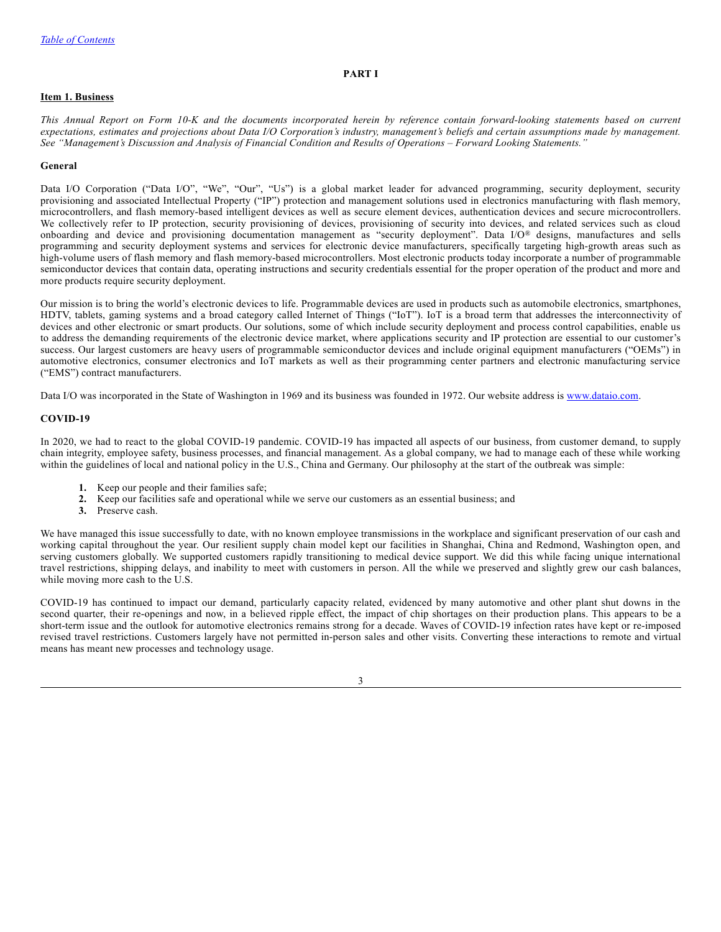## <span id="page-2-0"></span>**PART I**

## <span id="page-2-1"></span>**Item 1. Business**

This Annual Report on Form 10-K and the documents incorporated herein by reference contain forward-looking statements based on current expectations, estimates and projections about Data I/O Corporation's industry, management's beliefs and certain assumptions made by management. See "Management's Discussion and Analysis of Financial Condition and Results of Operations – Forward Looking Statements.'

#### **General**

Data I/O Corporation ("Data I/O", "We", "Our", "Us") is a global market leader for advanced programming, security deployment, security provisioning and associated Intellectual Property ("IP") protection and management solutions used in electronics manufacturing with flash memory, microcontrollers, and flash memory-based intelligent devices as well as secure element devices, authentication devices and secure microcontrollers. We collectively refer to IP protection, security provisioning of devices, provisioning of security into devices, and related services such as cloud onboarding and device and provisioning documentation management as "security deployment". Data I/O*®* designs, manufactures and sells programming and security deployment systems and services for electronic device manufacturers, specifically targeting high-growth areas such as high-volume users of flash memory and flash memory-based microcontrollers. Most electronic products today incorporate a number of programmable semiconductor devices that contain data, operating instructions and security credentials essential for the proper operation of the product and more and more products require security deployment.

Our mission is to bring the world's electronic devices to life. Programmable devices are used in products such as automobile electronics, smartphones, HDTV, tablets, gaming systems and a broad category called Internet of Things ("IoT"). IoT is a broad term that addresses the interconnectivity of devices and other electronic or smart products. Our solutions, some of which include security deployment and process control capabilities, enable us to address the demanding requirements of the electronic device market, where applications security and IP protection are essential to our customer's success. Our largest customers are heavy users of programmable semiconductor devices and include original equipment manufacturers ("OEMs") in automotive electronics, consumer electronics and IoT markets as well as their programming center partners and electronic manufacturing service ("EMS") contract manufacturers.

Data I/O was incorporated in the State of Washington in 1969 and its business was founded in 1972. Our website address is www.dataio.com.

#### **COVID-19**

In 2020, we had to react to the global COVID-19 pandemic. COVID-19 has impacted all aspects of our business, from customer demand, to supply chain integrity, employee safety, business processes, and financial management. As a global company, we had to manage each of these while working within the guidelines of local and national policy in the U.S., China and Germany. Our philosophy at the start of the outbreak was simple:

- **1.** Keep our people and their families safe;
- **2.** Keep our facilities safe and operational while we serve our customers as an essential business; and
- **3.** Preserve cash.

We have managed this issue successfully to date, with no known employee transmissions in the workplace and significant preservation of our cash and working capital throughout the year. Our resilient supply chain model kept our facilities in Shanghai, China and Redmond, Washington open, and serving customers globally. We supported customers rapidly transitioning to medical device support. We did this while facing unique international travel restrictions, shipping delays, and inability to meet with customers in person. All the while we preserved and slightly grew our cash balances, while moving more cash to the U.S.

COVID-19 has continued to impact our demand, particularly capacity related, evidenced by many automotive and other plant shut downs in the second quarter, their re-openings and now, in a believed ripple effect, the impact of chip shortages on their production plans. This appears to be a short-term issue and the outlook for automotive electronics remains strong for a decade. Waves of COVID-19 infection rates have kept or re-imposed revised travel restrictions. Customers largely have not permitted in-person sales and other visits. Converting these interactions to remote and virtual means has meant new processes and technology usage.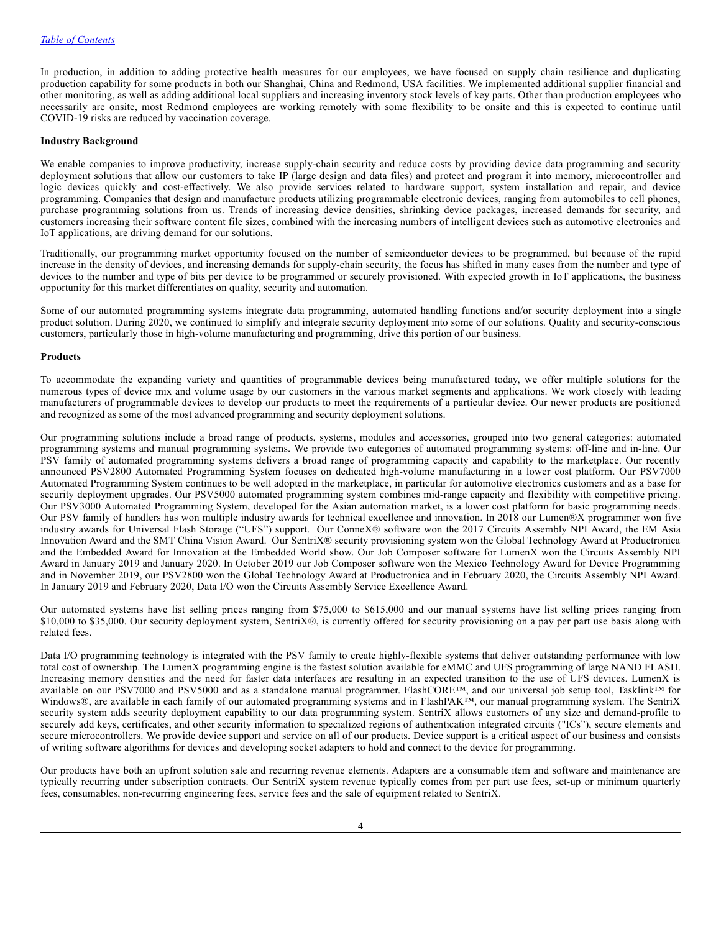In production, in addition to adding protective health measures for our employees, we have focused on supply chain resilience and duplicating production capability for some products in both our Shanghai, China and Redmond, USA facilities. We implemented additional supplier financial and other monitoring, as well as adding additional local suppliers and increasing inventory stock levels of key parts. Other than production employees who necessarily are onsite, most Redmond employees are working remotely with some flexibility to be onsite and this is expected to continue until COVID-19 risks are reduced by vaccination coverage.

#### **Industry Background**

We enable companies to improve productivity, increase supply-chain security and reduce costs by providing device data programming and security deployment solutions that allow our customers to take IP (large design and data files) and protect and program it into memory, microcontroller and logic devices quickly and cost-effectively. We also provide services related to hardware support, system installation and repair, and device programming. Companies that design and manufacture products utilizing programmable electronic devices, ranging from automobiles to cell phones, purchase programming solutions from us. Trends of increasing device densities, shrinking device packages, increased demands for security, and customers increasing their software content file sizes, combined with the increasing numbers of intelligent devices such as automotive electronics and IoT applications, are driving demand for our solutions.

Traditionally, our programming market opportunity focused on the number of semiconductor devices to be programmed, but because of the rapid increase in the density of devices, and increasing demands for supply-chain security, the focus has shifted in many cases from the number and type of devices to the number and type of bits per device to be programmed or securely provisioned. With expected growth in IoT applications, the business opportunity for this market differentiates on quality, security and automation.

Some of our automated programming systems integrate data programming, automated handling functions and/or security deployment into a single product solution. During 2020, we continued to simplify and integrate security deployment into some of our solutions. Quality and security-conscious customers, particularly those in high-volume manufacturing and programming, drive this portion of our business.

#### **Products**

To accommodate the expanding variety and quantities of programmable devices being manufactured today, we offer multiple solutions for the numerous types of device mix and volume usage by our customers in the various market segments and applications. We work closely with leading manufacturers of programmable devices to develop our products to meet the requirements of a particular device. Our newer products are positioned and recognized as some of the most advanced programming and security deployment solutions.

Our programming solutions include a broad range of products, systems, modules and accessories, grouped into two general categories: automated programming systems and manual programming systems. We provide two categories of automated programming systems: off-line and in-line. Our PSV family of automated programming systems delivers a broad range of programming capacity and capability to the marketplace. Our recently announced PSV2800 Automated Programming System focuses on dedicated high-volume manufacturing in a lower cost platform. Our PSV7000 Automated Programming System continues to be well adopted in the marketplace, in particular for automotive electronics customers and as a base for security deployment upgrades. Our PSV5000 automated programming system combines mid-range capacity and flexibility with competitive pricing. Our PSV3000 Automated Programming System, developed for the Asian automation market, is a lower cost platform for basic programming needs. Our PSV family of handlers has won multiple industry awards for technical excellence and innovation. In 2018 our Lumen®X programmer won five industry awards for Universal Flash Storage ("UFS") support. Our ConneX® software won the 2017 Circuits Assembly NPI Award, the EM Asia Innovation Award and the SMT China Vision Award. Our SentriX® security provisioning system won the Global Technology Award at Productronica and the Embedded Award for Innovation at the Embedded World show. Our Job Composer software for LumenX won the Circuits Assembly NPI Award in January 2019 and January 2020. In October 2019 our Job Composer software won the Mexico Technology Award for Device Programming and in November 2019, our PSV2800 won the Global Technology Award at Productronica and in February 2020, the Circuits Assembly NPI Award. In January 2019 and February 2020, Data I/O won the Circuits Assembly Service Excellence Award.

Our automated systems have list selling prices ranging from \$75,000 to \$615,000 and our manual systems have list selling prices ranging from \$10,000 to \$35,000. Our security deployment system, SentriX®, is currently offered for security provisioning on a pay per part use basis along with related fees.

Data I/O programming technology is integrated with the PSV family to create highly-flexible systems that deliver outstanding performance with low total cost of ownership. The LumenX programming engine is the fastest solution available for eMMC and UFS programming of large NAND FLASH. Increasing memory densities and the need for faster data interfaces are resulting in an expected transition to the use of UFS devices. LumenX is available on our PSV7000 and PSV5000 and as a standalone manual programmer. FlashCORE™, and our universal job setup tool, Tasklink™ for Windows®, are available in each family of our automated programming systems and in FlashPAK™, our manual programming system. The SentriX security system adds security deployment capability to our data programming system. SentriX allows customers of any size and demand-profile to securely add keys, certificates, and other security information to specialized regions of authentication integrated circuits ("ICs"), secure elements and secure microcontrollers. We provide device support and service on all of our products. Device support is a critical aspect of our business and consists of writing software algorithms for devices and developing socket adapters to hold and connect to the device for programming.

Our products have both an upfront solution sale and recurring revenue elements. Adapters are a consumable item and software and maintenance are typically recurring under subscription contracts. Our SentriX system revenue typically comes from per part use fees, set-up or minimum quarterly fees, consumables, non-recurring engineering fees, service fees and the sale of equipment related to SentriX.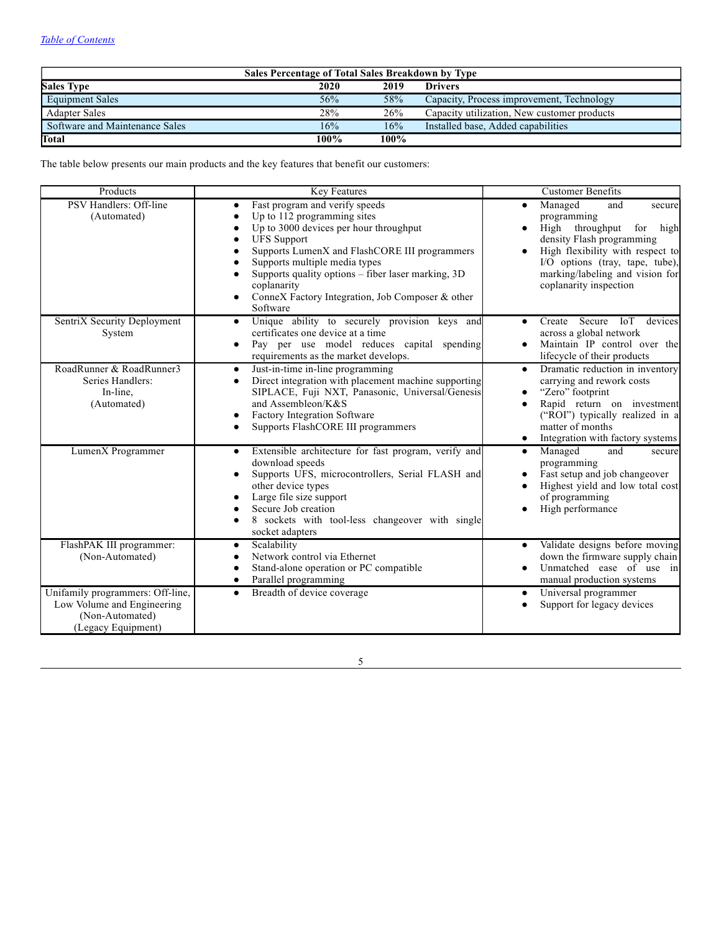|  | <b>Table of Contents</b> |
|--|--------------------------|
|  |                          |

| Sales Percentage of Total Sales Breakdown by Type |      |      |                                             |  |  |  |
|---------------------------------------------------|------|------|---------------------------------------------|--|--|--|
| <b>Sales Type</b>                                 | 2020 | 2019 | <b>Drivers</b>                              |  |  |  |
| <b>Equipment Sales</b>                            | 56%  | 58%  | Capacity, Process improvement, Technology   |  |  |  |
| <b>Adapter Sales</b>                              | 28%  | 26%  | Capacity utilization, New customer products |  |  |  |
| Software and Maintenance Sales                    | 16%  | 16%  | Installed base, Added capabilities          |  |  |  |
| Total                                             | 100% | 100% |                                             |  |  |  |

The table below presents our main products and the key features that benefit our customers:

| Products                                                                                                | <b>Key Features</b>                                                                                                                                                                                                                                                                                                                                                                                      | <b>Customer Benefits</b>                                                                                                                                                                                                                             |
|---------------------------------------------------------------------------------------------------------|----------------------------------------------------------------------------------------------------------------------------------------------------------------------------------------------------------------------------------------------------------------------------------------------------------------------------------------------------------------------------------------------------------|------------------------------------------------------------------------------------------------------------------------------------------------------------------------------------------------------------------------------------------------------|
| PSV Handlers: Off-line<br>(Automated)                                                                   | Fast program and verify speeds<br>$\bullet$<br>Up to 112 programming sites<br>Up to 3000 devices per hour throughput<br>$\bullet$<br><b>UFS</b> Support<br>$\bullet$<br>Supports LumenX and FlashCORE III programmers<br>Supports multiple media types<br>Supports quality options – fiber laser marking, 3D<br>coplanarity<br>ConneX Factory Integration, Job Composer & other<br>$\bullet$<br>Software | Managed<br>and<br>secure<br>$\bullet$<br>programming<br>High throughput<br>for high<br>density Flash programming<br>High flexibility with respect to<br>I/O options (tray, tape, tube),<br>marking/labeling and vision for<br>coplanarity inspection |
| SentriX Security Deployment<br>System                                                                   | Unique ability to securely provision keys and<br>$\bullet$<br>certificates one device at a time<br>Pay per use model reduces capital spending<br>requirements as the market develops.                                                                                                                                                                                                                    | Secure IoT<br>devices<br>Create<br>$\bullet$<br>across a global network<br>Maintain IP control over the<br>lifecycle of their products                                                                                                               |
| RoadRunner & RoadRunner3<br>Series Handlers:<br>In-line,<br>(Automated)                                 | Just-in-time in-line programming<br>$\bullet$<br>Direct integration with placement machine supporting<br>$\bullet$<br>SIPLACE, Fuji NXT, Panasonic, Universal/Genesis<br>and Assembleon/K&S<br><b>Factory Integration Software</b><br>$\bullet$<br>Supports FlashCORE III programmers                                                                                                                    | Dramatic reduction in inventory<br>$\bullet$<br>carrying and rework costs<br>"Zero" footprint<br>Rapid return on investment<br>("ROI") typically realized in a<br>matter of months<br>Integration with factory systems<br>$\bullet$                  |
| LumenX Programmer                                                                                       | Extensible architecture for fast program, verify and<br>$\bullet$<br>download speeds<br>Supports UFS, microcontrollers, Serial FLASH and<br>$\bullet$<br>other device types<br>Large file size support<br>Secure Job creation<br>8 sockets with tool-less changeover with single<br>socket adapters                                                                                                      | Managed<br>and<br>$\bullet$<br>secure<br>programming<br>Fast setup and job changeover<br>$\bullet$<br>Highest yield and low total cost<br>$\bullet$<br>of programming<br>High performance                                                            |
| FlashPAK III programmer:<br>(Non-Automated)                                                             | Scalability<br>$\bullet$<br>Network control via Ethernet<br>Stand-alone operation or PC compatible<br>$\bullet$<br>Parallel programming<br>$\bullet$                                                                                                                                                                                                                                                     | Validate designs before moving<br>$\bullet$<br>down the firmware supply chain<br>Unmatched ease of use in<br>manual production systems                                                                                                               |
| Unifamily programmers: Off-line,<br>Low Volume and Engineering<br>(Non-Automated)<br>(Legacy Equipment) | Breadth of device coverage<br>$\bullet$                                                                                                                                                                                                                                                                                                                                                                  | Universal programmer<br>٠<br>Support for legacy devices<br>$\bullet$                                                                                                                                                                                 |

5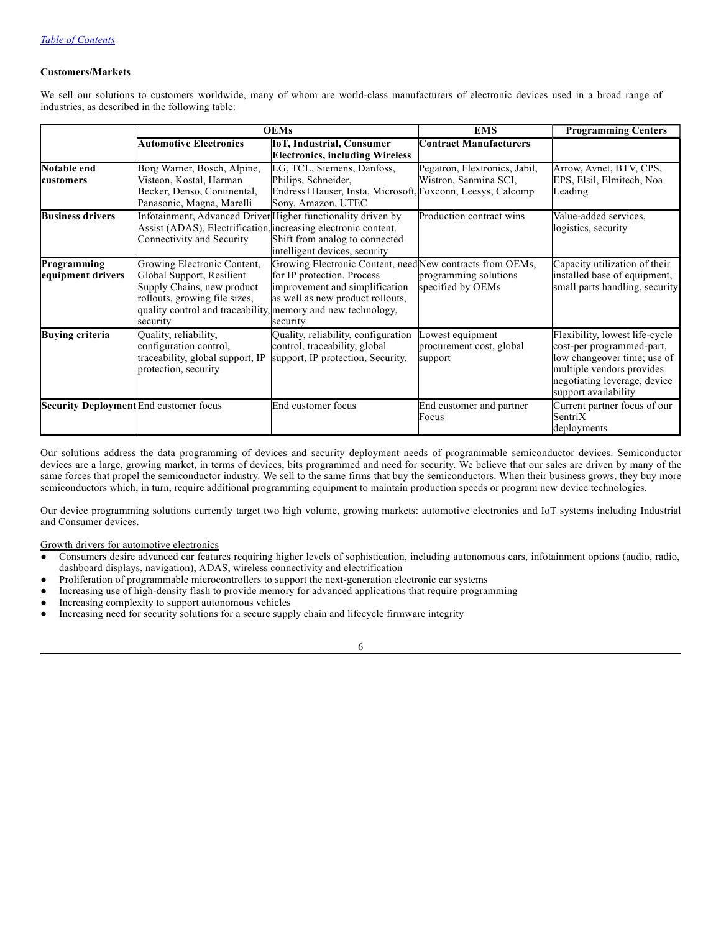## **Customers/Markets**

We sell our solutions to customers worldwide, many of whom are world-class manufacturers of electronic devices used in a broad range of industries, as described in the following table:

|                                               |                                                                                                                                                                                                     | <b>OEMs</b>                                                                                                                                                              | <b>EMS</b>                                              | <b>Programming Centers</b>                                                                                                                                                      |
|-----------------------------------------------|-----------------------------------------------------------------------------------------------------------------------------------------------------------------------------------------------------|--------------------------------------------------------------------------------------------------------------------------------------------------------------------------|---------------------------------------------------------|---------------------------------------------------------------------------------------------------------------------------------------------------------------------------------|
|                                               | <b>Automotive Electronics</b>                                                                                                                                                                       | <b>IoT, Industrial, Consumer</b><br><b>Electronics, including Wireless</b>                                                                                               | <b>Contract Manufacturers</b>                           |                                                                                                                                                                                 |
| Notable end<br>customers                      | Borg Warner, Bosch, Alpine,<br>Visteon, Kostal, Harman<br>Becker, Denso, Continental,<br>Panasonic, Magna, Marelli                                                                                  | LG, TCL, Siemens, Danfoss,<br>Philips, Schneider,<br>Endress+Hauser, Insta, Microsoft, Foxconn, Leesys, Calcomp<br>Sony, Amazon, UTEC                                    | Pegatron, Flextronics, Jabil,<br>Wistron, Sanmina SCI,  | Arrow, Avnet, BTV, CPS,<br>EPS, Elsil, Elmitech, Noa<br>Leading                                                                                                                 |
| <b>Business drivers</b>                       | Assist (ADAS), Electrification, increasing electronic content.<br>Connectivity and Security                                                                                                         | Infotainment, Advanced DriverHigher functionality driven by<br>Shift from analog to connected<br>intelligent devices, security                                           | Production contract wins                                | Value-added services,<br>logistics, security                                                                                                                                    |
| Programming<br>equipment drivers              | Growing Electronic Content,<br>Global Support, Resilient<br>Supply Chains, new product<br>rollouts, growing file sizes,<br>quality control and traceability, memory and new technology,<br>security | Growing Electronic Content, needNew contracts from OEMs,<br>for IP protection. Process<br>improvement and simplification<br>as well as new product rollouts,<br>security | programming solutions<br>specified by OEMs              | Capacity utilization of their<br>installed base of equipment,<br>small parts handling, security                                                                                 |
| <b>Buying criteria</b>                        | Quality, reliability,<br>configuration control,<br>traceability, global support, IP<br>protection, security                                                                                         | Quality, reliability, configuration<br>control, traceability, global<br>support, IP protection, Security.                                                                | Lowest equipment<br>procurement cost, global<br>support | Flexibility, lowest life-cycle<br>cost-per programmed-part,<br>low changeover time; use of<br>multiple vendors provides<br>negotiating leverage, device<br>support availability |
| <b>Security Deployment</b> End customer focus |                                                                                                                                                                                                     | End customer focus                                                                                                                                                       | End customer and partner<br>Focus                       | Current partner focus of our<br>SentriX<br>deployments                                                                                                                          |

Our solutions address the data programming of devices and security deployment needs of programmable semiconductor devices. Semiconductor devices are a large, growing market, in terms of devices, bits programmed and need for security. We believe that our sales are driven by many of the same forces that propel the semiconductor industry. We sell to the same firms that buy the semiconductors. When their business grows, they buy more semiconductors which, in turn, require additional programming equipment to maintain production speeds or program new device technologies.

Our device programming solutions currently target two high volume, growing markets: automotive electronics and IoT systems including Industrial and Consumer devices.

Growth drivers for automotive electronics

- Consumers desire advanced car features requiring higher levels of sophistication, including autonomous cars, infotainment options (audio, radio, dashboard displays, navigation), ADAS, wireless connectivity and electrification
- Proliferation of programmable microcontrollers to support the next-generation electronic car systems
- Increasing use of high-density flash to provide memory for advanced applications that require programming
- Increasing complexity to support autonomous vehicles
- Increasing need for security solutions for a secure supply chain and lifecycle firmware integrity

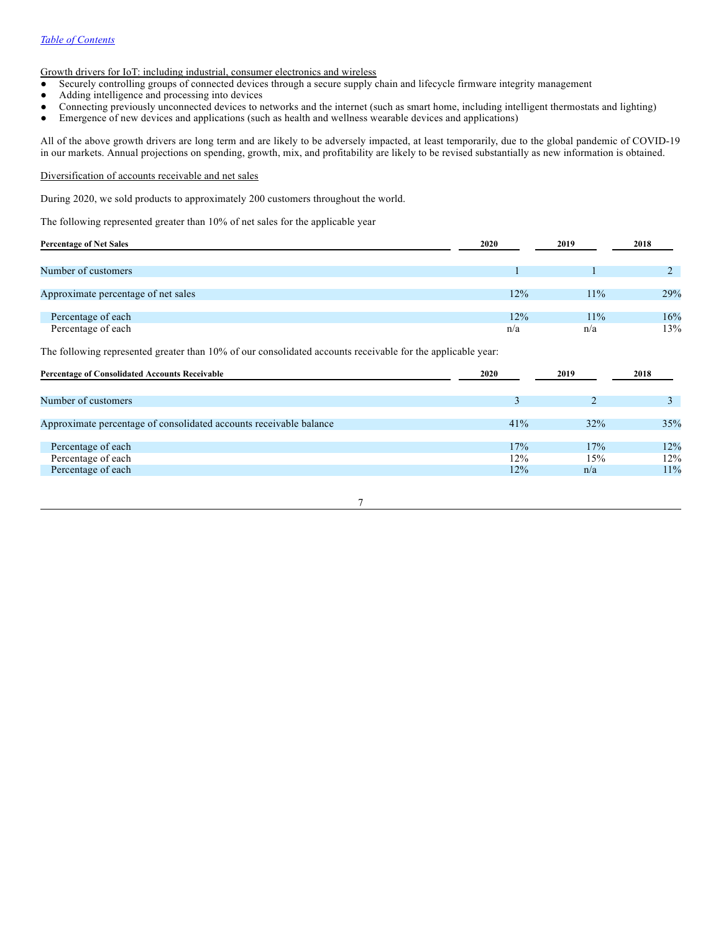## Growth drivers for IoT: including industrial, consumer electronics and wireless

- Securely controlling groups of connected devices through a secure supply chain and lifecycle firmware integrity management
- Adding intelligence and processing into devices
- Connecting previously unconnected devices to networks and the internet (such as smart home, including intelligent thermostats and lighting)
- Emergence of new devices and applications (such as health and wellness wearable devices and applications)

All of the above growth drivers are long term and are likely to be adversely impacted, at least temporarily, due to the global pandemic of COVID-19 in our markets. Annual projections on spending, growth, mix, and profitability are likely to be revised substantially as new information is obtained.

## Diversification of accounts receivable and net sales

During 2020, we sold products to approximately 200 customers throughout the world.

The following represented greater than 10% of net sales for the applicable year

| <b>Percentage of Net Sales</b>      | 2020 | 2019 | 2018 |
|-------------------------------------|------|------|------|
|                                     |      |      |      |
| Number of customers                 |      |      |      |
|                                     |      |      |      |
| Approximate percentage of net sales | 12%  | 11%  | 29%  |
|                                     |      |      |      |
| Percentage of each                  | 12%  | 11%  | 16%  |
| Percentage of each                  | n/a  | n/a  | 13%  |

The following represented greater than 10% of our consolidated accounts receivable for the applicable year:

| <b>Percentage of Consolidated Accounts Receivable</b>              | 2020 | 2019 | 2018 |
|--------------------------------------------------------------------|------|------|------|
| Number of customers                                                |      |      |      |
|                                                                    |      |      |      |
| Approximate percentage of consolidated accounts receivable balance | 41%  | 32%  | 35%  |
| Percentage of each                                                 | 17%  | 17%  | 12%  |
| Percentage of each                                                 | 12%  | 15%  | 12%  |
| Percentage of each                                                 | 12%  | n/a  | 11%  |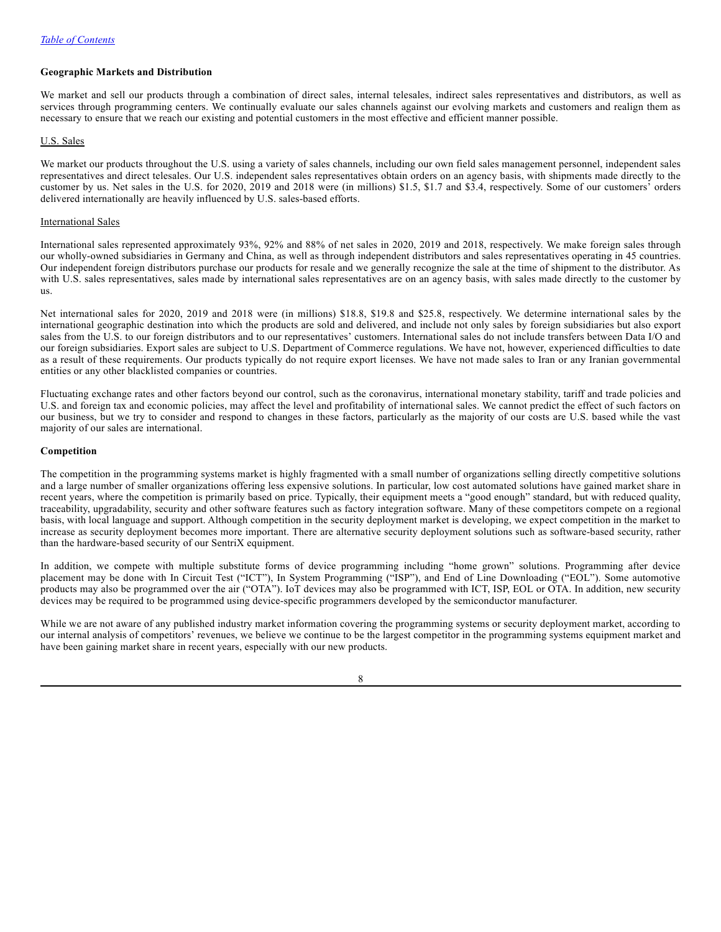#### **Geographic Markets and Distribution**

We market and sell our products through a combination of direct sales, internal telesales, indirect sales representatives and distributors, as well as services through programming centers. We continually evaluate our sales channels against our evolving markets and customers and realign them as necessary to ensure that we reach our existing and potential customers in the most effective and efficient manner possible.

#### U.S. Sales

We market our products throughout the U.S. using a variety of sales channels, including our own field sales management personnel, independent sales representatives and direct telesales. Our U.S. independent sales representatives obtain orders on an agency basis, with shipments made directly to the customer by us. Net sales in the U.S. for 2020, 2019 and 2018 were (in millions) \$1.5, \$1.7 and \$3.4, respectively. Some of our customers' orders delivered internationally are heavily influenced by U.S. sales-based efforts.

#### International Sales

International sales represented approximately 93%, 92% and 88% of net sales in 2020, 2019 and 2018, respectively. We make foreign sales through our wholly-owned subsidiaries in Germany and China, as well as through independent distributors and sales representatives operating in 45 countries. Our independent foreign distributors purchase our products for resale and we generally recognize the sale at the time of shipment to the distributor. As with U.S. sales representatives, sales made by international sales representatives are on an agency basis, with sales made directly to the customer by us.

Net international sales for 2020, 2019 and 2018 were (in millions) \$18.8, \$19.8 and \$25.8, respectively. We determine international sales by the international geographic destination into which the products are sold and delivered, and include not only sales by foreign subsidiaries but also export sales from the U.S. to our foreign distributors and to our representatives' customers. International sales do not include transfers between Data I/O and our foreign subsidiaries. Export sales are subject to U.S. Department of Commerce regulations. We have not, however, experienced difficulties to date as a result of these requirements. Our products typically do not require export licenses. We have not made sales to Iran or any Iranian governmental entities or any other blacklisted companies or countries.

Fluctuating exchange rates and other factors beyond our control, such as the coronavirus, international monetary stability, tariff and trade policies and U.S. and foreign tax and economic policies, may affect the level and profitability of international sales. We cannot predict the effect of such factors on our business, but we try to consider and respond to changes in these factors, particularly as the majority of our costs are U.S. based while the vast majority of our sales are international.

#### **Competition**

The competition in the programming systems market is highly fragmented with a small number of organizations selling directly competitive solutions and a large number of smaller organizations offering less expensive solutions. In particular, low cost automated solutions have gained market share in recent years, where the competition is primarily based on price. Typically, their equipment meets a "good enough" standard, but with reduced quality, traceability, upgradability, security and other software features such as factory integration software. Many of these competitors compete on a regional basis, with local language and support. Although competition in the security deployment market is developing, we expect competition in the market to increase as security deployment becomes more important. There are alternative security deployment solutions such as software-based security, rather than the hardware-based security of our SentriX equipment.

In addition, we compete with multiple substitute forms of device programming including "home grown" solutions. Programming after device placement may be done with In Circuit Test ("ICT"), In System Programming ("ISP"), and End of Line Downloading ("EOL"). Some automotive products may also be programmed over the air ("OTA"). IoT devices may also be programmed with ICT, ISP, EOL or OTA. In addition, new security devices may be required to be programmed using device-specific programmers developed by the semiconductor manufacturer.

While we are not aware of any published industry market information covering the programming systems or security deployment market, according to our internal analysis of competitors' revenues, we believe we continue to be the largest competitor in the programming systems equipment market and have been gaining market share in recent years, especially with our new products.

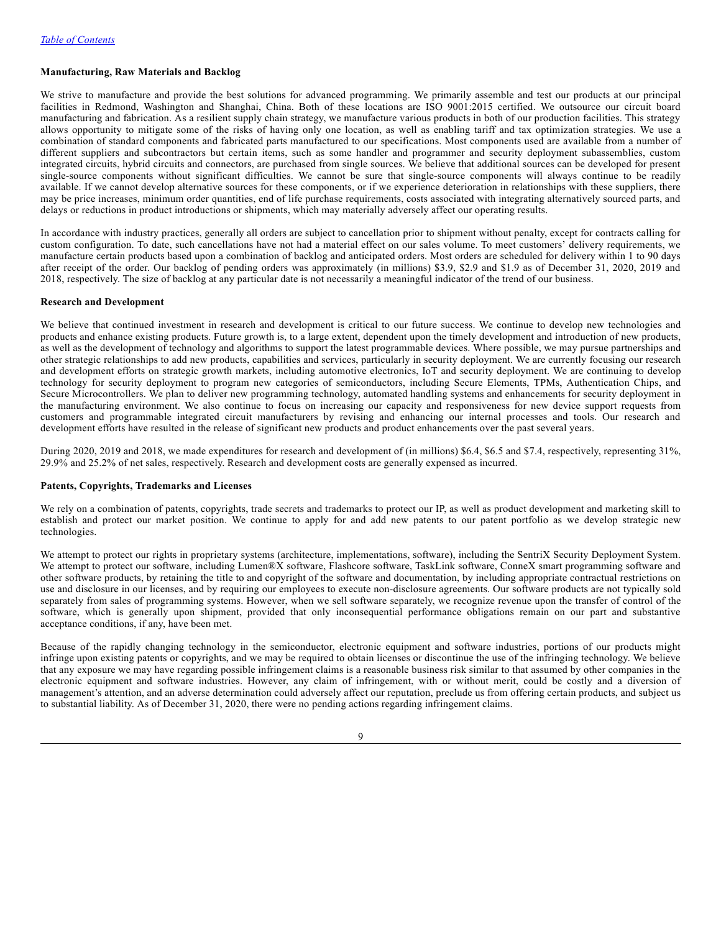#### **Manufacturing, Raw Materials and Backlog**

We strive to manufacture and provide the best solutions for advanced programming. We primarily assemble and test our products at our principal facilities in Redmond, Washington and Shanghai, China. Both of these locations are ISO 9001:2015 certified. We outsource our circuit board manufacturing and fabrication. As a resilient supply chain strategy, we manufacture various products in both of our production facilities. This strategy allows opportunity to mitigate some of the risks of having only one location, as well as enabling tariff and tax optimization strategies. We use a combination of standard components and fabricated parts manufactured to our specifications. Most components used are available from a number of different suppliers and subcontractors but certain items, such as some handler and programmer and security deployment subassemblies, custom integrated circuits, hybrid circuits and connectors, are purchased from single sources. We believe that additional sources can be developed for present single-source components without significant difficulties. We cannot be sure that single-source components will always continue to be readily available. If we cannot develop alternative sources for these components, or if we experience deterioration in relationships with these suppliers, there may be price increases, minimum order quantities, end of life purchase requirements, costs associated with integrating alternatively sourced parts, and delays or reductions in product introductions or shipments, which may materially adversely affect our operating results.

In accordance with industry practices, generally all orders are subject to cancellation prior to shipment without penalty, except for contracts calling for custom configuration. To date, such cancellations have not had a material effect on our sales volume. To meet customers' delivery requirements, we manufacture certain products based upon a combination of backlog and anticipated orders. Most orders are scheduled for delivery within 1 to 90 days after receipt of the order. Our backlog of pending orders was approximately (in millions) \$3.9, \$2.9 and \$1.9 as of December 31, 2020, 2019 and 2018, respectively. The size of backlog at any particular date is not necessarily a meaningful indicator of the trend of our business.

#### **Research and Development**

We believe that continued investment in research and development is critical to our future success. We continue to develop new technologies and products and enhance existing products. Future growth is, to a large extent, dependent upon the timely development and introduction of new products, as well as the development of technology and algorithms to support the latest programmable devices. Where possible, we may pursue partnerships and other strategic relationships to add new products, capabilities and services, particularly in security deployment. We are currently focusing our research and development efforts on strategic growth markets, including automotive electronics, IoT and security deployment. We are continuing to develop technology for security deployment to program new categories of semiconductors, including Secure Elements, TPMs, Authentication Chips, and Secure Microcontrollers. We plan to deliver new programming technology, automated handling systems and enhancements for security deployment in the manufacturing environment. We also continue to focus on increasing our capacity and responsiveness for new device support requests from customers and programmable integrated circuit manufacturers by revising and enhancing our internal processes and tools. Our research and development efforts have resulted in the release of significant new products and product enhancements over the past several years.

During 2020, 2019 and 2018, we made expenditures for research and development of (in millions) \$6.4, \$6.5 and \$7.4, respectively, representing 31%, 29.9% and 25.2% of net sales, respectively. Research and development costs are generally expensed as incurred.

#### **Patents, Copyrights, Trademarks and Licenses**

We rely on a combination of patents, copyrights, trade secrets and trademarks to protect our IP, as well as product development and marketing skill to establish and protect our market position. We continue to apply for and add new patents to our patent portfolio as we develop strategic new technologies.

We attempt to protect our rights in proprietary systems (architecture, implementations, software), including the SentriX Security Deployment System. We attempt to protect our software, including Lumen®X software, Flashcore software, TaskLink software, ConneX smart programming software and other software products, by retaining the title to and copyright of the software and documentation, by including appropriate contractual restrictions on use and disclosure in our licenses, and by requiring our employees to execute non-disclosure agreements. Our software products are not typically sold separately from sales of programming systems. However, when we sell software separately, we recognize revenue upon the transfer of control of the software, which is generally upon shipment, provided that only inconsequential performance obligations remain on our part and substantive acceptance conditions, if any, have been met.

Because of the rapidly changing technology in the semiconductor, electronic equipment and software industries, portions of our products might infringe upon existing patents or copyrights, and we may be required to obtain licenses or discontinue the use of the infringing technology. We believe that any exposure we may have regarding possible infringement claims is a reasonable business risk similar to that assumed by other companies in the electronic equipment and software industries. However, any claim of infringement, with or without merit, could be costly and a diversion of management's attention, and an adverse determination could adversely affect our reputation, preclude us from offering certain products, and subject us to substantial liability. As of December 31, 2020, there were no pending actions regarding infringement claims.

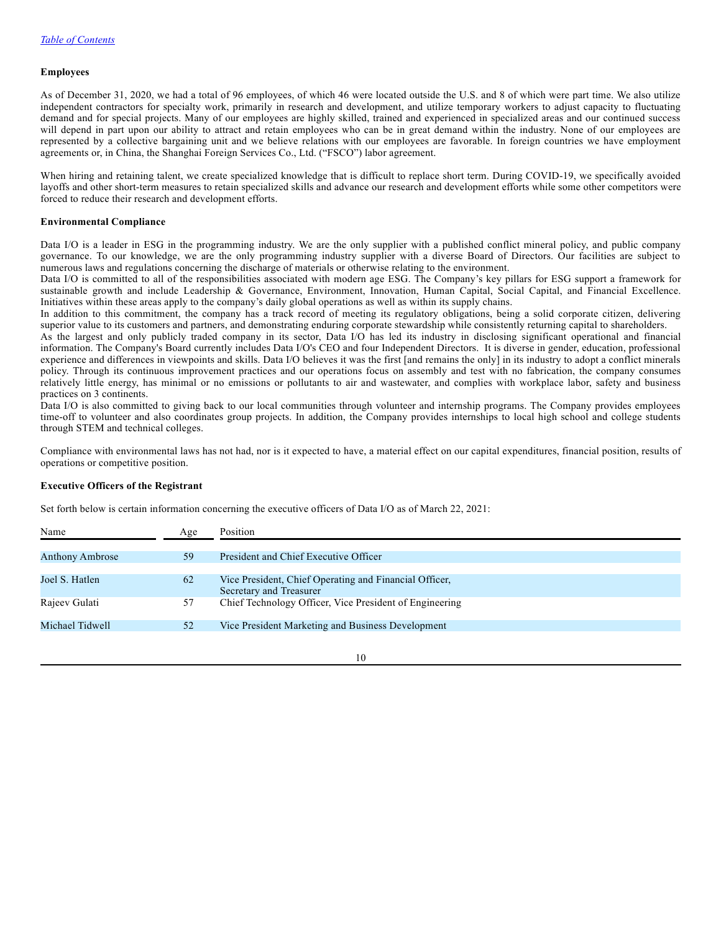#### **Employees**

As of December 31, 2020, we had a total of 96 employees, of which 46 were located outside the U.S. and 8 of which were part time. We also utilize independent contractors for specialty work, primarily in research and development, and utilize temporary workers to adjust capacity to fluctuating demand and for special projects. Many of our employees are highly skilled, trained and experienced in specialized areas and our continued success will depend in part upon our ability to attract and retain employees who can be in great demand within the industry. None of our employees are represented by a collective bargaining unit and we believe relations with our employees are favorable. In foreign countries we have employment agreements or, in China, the Shanghai Foreign Services Co., Ltd. ("FSCO") labor agreement.

When hiring and retaining talent, we create specialized knowledge that is difficult to replace short term. During COVID-19, we specifically avoided layoffs and other short-term measures to retain specialized skills and advance our research and development efforts while some other competitors were forced to reduce their research and development efforts.

#### **Environmental Compliance**

Data I/O is a leader in ESG in the programming industry. We are the only supplier with a published conflict mineral policy, and public company governance. To our knowledge, we are the only programming industry supplier with a diverse Board of Directors. Our facilities are subject to numerous laws and regulations concerning the discharge of materials or otherwise relating to the environment.

Data I/O is committed to all of the responsibilities associated with modern age ESG. The Company's key pillars for ESG support a framework for sustainable growth and include Leadership & Governance, Environment, Innovation, Human Capital, Social Capital, and Financial Excellence. Initiatives within these areas apply to the company's daily global operations as well as within its supply chains.

In addition to this commitment, the company has a track record of meeting its regulatory obligations, being a solid corporate citizen, delivering superior value to its customers and partners, and demonstrating enduring corporate stewardship while consistently returning capital to shareholders.

As the largest and only publicly traded company in its sector, Data I/O has led its industry in disclosing significant operational and financial information. The Company's Board currently includes Data I/O's CEO and four Independent Directors. It is diverse in gender, education, professional experience and differences in viewpoints and skills. Data I/O believes it was the first [and remains the only] in its industry to adopt a conflict minerals policy. Through its continuous improvement practices and our operations focus on assembly and test with no fabrication, the company consumes relatively little energy, has minimal or no emissions or pollutants to air and wastewater, and complies with workplace labor, safety and business practices on 3 continents.

Data I/O is also committed to giving back to our local communities through volunteer and internship programs. The Company provides employees time-off to volunteer and also coordinates group projects. In addition, the Company provides internships to local high school and college students through STEM and technical colleges.

Compliance with environmental laws has not had, nor is it expected to have, a material effect on our capital expenditures, financial position, results of operations or competitive position.

#### **Executive Officers of the Registrant**

Set forth below is certain information concerning the executive officers of Data I/O as of March 22, 2021:

| Name                   | Age | Position                                                |
|------------------------|-----|---------------------------------------------------------|
|                        |     |                                                         |
| <b>Anthony Ambrose</b> | 59  | President and Chief Executive Officer                   |
|                        |     |                                                         |
| Joel S. Hatlen         | 62  | Vice President, Chief Operating and Financial Officer,  |
|                        |     | Secretary and Treasurer                                 |
| Rajeev Gulati          | 57  | Chief Technology Officer, Vice President of Engineering |
|                        |     |                                                         |
| Michael Tidwell        | 52  | Vice President Marketing and Business Development       |
|                        |     |                                                         |

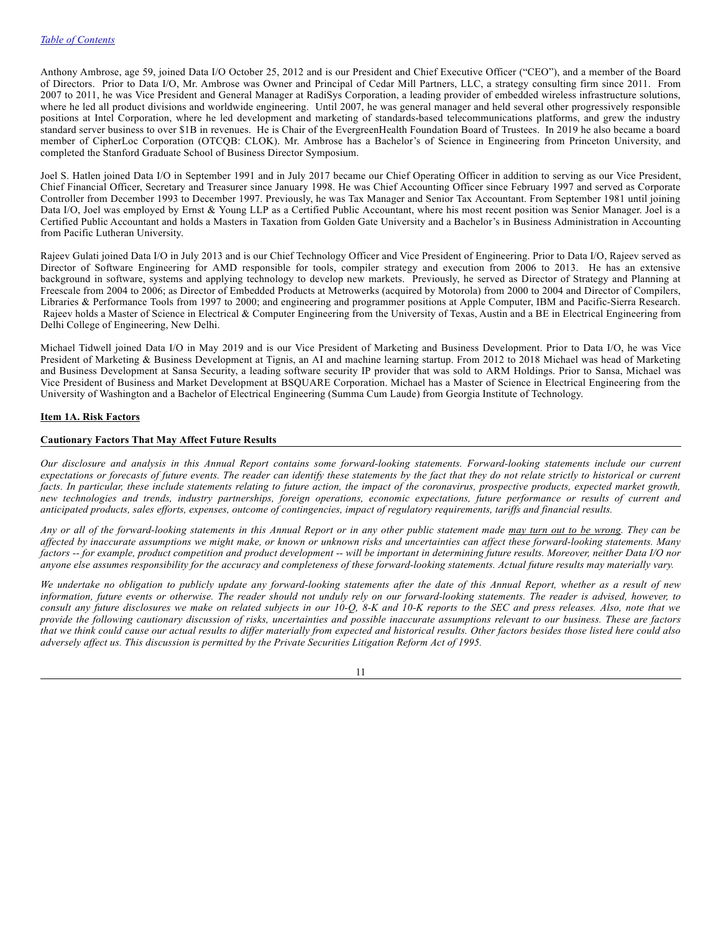Anthony Ambrose, age 59, joined Data I/O October 25, 2012 and is our President and Chief Executive Officer ("CEO"), and a member of the Board of Directors. Prior to Data I/O, Mr. Ambrose was Owner and Principal of Cedar Mill Partners, LLC, a strategy consulting firm since 2011. From 2007 to 2011, he was Vice President and General Manager at RadiSys Corporation, a leading provider of embedded wireless infrastructure solutions, where he led all product divisions and worldwide engineering. Until 2007, he was general manager and held several other progressively responsible positions at Intel Corporation, where he led development and marketing of standards-based telecommunications platforms, and grew the industry standard server business to over \$1B in revenues. He is Chair of the EvergreenHealth Foundation Board of Trustees. In 2019 he also became a board member of CipherLoc Corporation (OTCQB: CLOK). Mr. Ambrose has a Bachelor's of Science in Engineering from Princeton University, and completed the Stanford Graduate School of Business Director Symposium.

Joel S. Hatlen joined Data I/O in September 1991 and in July 2017 became our Chief Operating Officer in addition to serving as our Vice President, Chief Financial Officer, Secretary and Treasurer since January 1998. He was Chief Accounting Officer since February 1997 and served as Corporate Controller from December 1993 to December 1997. Previously, he was Tax Manager and Senior Tax Accountant. From September 1981 until joining Data I/O, Joel was employed by Ernst & Young LLP as a Certified Public Accountant, where his most recent position was Senior Manager. Joel is a Certified Public Accountant and holds a Masters in Taxation from Golden Gate University and a Bachelor's in Business Administration in Accounting from Pacific Lutheran University.

Rajeev Gulati joined Data I/O in July 2013 and is our Chief Technology Officer and Vice President of Engineering. Prior to Data I/O, Rajeev served as Director of Software Engineering for AMD responsible for tools, compiler strategy and execution from 2006 to 2013. He has an extensive background in software, systems and applying technology to develop new markets. Previously, he served as Director of Strategy and Planning at Freescale from 2004 to 2006; as Director of Embedded Products at Metrowerks (acquired by Motorola) from 2000 to 2004 and Director of Compilers, Libraries & Performance Tools from 1997 to 2000; and engineering and programmer positions at Apple Computer, IBM and Pacific-Sierra Research. Rajeev holds a Master of Science in Electrical & Computer Engineering from the University of Texas, Austin and a BE in Electrical Engineering from Delhi College of Engineering, New Delhi.

Michael Tidwell joined Data I/O in May 2019 and is our Vice President of Marketing and Business Development. Prior to Data I/O, he was Vice President of Marketing & Business Development at Tignis, an AI and machine learning startup. From 2012 to 2018 Michael was head of Marketing and Business Development at Sansa Security, a leading software security IP provider that was sold to ARM Holdings. Prior to Sansa, Michael was Vice President of Business and Market Development at BSQUARE Corporation. Michael has a Master of Science in Electrical Engineering from the University of Washington and a Bachelor of Electrical Engineering (Summa Cum Laude) from Georgia Institute of Technology.

#### <span id="page-10-0"></span>**Item 1A. Risk Factors**

#### **Cautionary Factors That May Affect Future Results**

Our disclosure and analysis in this Annual Report contains some forward-looking statements. Forward-looking statements include our current expectations or forecasts of future events. The reader can identify these statements by the fact that they do not relate strictly to historical or current facts. In particular, these include statements relating to future action, the impact of the coronavirus, prospective products, expected market growth, new technologies and trends, industry partnerships, foreign operations, economic expectations, future performance or results of current and anticipated products, sales efforts, expenses, outcome of contingencies, impact of regulatory requirements, tariffs and financial results.

Any or all of the forward-looking statements in this Annual Report or in any other public statement made may turn out to be wrong. They can be affected by inaccurate assumptions we might make, or known or unknown risks and uncertainties can affect these forward-looking statements. Many factors -- for example, product competition and product development -- will be important in determining future results. Moreover, neither Data I/O nor anyone else assumes responsibility for the accuracy and completeness of these forward-looking statements. Actual future results may materially vary.

We undertake no obligation to publicly update any forward-looking statements after the date of this Annual Report, whether as a result of new information, future events or otherwise. The reader should not unduly rely on our forward-looking statements. The reader is advised, however, to consult any future disclosures we make on related subjects in our 10-Q, 8-K and 10-K reports to the SEC and press releases. Also, note that we provide the following cautionary discussion of risks, uncertainties and possible inaccurate assumptions relevant to our business. These are factors that we think could cause our actual results to differ materially from expected and historical results. Other factors besides those listed here could also adversely affect us. This discussion is permitted by the Private Securities Litigation Reform Act of 1995.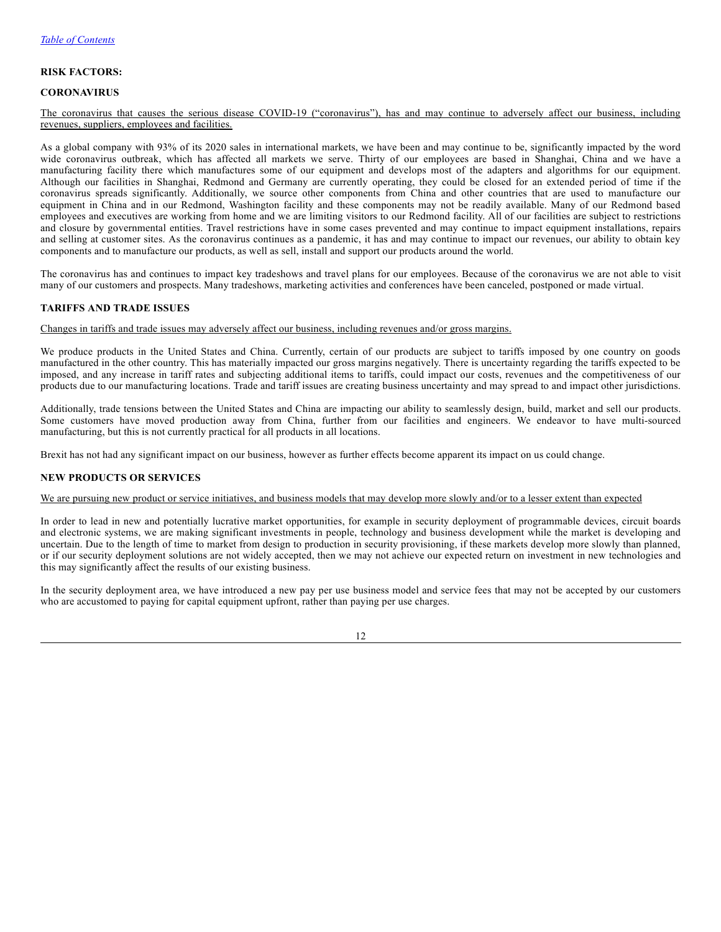## **RISK FACTORS:**

#### **CORONAVIRUS**

#### The coronavirus that causes the serious disease COVID-19 ("coronavirus"), has and may continue to adversely affect our business, including revenues, suppliers, employees and facilities.

As a global company with 93% of its 2020 sales in international markets, we have been and may continue to be, significantly impacted by the word wide coronavirus outbreak, which has affected all markets we serve. Thirty of our employees are based in Shanghai, China and we have a manufacturing facility there which manufactures some of our equipment and develops most of the adapters and algorithms for our equipment. Although our facilities in Shanghai, Redmond and Germany are currently operating, they could be closed for an extended period of time if the coronavirus spreads significantly. Additionally, we source other components from China and other countries that are used to manufacture our equipment in China and in our Redmond, Washington facility and these components may not be readily available. Many of our Redmond based employees and executives are working from home and we are limiting visitors to our Redmond facility. All of our facilities are subject to restrictions and closure by governmental entities. Travel restrictions have in some cases prevented and may continue to impact equipment installations, repairs and selling at customer sites. As the coronavirus continues as a pandemic, it has and may continue to impact our revenues, our ability to obtain key components and to manufacture our products, as well as sell, install and support our products around the world.

The coronavirus has and continues to impact key tradeshows and travel plans for our employees. Because of the coronavirus we are not able to visit many of our customers and prospects. Many tradeshows, marketing activities and conferences have been canceled, postponed or made virtual.

## **TARIFFS AND TRADE ISSUES**

Changes in tariffs and trade issues may adversely affect our business, including revenues and/or gross margins.

We produce products in the United States and China. Currently, certain of our products are subject to tariffs imposed by one country on goods manufactured in the other country. This has materially impacted our gross margins negatively. There is uncertainty regarding the tariffs expected to be imposed, and any increase in tariff rates and subjecting additional items to tariffs, could impact our costs, revenues and the competitiveness of our products due to our manufacturing locations. Trade and tariff issues are creating business uncertainty and may spread to and impact other jurisdictions.

Additionally, trade tensions between the United States and China are impacting our ability to seamlessly design, build, market and sell our products. Some customers have moved production away from China, further from our facilities and engineers. We endeavor to have multi-sourced manufacturing, but this is not currently practical for all products in all locations.

Brexit has not had any significant impact on our business, however as further effects become apparent its impact on us could change.

#### **NEW PRODUCTS OR SERVICES**

#### We are pursuing new product or service initiatives, and business models that may develop more slowly and/or to a lesser extent than expected

In order to lead in new and potentially lucrative market opportunities, for example in security deployment of programmable devices, circuit boards and electronic systems, we are making significant investments in people, technology and business development while the market is developing and uncertain. Due to the length of time to market from design to production in security provisioning, if these markets develop more slowly than planned, or if our security deployment solutions are not widely accepted, then we may not achieve our expected return on investment in new technologies and this may significantly affect the results of our existing business.

In the security deployment area, we have introduced a new pay per use business model and service fees that may not be accepted by our customers who are accustomed to paying for capital equipment upfront, rather than paying per use charges.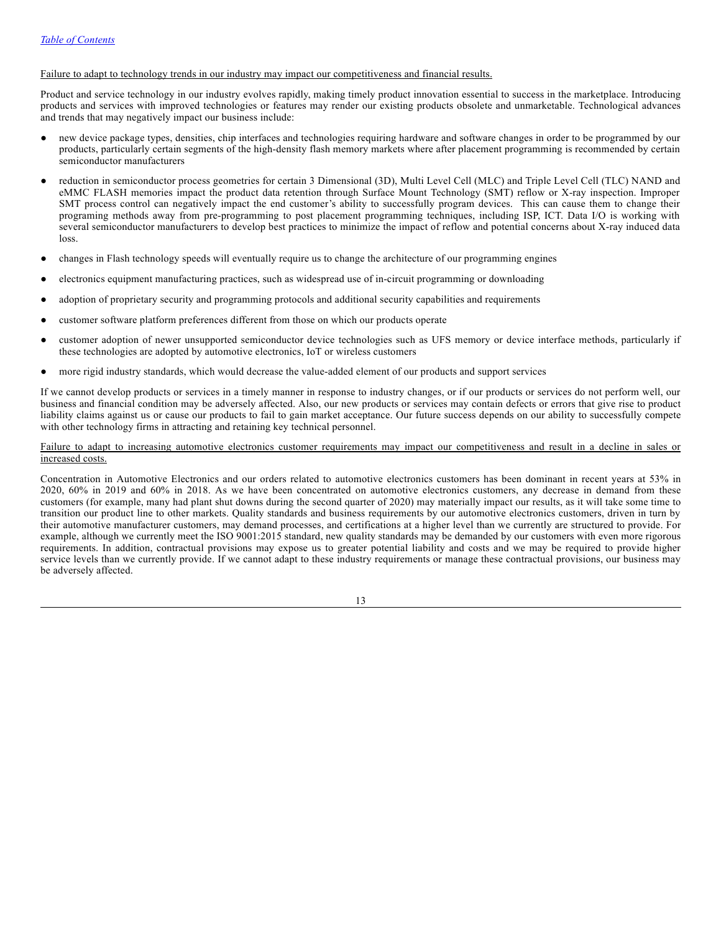#### Failure to adapt to technology trends in our industry may impact our competitiveness and financial results.

Product and service technology in our industry evolves rapidly, making timely product innovation essential to success in the marketplace. Introducing products and services with improved technologies or features may render our existing products obsolete and unmarketable. Technological advances and trends that may negatively impact our business include:

- new device package types, densities, chip interfaces and technologies requiring hardware and software changes in order to be programmed by our products, particularly certain segments of the high-density flash memory markets where after placement programming is recommended by certain semiconductor manufacturers
- reduction in semiconductor process geometries for certain 3 Dimensional (3D), Multi Level Cell (MLC) and Triple Level Cell (TLC) NAND and eMMC FLASH memories impact the product data retention through Surface Mount Technology (SMT) reflow or X-ray inspection. Improper SMT process control can negatively impact the end customer's ability to successfully program devices. This can cause them to change their programing methods away from pre-programming to post placement programming techniques, including ISP, ICT. Data I/O is working with several semiconductor manufacturers to develop best practices to minimize the impact of reflow and potential concerns about X-ray induced data loss.
- changes in Flash technology speeds will eventually require us to change the architecture of our programming engines
- electronics equipment manufacturing practices, such as widespread use of in-circuit programming or downloading
- adoption of proprietary security and programming protocols and additional security capabilities and requirements
- customer software platform preferences different from those on which our products operate
- customer adoption of newer unsupported semiconductor device technologies such as UFS memory or device interface methods, particularly if these technologies are adopted by automotive electronics, IoT or wireless customers
- more rigid industry standards, which would decrease the value-added element of our products and support services

If we cannot develop products or services in a timely manner in response to industry changes, or if our products or services do not perform well, our business and financial condition may be adversely affected. Also, our new products or services may contain defects or errors that give rise to product liability claims against us or cause our products to fail to gain market acceptance. Our future success depends on our ability to successfully compete with other technology firms in attracting and retaining key technical personnel.

#### Failure to adapt to increasing automotive electronics customer requirements may impact our competitiveness and result in a decline in sales or increased costs.

Concentration in Automotive Electronics and our orders related to automotive electronics customers has been dominant in recent years at 53% in 2020, 60% in 2019 and 60% in 2018. As we have been concentrated on automotive electronics customers, any decrease in demand from these customers (for example, many had plant shut downs during the second quarter of 2020) may materially impact our results, as it will take some time to transition our product line to other markets. Quality standards and business requirements by our automotive electronics customers, driven in turn by their automotive manufacturer customers, may demand processes, and certifications at a higher level than we currently are structured to provide. For example, although we currently meet the ISO 9001:2015 standard, new quality standards may be demanded by our customers with even more rigorous requirements. In addition, contractual provisions may expose us to greater potential liability and costs and we may be required to provide higher service levels than we currently provide. If we cannot adapt to these industry requirements or manage these contractual provisions, our business may be adversely affected.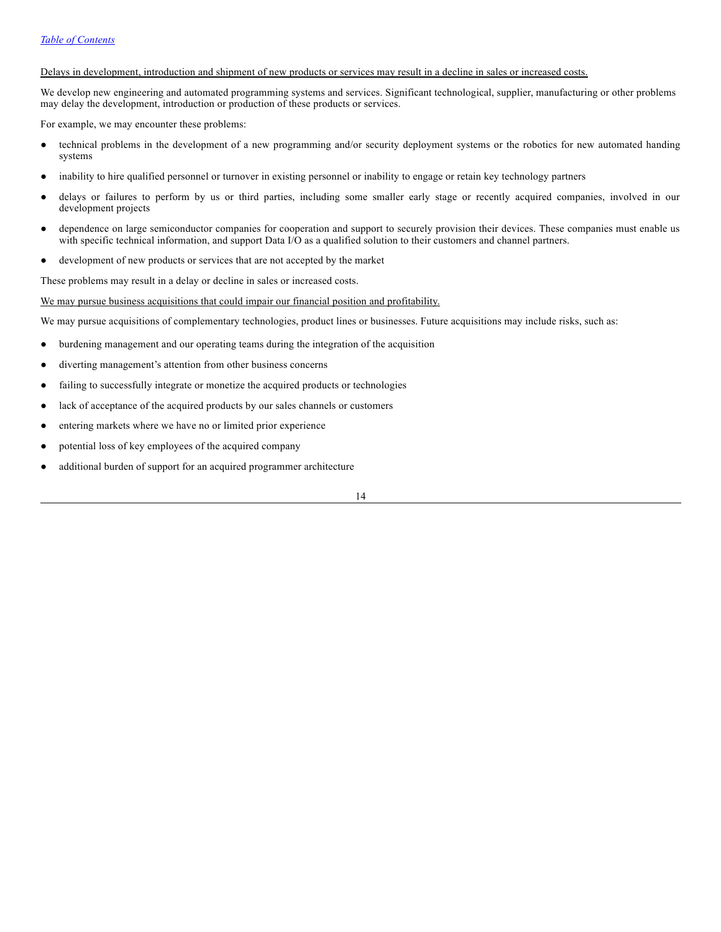## Delays in development, introduction and shipment of new products or services may result in a decline in sales or increased costs.

We develop new engineering and automated programming systems and services. Significant technological, supplier, manufacturing or other problems may delay the development, introduction or production of these products or services.

For example, we may encounter these problems:

- **●** technical problems in the development of a new programming and/or security deployment systems or the robotics for new automated handing systems
- inability to hire qualified personnel or turnover in existing personnel or inability to engage or retain key technology partners
- delays or failures to perform by us or third parties, including some smaller early stage or recently acquired companies, involved in our development projects
- dependence on large semiconductor companies for cooperation and support to securely provision their devices. These companies must enable us with specific technical information, and support Data I/O as a qualified solution to their customers and channel partners.
- development of new products or services that are not accepted by the market

These problems may result in a delay or decline in sales or increased costs.

#### We may pursue business acquisitions that could impair our financial position and profitability.

We may pursue acquisitions of complementary technologies, product lines or businesses. Future acquisitions may include risks, such as:

- burdening management and our operating teams during the integration of the acquisition
- diverting management's attention from other business concerns
- failing to successfully integrate or monetize the acquired products or technologies
- lack of acceptance of the acquired products by our sales channels or customers
- entering markets where we have no or limited prior experience
- potential loss of key employees of the acquired company
- additional burden of support for an acquired programmer architecture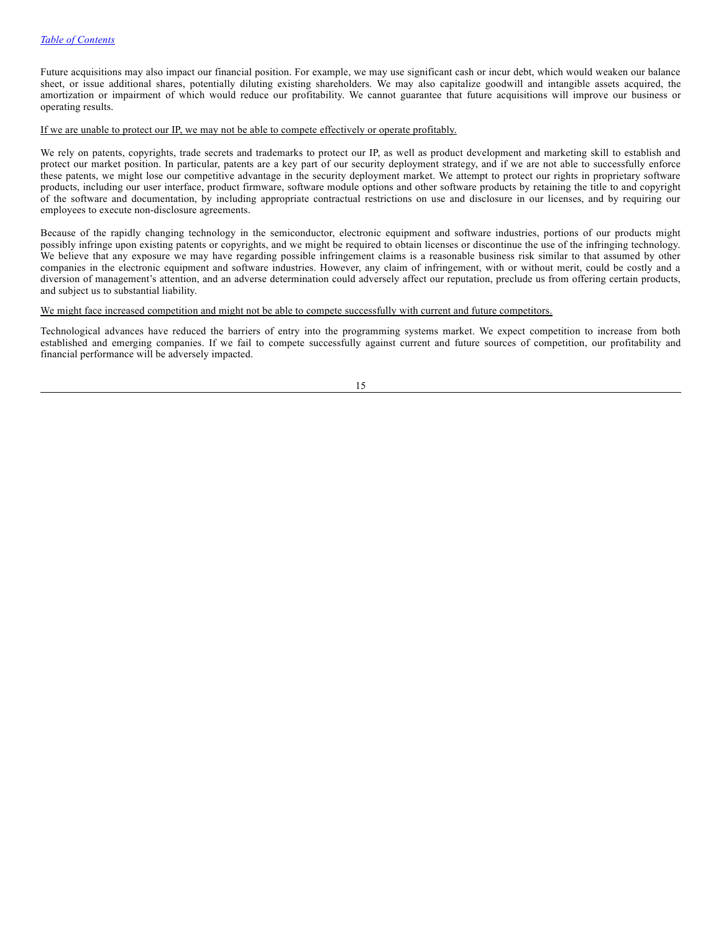Future acquisitions may also impact our financial position. For example, we may use significant cash or incur debt, which would weaken our balance sheet, or issue additional shares, potentially diluting existing shareholders. We may also capitalize goodwill and intangible assets acquired, the amortization or impairment of which would reduce our profitability. We cannot guarantee that future acquisitions will improve our business or operating results.

#### If we are unable to protect our IP, we may not be able to compete effectively or operate profitably.

We rely on patents, copyrights, trade secrets and trademarks to protect our IP, as well as product development and marketing skill to establish and protect our market position. In particular, patents are a key part of our security deployment strategy, and if we are not able to successfully enforce these patents, we might lose our competitive advantage in the security deployment market. We attempt to protect our rights in proprietary software products, including our user interface, product firmware, software module options and other software products by retaining the title to and copyright of the software and documentation, by including appropriate contractual restrictions on use and disclosure in our licenses, and by requiring our employees to execute non-disclosure agreements.

Because of the rapidly changing technology in the semiconductor, electronic equipment and software industries, portions of our products might possibly infringe upon existing patents or copyrights, and we might be required to obtain licenses or discontinue the use of the infringing technology. We believe that any exposure we may have regarding possible infringement claims is a reasonable business risk similar to that assumed by other companies in the electronic equipment and software industries. However, any claim of infringement, with or without merit, could be costly and a diversion of management's attention, and an adverse determination could adversely affect our reputation, preclude us from offering certain products, and subject us to substantial liability.

#### We might face increased competition and might not be able to compete successfully with current and future competitors.

Technological advances have reduced the barriers of entry into the programming systems market. We expect competition to increase from both established and emerging companies. If we fail to compete successfully against current and future sources of competition, our profitability and financial performance will be adversely impacted.

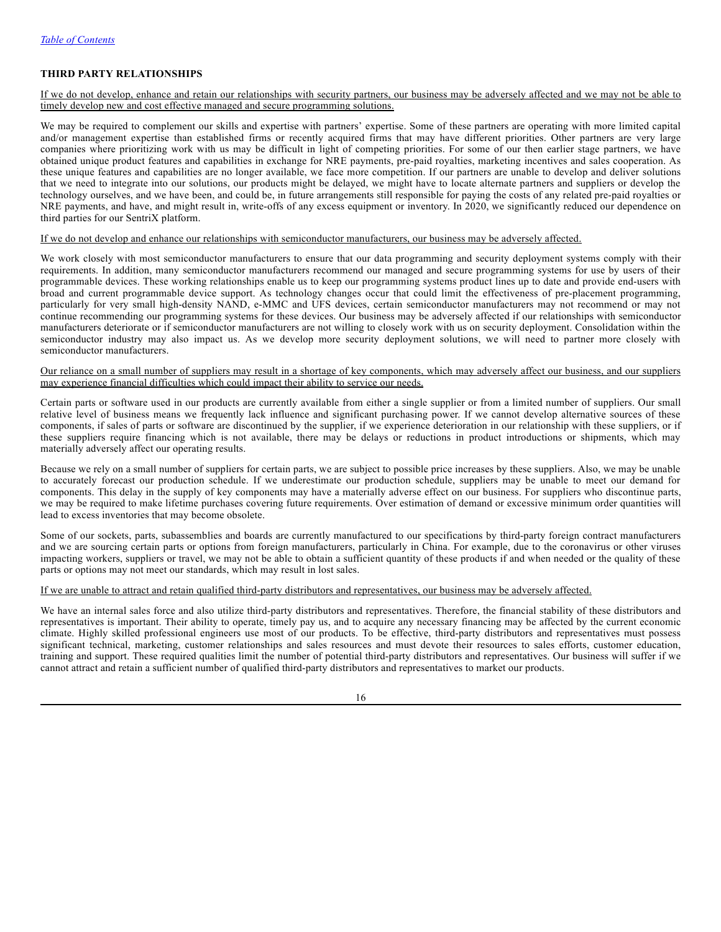## **THIRD PARTY RELATIONSHIPS**

#### If we do not develop, enhance and retain our relationships with security partners, our business may be adversely affected and we may not be able to timely develop new and cost effective managed and secure programming solutions.

We may be required to complement our skills and expertise with partners' expertise. Some of these partners are operating with more limited capital and/or management expertise than established firms or recently acquired firms that may have different priorities. Other partners are very large companies where prioritizing work with us may be difficult in light of competing priorities. For some of our then earlier stage partners, we have obtained unique product features and capabilities in exchange for NRE payments, pre-paid royalties, marketing incentives and sales cooperation. As these unique features and capabilities are no longer available, we face more competition. If our partners are unable to develop and deliver solutions that we need to integrate into our solutions, our products might be delayed, we might have to locate alternate partners and suppliers or develop the technology ourselves, and we have been, and could be, in future arrangements still responsible for paying the costs of any related pre-paid royalties or NRE payments, and have, and might result in, write-offs of any excess equipment or inventory. In 2020, we significantly reduced our dependence on third parties for our SentriX platform.

#### If we do not develop and enhance our relationships with semiconductor manufacturers, our business may be adversely affected.

We work closely with most semiconductor manufacturers to ensure that our data programming and security deployment systems comply with their requirements. In addition, many semiconductor manufacturers recommend our managed and secure programming systems for use by users of their programmable devices. These working relationships enable us to keep our programming systems product lines up to date and provide end-users with broad and current programmable device support. As technology changes occur that could limit the effectiveness of pre-placement programming, particularly for very small high-density NAND, e-MMC and UFS devices, certain semiconductor manufacturers may not recommend or may not continue recommending our programming systems for these devices. Our business may be adversely affected if our relationships with semiconductor manufacturers deteriorate or if semiconductor manufacturers are not willing to closely work with us on security deployment. Consolidation within the semiconductor industry may also impact us. As we develop more security deployment solutions, we will need to partner more closely with semiconductor manufacturers.

#### Our reliance on a small number of suppliers may result in a shortage of key components, which may adversely affect our business, and our suppliers may experience financial difficulties which could impact their ability to service our needs.

Certain parts or software used in our products are currently available from either a single supplier or from a limited number of suppliers. Our small relative level of business means we frequently lack influence and significant purchasing power. If we cannot develop alternative sources of these components, if sales of parts or software are discontinued by the supplier, if we experience deterioration in our relationship with these suppliers, or if these suppliers require financing which is not available, there may be delays or reductions in product introductions or shipments, which may materially adversely affect our operating results.

Because we rely on a small number of suppliers for certain parts, we are subject to possible price increases by these suppliers. Also, we may be unable to accurately forecast our production schedule. If we underestimate our production schedule, suppliers may be unable to meet our demand for components. This delay in the supply of key components may have a materially adverse effect on our business. For suppliers who discontinue parts, we may be required to make lifetime purchases covering future requirements. Over estimation of demand or excessive minimum order quantities will lead to excess inventories that may become obsolete.

Some of our sockets, parts, subassemblies and boards are currently manufactured to our specifications by third-party foreign contract manufacturers and we are sourcing certain parts or options from foreign manufacturers, particularly in China. For example, due to the coronavirus or other viruses impacting workers, suppliers or travel, we may not be able to obtain a sufficient quantity of these products if and when needed or the quality of these parts or options may not meet our standards, which may result in lost sales.

#### If we are unable to attract and retain qualified third-party distributors and representatives, our business may be adversely affected.

We have an internal sales force and also utilize third-party distributors and representatives. Therefore, the financial stability of these distributors and representatives is important. Their ability to operate, timely pay us, and to acquire any necessary financing may be affected by the current economic climate. Highly skilled professional engineers use most of our products. To be effective, third-party distributors and representatives must possess significant technical, marketing, customer relationships and sales resources and must devote their resources to sales efforts, customer education, training and support. These required qualities limit the number of potential third-party distributors and representatives. Our business will suffer if we cannot attract and retain a sufficient number of qualified third-party distributors and representatives to market our products.

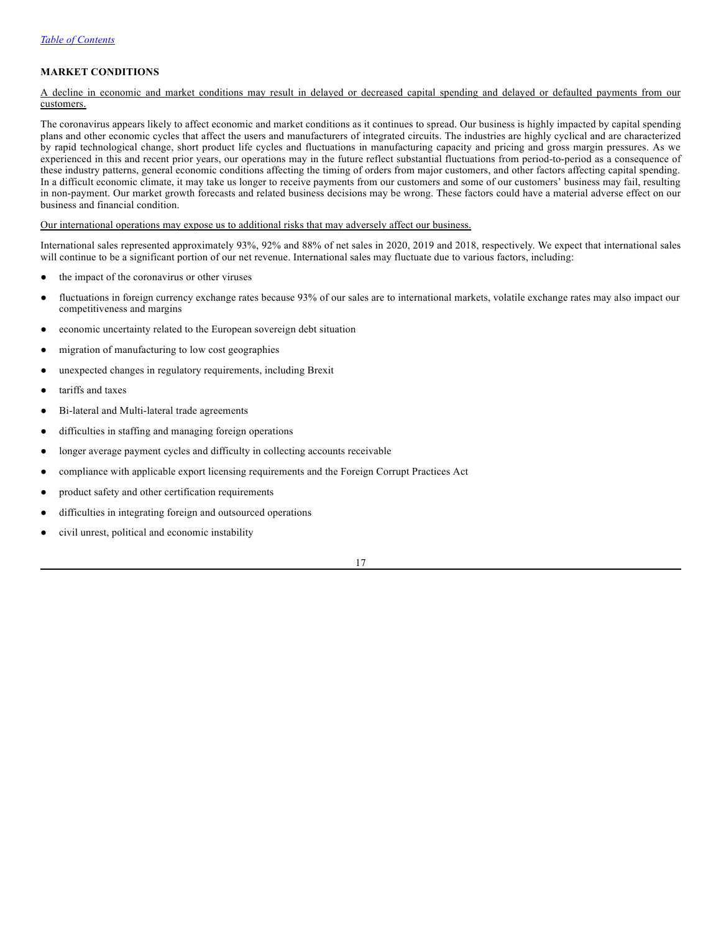## **MARKET CONDITIONS**

#### A decline in economic and market conditions may result in delayed or decreased capital spending and delayed or defaulted payments from our customers.

The coronavirus appears likely to affect economic and market conditions as it continues to spread. Our business is highly impacted by capital spending plans and other economic cycles that affect the users and manufacturers of integrated circuits. The industries are highly cyclical and are characterized by rapid technological change, short product life cycles and fluctuations in manufacturing capacity and pricing and gross margin pressures. As we experienced in this and recent prior years, our operations may in the future reflect substantial fluctuations from period-to-period as a consequence of these industry patterns, general economic conditions affecting the timing of orders from major customers, and other factors affecting capital spending. In a difficult economic climate, it may take us longer to receive payments from our customers and some of our customers' business may fail, resulting in non-payment. Our market growth forecasts and related business decisions may be wrong. These factors could have a material adverse effect on our business and financial condition.

## Our international operations may expose us to additional risks that may adversely affect our business.

International sales represented approximately 93%, 92% and 88% of net sales in 2020, 2019 and 2018, respectively. We expect that international sales will continue to be a significant portion of our net revenue. International sales may fluctuate due to various factors, including:

- the impact of the coronavirus or other viruses
- fluctuations in foreign currency exchange rates because 93% of our sales are to international markets, volatile exchange rates may also impact our competitiveness and margins
- economic uncertainty related to the European sovereign debt situation
- migration of manufacturing to low cost geographies
- unexpected changes in regulatory requirements, including Brexit
- tariffs and taxes
- Bi-lateral and Multi-lateral trade agreements
- difficulties in staffing and managing foreign operations
- longer average payment cycles and difficulty in collecting accounts receivable
- compliance with applicable export licensing requirements and the Foreign Corrupt Practices Act
- product safety and other certification requirements
- difficulties in integrating foreign and outsourced operations
- civil unrest, political and economic instability

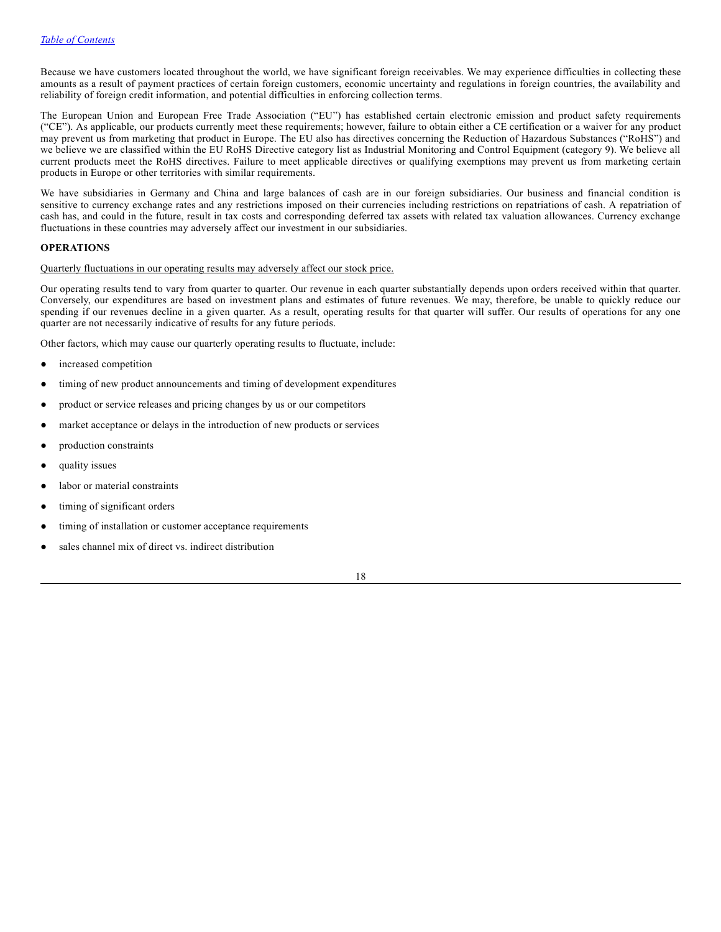Because we have customers located throughout the world, we have significant foreign receivables. We may experience difficulties in collecting these amounts as a result of payment practices of certain foreign customers, economic uncertainty and regulations in foreign countries, the availability and reliability of foreign credit information, and potential difficulties in enforcing collection terms.

The European Union and European Free Trade Association ("EU") has established certain electronic emission and product safety requirements ("CE"). As applicable, our products currently meet these requirements; however, failure to obtain either a CE certification or a waiver for any product may prevent us from marketing that product in Europe. The EU also has directives concerning the Reduction of Hazardous Substances ("RoHS") and we believe we are classified within the EU RoHS Directive category list as Industrial Monitoring and Control Equipment (category 9). We believe all current products meet the RoHS directives. Failure to meet applicable directives or qualifying exemptions may prevent us from marketing certain products in Europe or other territories with similar requirements.

We have subsidiaries in Germany and China and large balances of cash are in our foreign subsidiaries. Our business and financial condition is sensitive to currency exchange rates and any restrictions imposed on their currencies including restrictions on repatriations of cash. A repatriation of cash has, and could in the future, result in tax costs and corresponding deferred tax assets with related tax valuation allowances. Currency exchange fluctuations in these countries may adversely affect our investment in our subsidiaries.

#### **OPERATIONS**

#### Quarterly fluctuations in our operating results may adversely affect our stock price.

Our operating results tend to vary from quarter to quarter. Our revenue in each quarter substantially depends upon orders received within that quarter. Conversely, our expenditures are based on investment plans and estimates of future revenues. We may, therefore, be unable to quickly reduce our spending if our revenues decline in a given quarter. As a result, operating results for that quarter will suffer. Our results of operations for any one quarter are not necessarily indicative of results for any future periods.

Other factors, which may cause our quarterly operating results to fluctuate, include:

- increased competition
- timing of new product announcements and timing of development expenditures
- product or service releases and pricing changes by us or our competitors
- market acceptance or delays in the introduction of new products or services
- production constraints
- quality issues
- labor or material constraints
- timing of significant orders
- timing of installation or customer acceptance requirements
- sales channel mix of direct vs. indirect distribution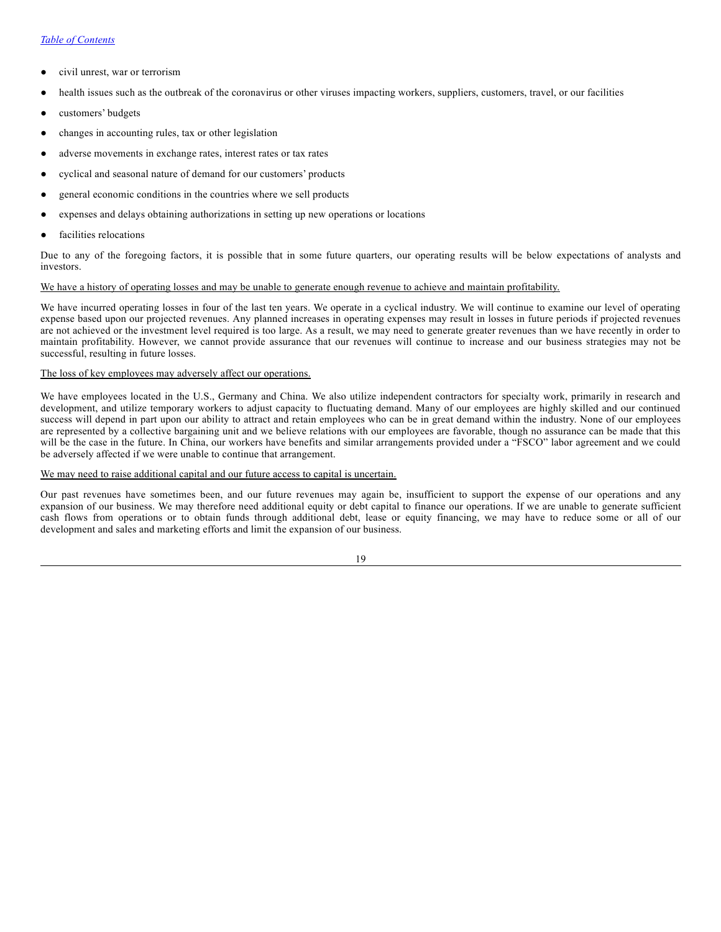- civil unrest, war or terrorism
- health issues such as the outbreak of the coronavirus or other viruses impacting workers, suppliers, customers, travel, or our facilities
- customers' budgets
- changes in accounting rules, tax or other legislation
- adverse movements in exchange rates, interest rates or tax rates
- cyclical and seasonal nature of demand for our customers' products
- general economic conditions in the countries where we sell products
- expenses and delays obtaining authorizations in setting up new operations or locations
- facilities relocations

Due to any of the foregoing factors, it is possible that in some future quarters, our operating results will be below expectations of analysts and investors.

#### We have a history of operating losses and may be unable to generate enough revenue to achieve and maintain profitability.

We have incurred operating losses in four of the last ten years. We operate in a cyclical industry. We will continue to examine our level of operating expense based upon our projected revenues. Any planned increases in operating expenses may result in losses in future periods if projected revenues are not achieved or the investment level required is too large. As a result, we may need to generate greater revenues than we have recently in order to maintain profitability. However, we cannot provide assurance that our revenues will continue to increase and our business strategies may not be successful, resulting in future losses.

#### The loss of key employees may adversely affect our operations.

We have employees located in the U.S., Germany and China. We also utilize independent contractors for specialty work, primarily in research and development, and utilize temporary workers to adjust capacity to fluctuating demand. Many of our employees are highly skilled and our continued success will depend in part upon our ability to attract and retain employees who can be in great demand within the industry. None of our employees are represented by a collective bargaining unit and we believe relations with our employees are favorable, though no assurance can be made that this will be the case in the future. In China, our workers have benefits and similar arrangements provided under a "FSCO" labor agreement and we could be adversely affected if we were unable to continue that arrangement.

#### We may need to raise additional capital and our future access to capital is uncertain.

Our past revenues have sometimes been, and our future revenues may again be, insufficient to support the expense of our operations and any expansion of our business. We may therefore need additional equity or debt capital to finance our operations. If we are unable to generate sufficient cash flows from operations or to obtain funds through additional debt, lease or equity financing, we may have to reduce some or all of our development and sales and marketing efforts and limit the expansion of our business.

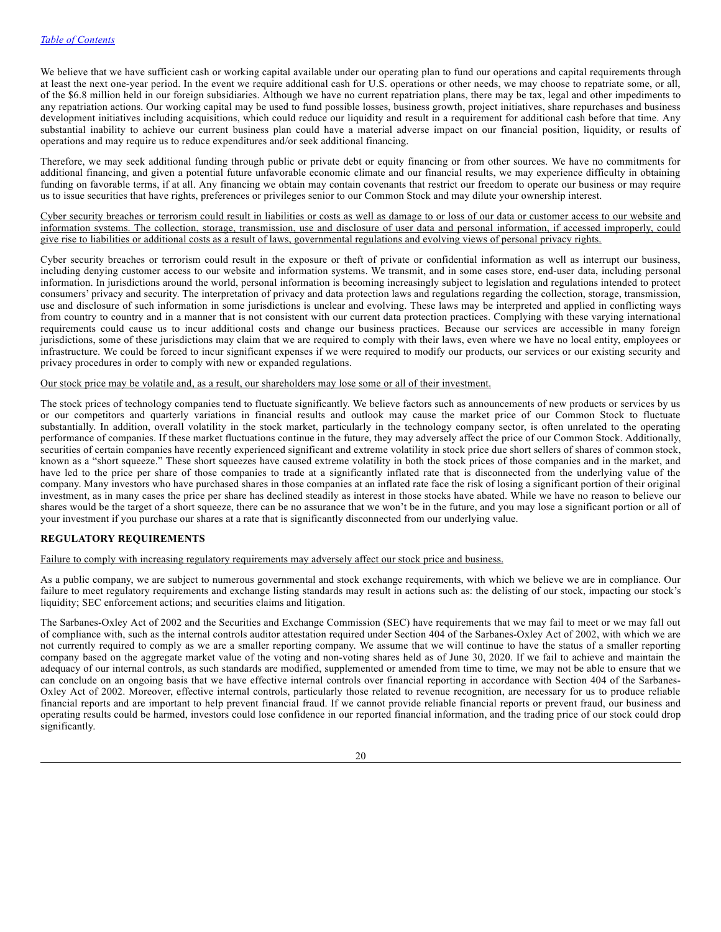We believe that we have sufficient cash or working capital available under our operating plan to fund our operations and capital requirements through at least the next one-year period. In the event we require additional cash for U.S. operations or other needs, we may choose to repatriate some, or all, of the \$6.8 million held in our foreign subsidiaries. Although we have no current repatriation plans, there may be tax, legal and other impediments to any repatriation actions. Our working capital may be used to fund possible losses, business growth, project initiatives, share repurchases and business development initiatives including acquisitions, which could reduce our liquidity and result in a requirement for additional cash before that time. Any substantial inability to achieve our current business plan could have a material adverse impact on our financial position, liquidity, or results of operations and may require us to reduce expenditures and/or seek additional financing.

Therefore, we may seek additional funding through public or private debt or equity financing or from other sources. We have no commitments for additional financing, and given a potential future unfavorable economic climate and our financial results, we may experience difficulty in obtaining funding on favorable terms, if at all. Any financing we obtain may contain covenants that restrict our freedom to operate our business or may require us to issue securities that have rights, preferences or privileges senior to our Common Stock and may dilute your ownership interest.

Cyber security breaches or terrorism could result in liabilities or costs as well as damage to or loss of our data or customer access to our website and information systems. The collection, storage, transmission, use and disclosure of user data and personal information, if accessed improperly, could give rise to liabilities or additional costs as a result of laws, governmental regulations and evolving views of personal privacy rights.

Cyber security breaches or terrorism could result in the exposure or theft of private or confidential information as well as interrupt our business, including denying customer access to our website and information systems. We transmit, and in some cases store, end-user data, including personal information. In jurisdictions around the world, personal information is becoming increasingly subject to legislation and regulations intended to protect consumers' privacy and security. The interpretation of privacy and data protection laws and regulations regarding the collection, storage, transmission, use and disclosure of such information in some jurisdictions is unclear and evolving. These laws may be interpreted and applied in conflicting ways from country to country and in a manner that is not consistent with our current data protection practices. Complying with these varying international requirements could cause us to incur additional costs and change our business practices. Because our services are accessible in many foreign jurisdictions, some of these jurisdictions may claim that we are required to comply with their laws, even where we have no local entity, employees or infrastructure. We could be forced to incur significant expenses if we were required to modify our products, our services or our existing security and privacy procedures in order to comply with new or expanded regulations.

#### Our stock price may be volatile and, as a result, our shareholders may lose some or all of their investment.

The stock prices of technology companies tend to fluctuate significantly. We believe factors such as announcements of new products or services by us or our competitors and quarterly variations in financial results and outlook may cause the market price of our Common Stock to fluctuate substantially. In addition, overall volatility in the stock market, particularly in the technology company sector, is often unrelated to the operating performance of companies. If these market fluctuations continue in the future, they may adversely affect the price of our Common Stock. Additionally, securities of certain companies have recently experienced significant and extreme volatility in stock price due short sellers of shares of common stock, known as a "short squeeze." These short squeezes have caused extreme volatility in both the stock prices of those companies and in the market, and have led to the price per share of those companies to trade at a significantly inflated rate that is disconnected from the underlying value of the company. Many investors who have purchased shares in those companies at an inflated rate face the risk of losing a significant portion of their original investment, as in many cases the price per share has declined steadily as interest in those stocks have abated. While we have no reason to believe our shares would be the target of a short squeeze, there can be no assurance that we won't be in the future, and you may lose a significant portion or all of your investment if you purchase our shares at a rate that is significantly disconnected from our underlying value.

## **REGULATORY REQUIREMENTS**

Failure to comply with increasing regulatory requirements may adversely affect our stock price and business.

As a public company, we are subject to numerous governmental and stock exchange requirements, with which we believe we are in compliance. Our failure to meet regulatory requirements and exchange listing standards may result in actions such as: the delisting of our stock, impacting our stock's liquidity; SEC enforcement actions; and securities claims and litigation.

The Sarbanes-Oxley Act of 2002 and the Securities and Exchange Commission (SEC) have requirements that we may fail to meet or we may fall out of compliance with, such as the internal controls auditor attestation required under Section 404 of the Sarbanes-Oxley Act of 2002, with which we are not currently required to comply as we are a smaller reporting company. We assume that we will continue to have the status of a smaller reporting company based on the aggregate market value of the voting and non-voting shares held as of June 30, 2020. If we fail to achieve and maintain the adequacy of our internal controls, as such standards are modified, supplemented or amended from time to time, we may not be able to ensure that we can conclude on an ongoing basis that we have effective internal controls over financial reporting in accordance with Section 404 of the Sarbanes-Oxley Act of 2002. Moreover, effective internal controls, particularly those related to revenue recognition, are necessary for us to produce reliable financial reports and are important to help prevent financial fraud. If we cannot provide reliable financial reports or prevent fraud, our business and operating results could be harmed, investors could lose confidence in our reported financial information, and the trading price of our stock could drop significantly.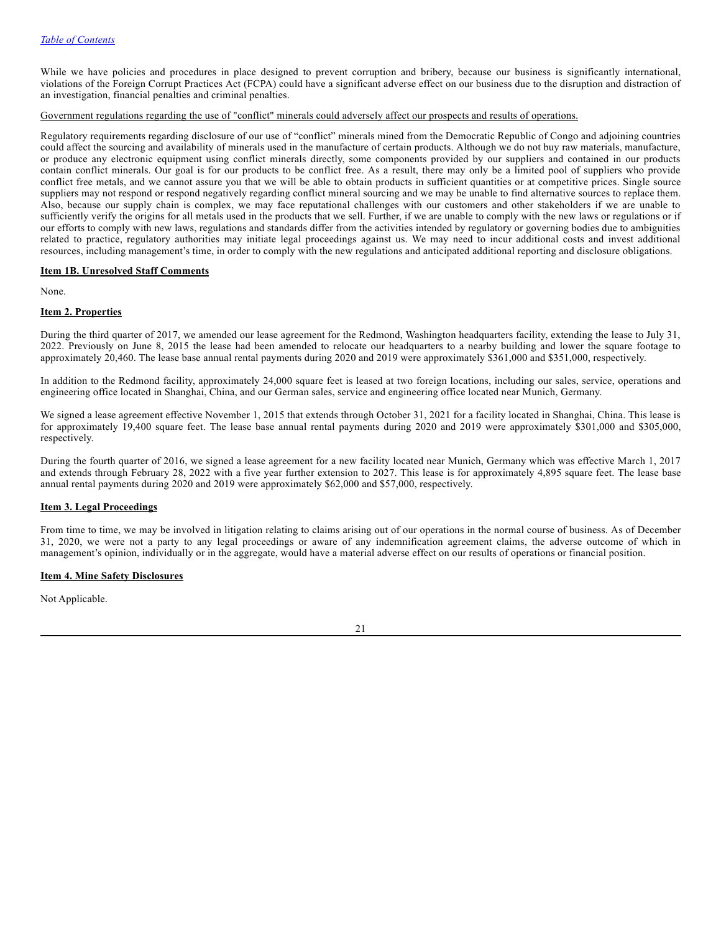While we have policies and procedures in place designed to prevent corruption and bribery, because our business is significantly international, violations of the Foreign Corrupt Practices Act (FCPA) could have a significant adverse effect on our business due to the disruption and distraction of an investigation, financial penalties and criminal penalties.

#### Government regulations regarding the use of "conflict" minerals could adversely affect our prospects and results of operations.

Regulatory requirements regarding disclosure of our use of "conflict" minerals mined from the Democratic Republic of Congo and adjoining countries could affect the sourcing and availability of minerals used in the manufacture of certain products. Although we do not buy raw materials, manufacture, or produce any electronic equipment using conflict minerals directly, some components provided by our suppliers and contained in our products contain conflict minerals. Our goal is for our products to be conflict free. As a result, there may only be a limited pool of suppliers who provide conflict free metals, and we cannot assure you that we will be able to obtain products in sufficient quantities or at competitive prices. Single source suppliers may not respond or respond negatively regarding conflict mineral sourcing and we may be unable to find alternative sources to replace them. Also, because our supply chain is complex, we may face reputational challenges with our customers and other stakeholders if we are unable to sufficiently verify the origins for all metals used in the products that we sell. Further, if we are unable to comply with the new laws or regulations or if our efforts to comply with new laws, regulations and standards differ from the activities intended by regulatory or governing bodies due to ambiguities related to practice, regulatory authorities may initiate legal proceedings against us. We may need to incur additional costs and invest additional resources, including management's time, in order to comply with the new regulations and anticipated additional reporting and disclosure obligations.

#### <span id="page-20-0"></span>**Item 1B. Unresolved Staff Comments**

None.

#### <span id="page-20-1"></span>**Item 2. Properties**

During the third quarter of 2017, we amended our lease agreement for the Redmond, Washington headquarters facility, extending the lease to July 31, 2022. Previously on June 8, 2015 the lease had been amended to relocate our headquarters to a nearby building and lower the square footage to approximately 20,460. The lease base annual rental payments during 2020 and 2019 were approximately \$361,000 and \$351,000, respectively.

In addition to the Redmond facility, approximately 24,000 square feet is leased at two foreign locations, including our sales, service, operations and engineering office located in Shanghai, China, and our German sales, service and engineering office located near Munich, Germany.

We signed a lease agreement effective November 1, 2015 that extends through October 31, 2021 for a facility located in Shanghai, China. This lease is for approximately 19,400 square feet. The lease base annual rental payments during 2020 and 2019 were approximately \$301,000 and \$305,000, respectively.

During the fourth quarter of 2016, we signed a lease agreement for a new facility located near Munich, Germany which was effective March 1, 2017 and extends through February 28, 2022 with a five year further extension to 2027. This lease is for approximately 4,895 square feet. The lease base annual rental payments during 2020 and 2019 were approximately \$62,000 and \$57,000, respectively.

#### <span id="page-20-2"></span>**Item 3. Legal Proceedings**

From time to time, we may be involved in litigation relating to claims arising out of our operations in the normal course of business. As of December 31, 2020, we were not a party to any legal proceedings or aware of any indemnification agreement claims, the adverse outcome of which in management's opinion, individually or in the aggregate, would have a material adverse effect on our results of operations or financial position.

#### <span id="page-20-3"></span>**Item 4. Mine Safety Disclosures**

Not Applicable.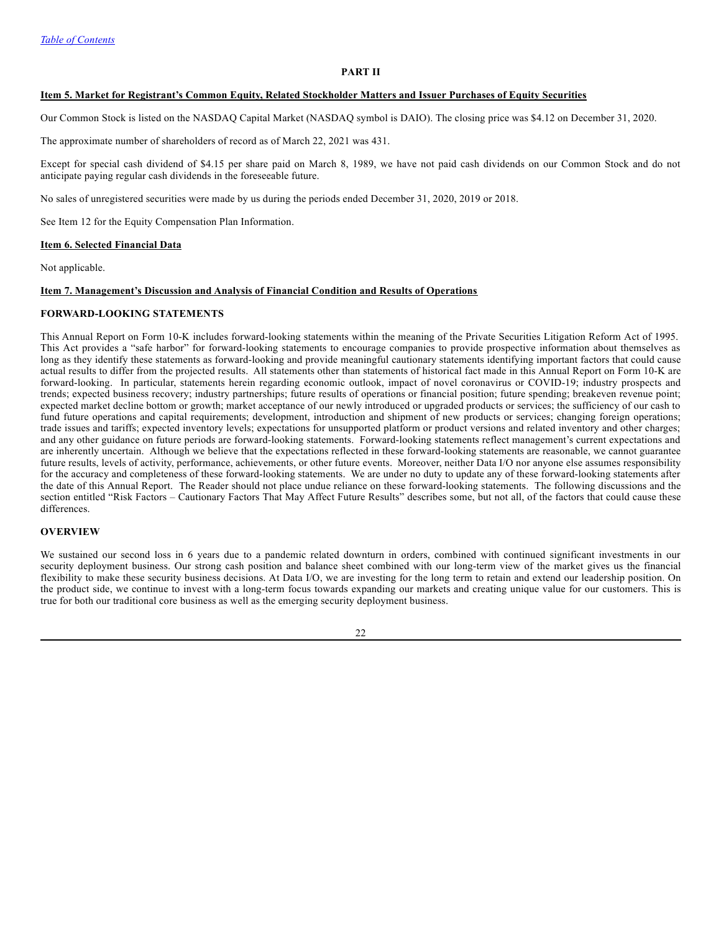#### <span id="page-21-0"></span>**PART II**

#### <span id="page-21-1"></span>Item 5. Market for Registrant's Common Equity, Related Stockholder Matters and Issuer Purchases of Equity Securities

Our Common Stock is listed on the NASDAQ Capital Market (NASDAQ symbol is DAIO). The closing price was \$4.12 on December 31, 2020.

The approximate number of shareholders of record as of March 22, 2021 was 431.

Except for special cash dividend of \$4.15 per share paid on March 8, 1989, we have not paid cash dividends on our Common Stock and do not anticipate paying regular cash dividends in the foreseeable future.

No sales of unregistered securities were made by us during the periods ended December 31, 2020, 2019 or 2018.

See Item 12 for the Equity Compensation Plan Information.

#### <span id="page-21-2"></span>**Item 6. Selected Financial Data**

Not applicable.

## <span id="page-21-3"></span>**Item 7. Management's Discussion and Analysis of Financial Condition and Results of Operations**

#### **FORWARD-LOOKING STATEMENTS**

This Annual Report on Form 10-K includes forward-looking statements within the meaning of the Private Securities Litigation Reform Act of 1995. This Act provides a "safe harbor" for forward-looking statements to encourage companies to provide prospective information about themselves as long as they identify these statements as forward-looking and provide meaningful cautionary statements identifying important factors that could cause actual results to differ from the projected results. All statements other than statements of historical fact made in this Annual Report on Form 10-K are forward-looking. In particular, statements herein regarding economic outlook, impact of novel coronavirus or COVID-19; industry prospects and trends; expected business recovery; industry partnerships; future results of operations or financial position; future spending; breakeven revenue point; expected market decline bottom or growth; market acceptance of our newly introduced or upgraded products or services; the sufficiency of our cash to fund future operations and capital requirements; development, introduction and shipment of new products or services; changing foreign operations; trade issues and tariffs; expected inventory levels; expectations for unsupported platform or product versions and related inventory and other charges; and any other guidance on future periods are forward-looking statements. Forward-looking statements reflect management's current expectations and are inherently uncertain. Although we believe that the expectations reflected in these forward-looking statements are reasonable, we cannot guarantee future results, levels of activity, performance, achievements, or other future events. Moreover, neither Data I/O nor anyone else assumes responsibility for the accuracy and completeness of these forward-looking statements. We are under no duty to update any of these forward-looking statements after the date of this Annual Report. The Reader should not place undue reliance on these forward-looking statements. The following discussions and the section entitled "Risk Factors – Cautionary Factors That May Affect Future Results" describes some, but not all, of the factors that could cause these differences.

#### **OVERVIEW**

We sustained our second loss in 6 years due to a pandemic related downturn in orders, combined with continued significant investments in our security deployment business. Our strong cash position and balance sheet combined with our long-term view of the market gives us the financial flexibility to make these security business decisions. At Data I/O, we are investing for the long term to retain and extend our leadership position. On the product side, we continue to invest with a long-term focus towards expanding our markets and creating unique value for our customers. This is true for both our traditional core business as well as the emerging security deployment business.

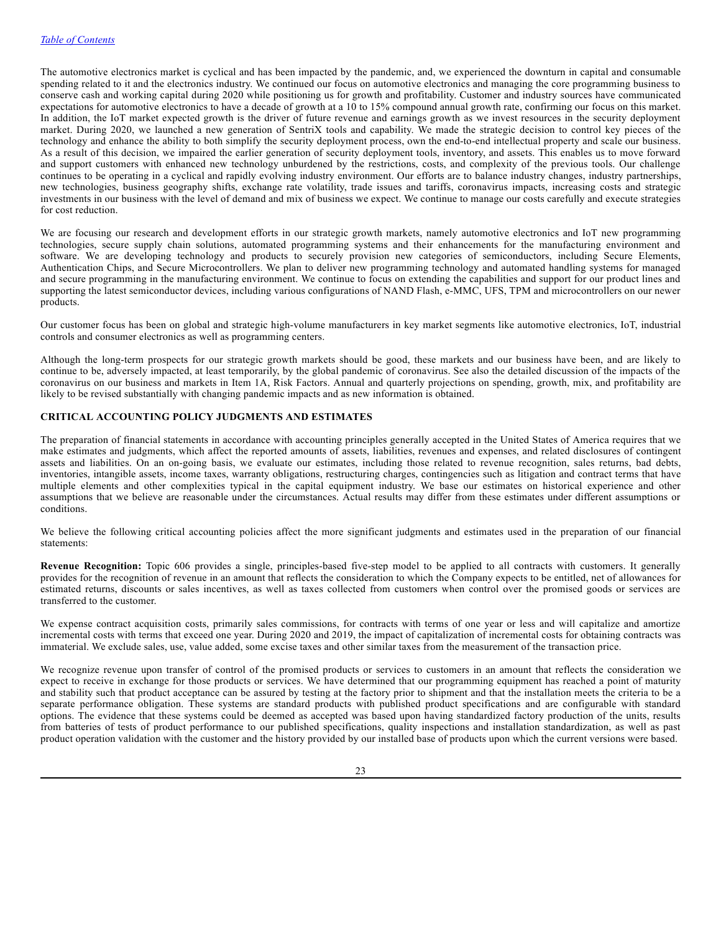The automotive electronics market is cyclical and has been impacted by the pandemic, and, we experienced the downturn in capital and consumable spending related to it and the electronics industry. We continued our focus on automotive electronics and managing the core programming business to conserve cash and working capital during 2020 while positioning us for growth and profitability. Customer and industry sources have communicated expectations for automotive electronics to have a decade of growth at a 10 to 15% compound annual growth rate, confirming our focus on this market. In addition, the IoT market expected growth is the driver of future revenue and earnings growth as we invest resources in the security deployment market. During 2020, we launched a new generation of SentriX tools and capability. We made the strategic decision to control key pieces of the technology and enhance the ability to both simplify the security deployment process, own the end-to-end intellectual property and scale our business. As a result of this decision, we impaired the earlier generation of security deployment tools, inventory, and assets. This enables us to move forward and support customers with enhanced new technology unburdened by the restrictions, costs, and complexity of the previous tools. Our challenge continues to be operating in a cyclical and rapidly evolving industry environment. Our efforts are to balance industry changes, industry partnerships, new technologies, business geography shifts, exchange rate volatility, trade issues and tariffs, coronavirus impacts, increasing costs and strategic investments in our business with the level of demand and mix of business we expect. We continue to manage our costs carefully and execute strategies for cost reduction.

We are focusing our research and development efforts in our strategic growth markets, namely automotive electronics and IoT new programming technologies, secure supply chain solutions, automated programming systems and their enhancements for the manufacturing environment and software. We are developing technology and products to securely provision new categories of semiconductors, including Secure Elements, Authentication Chips, and Secure Microcontrollers. We plan to deliver new programming technology and automated handling systems for managed and secure programming in the manufacturing environment. We continue to focus on extending the capabilities and support for our product lines and supporting the latest semiconductor devices, including various configurations of NAND Flash, e-MMC, UFS, TPM and microcontrollers on our newer products.

Our customer focus has been on global and strategic high-volume manufacturers in key market segments like automotive electronics, IoT, industrial controls and consumer electronics as well as programming centers.

Although the long-term prospects for our strategic growth markets should be good, these markets and our business have been, and are likely to continue to be, adversely impacted, at least temporarily, by the global pandemic of coronavirus. See also the detailed discussion of the impacts of the coronavirus on our business and markets in Item 1A, Risk Factors. Annual and quarterly projections on spending, growth, mix, and profitability are likely to be revised substantially with changing pandemic impacts and as new information is obtained.

#### **CRITICAL ACCOUNTING POLICY JUDGMENTS AND ESTIMATES**

The preparation of financial statements in accordance with accounting principles generally accepted in the United States of America requires that we make estimates and judgments, which affect the reported amounts of assets, liabilities, revenues and expenses, and related disclosures of contingent assets and liabilities. On an on-going basis, we evaluate our estimates, including those related to revenue recognition, sales returns, bad debts, inventories, intangible assets, income taxes, warranty obligations, restructuring charges, contingencies such as litigation and contract terms that have multiple elements and other complexities typical in the capital equipment industry. We base our estimates on historical experience and other assumptions that we believe are reasonable under the circumstances. Actual results may differ from these estimates under different assumptions or conditions.

We believe the following critical accounting policies affect the more significant judgments and estimates used in the preparation of our financial statements:

**Revenue Recognition:** Topic 606 provides a single, principles-based five-step model to be applied to all contracts with customers. It generally provides for the recognition of revenue in an amount that reflects the consideration to which the Company expects to be entitled, net of allowances for estimated returns, discounts or sales incentives, as well as taxes collected from customers when control over the promised goods or services are transferred to the customer.

We expense contract acquisition costs, primarily sales commissions, for contracts with terms of one year or less and will capitalize and amortize incremental costs with terms that exceed one year. During 2020 and 2019, the impact of capitalization of incremental costs for obtaining contracts was immaterial. We exclude sales, use, value added, some excise taxes and other similar taxes from the measurement of the transaction price.

We recognize revenue upon transfer of control of the promised products or services to customers in an amount that reflects the consideration we expect to receive in exchange for those products or services. We have determined that our programming equipment has reached a point of maturity and stability such that product acceptance can be assured by testing at the factory prior to shipment and that the installation meets the criteria to be a separate performance obligation. These systems are standard products with published product specifications and are configurable with standard options. The evidence that these systems could be deemed as accepted was based upon having standardized factory production of the units, results from batteries of tests of product performance to our published specifications, quality inspections and installation standardization, as well as past product operation validation with the customer and the history provided by our installed base of products upon which the current versions were based.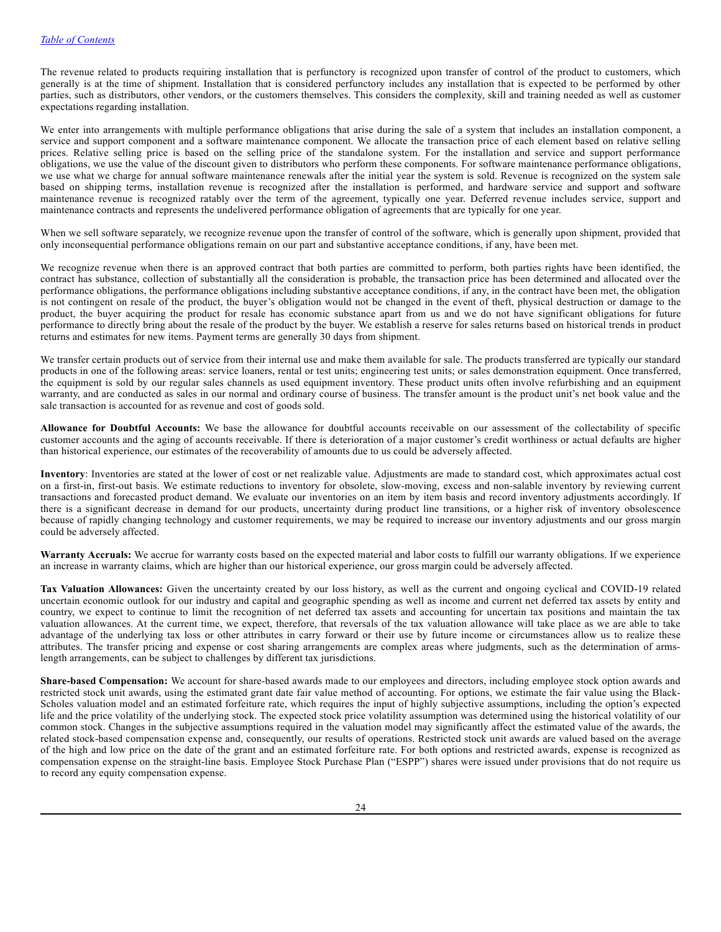The revenue related to products requiring installation that is perfunctory is recognized upon transfer of control of the product to customers, which generally is at the time of shipment. Installation that is considered perfunctory includes any installation that is expected to be performed by other parties, such as distributors, other vendors, or the customers themselves. This considers the complexity, skill and training needed as well as customer expectations regarding installation.

We enter into arrangements with multiple performance obligations that arise during the sale of a system that includes an installation component, a service and support component and a software maintenance component. We allocate the transaction price of each element based on relative selling prices. Relative selling price is based on the selling price of the standalone system. For the installation and service and support performance obligations, we use the value of the discount given to distributors who perform these components. For software maintenance performance obligations, we use what we charge for annual software maintenance renewals after the initial year the system is sold. Revenue is recognized on the system sale based on shipping terms, installation revenue is recognized after the installation is performed, and hardware service and support and software maintenance revenue is recognized ratably over the term of the agreement, typically one year. Deferred revenue includes service, support and maintenance contracts and represents the undelivered performance obligation of agreements that are typically for one year.

When we sell software separately, we recognize revenue upon the transfer of control of the software, which is generally upon shipment, provided that only inconsequential performance obligations remain on our part and substantive acceptance conditions, if any, have been met.

We recognize revenue when there is an approved contract that both parties are committed to perform, both parties rights have been identified, the contract has substance, collection of substantially all the consideration is probable, the transaction price has been determined and allocated over the performance obligations, the performance obligations including substantive acceptance conditions, if any, in the contract have been met, the obligation is not contingent on resale of the product, the buyer's obligation would not be changed in the event of theft, physical destruction or damage to the product, the buyer acquiring the product for resale has economic substance apart from us and we do not have significant obligations for future performance to directly bring about the resale of the product by the buyer. We establish a reserve for sales returns based on historical trends in product returns and estimates for new items. Payment terms are generally 30 days from shipment.

We transfer certain products out of service from their internal use and make them available for sale. The products transferred are typically our standard products in one of the following areas: service loaners, rental or test units; engineering test units; or sales demonstration equipment. Once transferred, the equipment is sold by our regular sales channels as used equipment inventory. These product units often involve refurbishing and an equipment warranty, and are conducted as sales in our normal and ordinary course of business. The transfer amount is the product unit's net book value and the sale transaction is accounted for as revenue and cost of goods sold.

**Allowance for Doubtful Accounts:** We base the allowance for doubtful accounts receivable on our assessment of the collectability of specific customer accounts and the aging of accounts receivable. If there is deterioration of a major customer's credit worthiness or actual defaults are higher than historical experience, our estimates of the recoverability of amounts due to us could be adversely affected.

**Inventory**: Inventories are stated at the lower of cost or net realizable value. Adjustments are made to standard cost, which approximates actual cost on a first-in, first-out basis. We estimate reductions to inventory for obsolete, slow-moving, excess and non-salable inventory by reviewing current transactions and forecasted product demand. We evaluate our inventories on an item by item basis and record inventory adjustments accordingly. If there is a significant decrease in demand for our products, uncertainty during product line transitions, or a higher risk of inventory obsolescence because of rapidly changing technology and customer requirements, we may be required to increase our inventory adjustments and our gross margin could be adversely affected.

**Warranty Accruals:** We accrue for warranty costs based on the expected material and labor costs to fulfill our warranty obligations. If we experience an increase in warranty claims, which are higher than our historical experience, our gross margin could be adversely affected.

**Tax Valuation Allowances:** Given the uncertainty created by our loss history, as well as the current and ongoing cyclical and COVID-19 related uncertain economic outlook for our industry and capital and geographic spending as well as income and current net deferred tax assets by entity and country, we expect to continue to limit the recognition of net deferred tax assets and accounting for uncertain tax positions and maintain the tax valuation allowances. At the current time, we expect, therefore, that reversals of the tax valuation allowance will take place as we are able to take advantage of the underlying tax loss or other attributes in carry forward or their use by future income or circumstances allow us to realize these attributes. The transfer pricing and expense or cost sharing arrangements are complex areas where judgments, such as the determination of armslength arrangements, can be subject to challenges by different tax jurisdictions.

**Share-based Compensation:** We account for share-based awards made to our employees and directors, including employee stock option awards and restricted stock unit awards, using the estimated grant date fair value method of accounting. For options, we estimate the fair value using the Black-Scholes valuation model and an estimated forfeiture rate, which requires the input of highly subjective assumptions, including the option's expected life and the price volatility of the underlying stock. The expected stock price volatility assumption was determined using the historical volatility of our common stock. Changes in the subjective assumptions required in the valuation model may significantly affect the estimated value of the awards, the related stock-based compensation expense and, consequently, our results of operations. Restricted stock unit awards are valued based on the average of the high and low price on the date of the grant and an estimated forfeiture rate. For both options and restricted awards, expense is recognized as compensation expense on the straight-line basis. Employee Stock Purchase Plan ("ESPP") shares were issued under provisions that do not require us to record any equity compensation expense.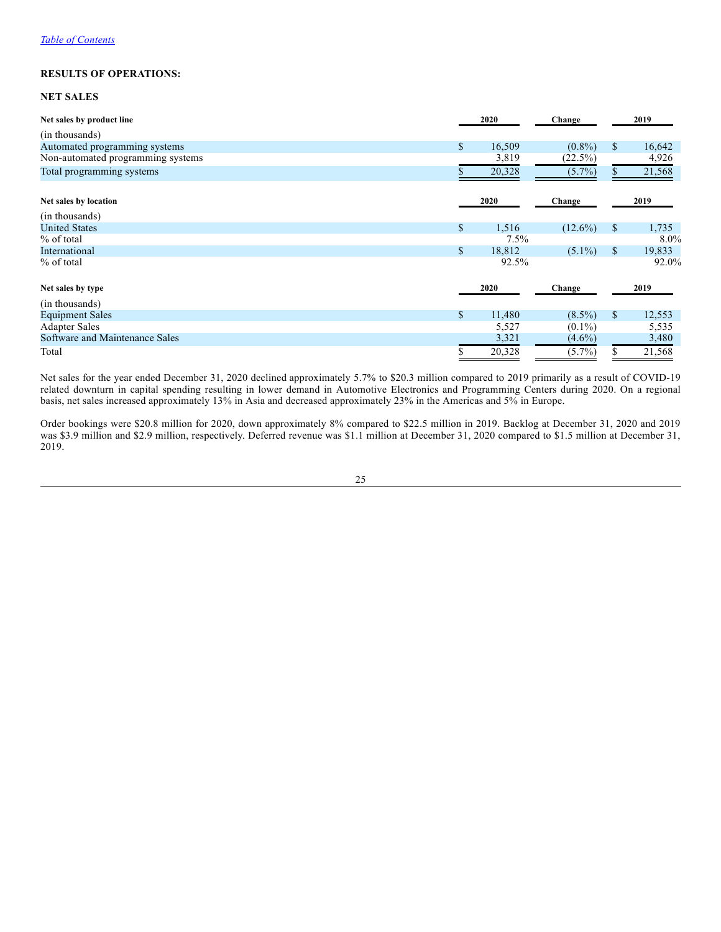## **RESULTS OF OPERATIONS:**

## **NET SALES**

| Net sales by product line              |              | 2020   | Change     |               | 2019    |
|----------------------------------------|--------------|--------|------------|---------------|---------|
| (in thousands)                         |              |        |            |               |         |
| Automated programming systems          | $\mathbb{S}$ | 16,509 | $(0.8\%)$  | <sup>\$</sup> | 16,642  |
| Non-automated programming systems      |              | 3,819  | (22.5%)    |               | 4,926   |
| Total programming systems              |              | 20,328 | $(5.7\%)$  |               | 21,568  |
| Net sales by location                  |              | 2020   | Change     |               | 2019    |
|                                        |              |        |            |               |         |
| (in thousands)<br><b>United States</b> | $\mathbb{S}$ | 1,516  | $(12.6\%)$ | <sup>\$</sup> | 1,735   |
| % of total                             |              | 7.5%   |            |               | $8.0\%$ |
| International                          | $\mathbb{S}$ | 18,812 | $(5.1\%)$  | <sup>\$</sup> | 19,833  |
| % of total                             |              | 92.5%  |            |               | 92.0%   |
| Net sales by type                      |              | 2020   | Change     |               | 2019    |
| (in thousands)                         |              |        |            |               |         |
| <b>Equipment Sales</b>                 | \$           | 11,480 | $(8.5\%)$  | $\mathbb{S}$  | 12,553  |
| <b>Adapter Sales</b>                   |              | 5,527  | $(0.1\%)$  |               | 5,535   |
| Software and Maintenance Sales         |              | 3,321  | $(4.6\%)$  |               | 3,480   |
| Total                                  |              | 20,328 | $(5.7\%)$  |               | 21,568  |

Net sales for the year ended December 31, 2020 declined approximately 5.7% to \$20.3 million compared to 2019 primarily as a result of COVID-19 related downturn in capital spending resulting in lower demand in Automotive Electronics and Programming Centers during 2020. On a regional basis, net sales increased approximately 13% in Asia and decreased approximately 23% in the Americas and 5% in Europe.

Order bookings were \$20.8 million for 2020, down approximately 8% compared to \$22.5 million in 2019. Backlog at December 31, 2020 and 2019 was \$3.9 million and \$2.9 million, respectively. Deferred revenue was \$1.1 million at December 31, 2020 compared to \$1.5 million at December 31, 2019.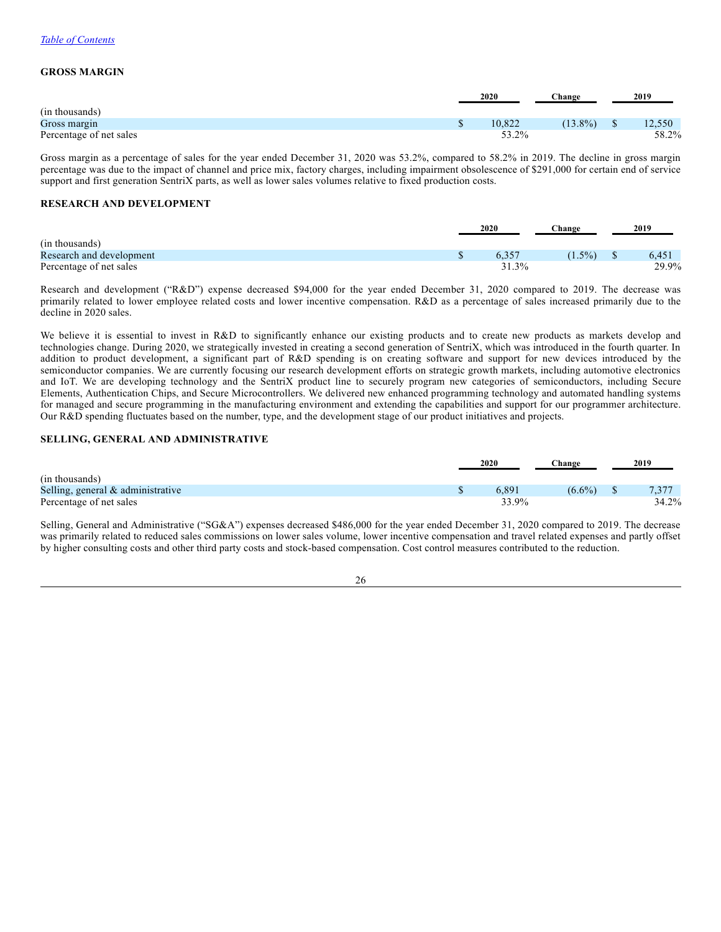#### **GROSS MARGIN**

|                         |  | 2020   |            | 2019   |
|-------------------------|--|--------|------------|--------|
| (in thousands)          |  |        |            |        |
| Gross margin            |  | 10.822 | $(13.8\%)$ | 12,550 |
| Percentage of net sales |  | 53.2%  |            | 58.2%  |

Gross margin as a percentage of sales for the year ended December 31, 2020 was 53.2%, compared to 58.2% in 2019. The decline in gross margin percentage was due to the impact of channel and price mix, factory charges, including impairment obsolescence of \$291,000 for certain end of service support and first generation SentriX parts, as well as lower sales volumes relative to fixed production costs.

#### **RESEARCH AND DEVELOPMENT**

|                          | 2020  |           | 2019  |
|--------------------------|-------|-----------|-------|
| (in thousands)           |       |           |       |
| Research and development |       | $(1.5\%)$ | 6,45  |
| Percentage of net sales  | 31.3% |           | 29.9% |

Research and development ("R&D") expense decreased \$94,000 for the year ended December 31, 2020 compared to 2019. The decrease was primarily related to lower employee related costs and lower incentive compensation. R&D as a percentage of sales increased primarily due to the decline in 2020 sales.

We believe it is essential to invest in R&D to significantly enhance our existing products and to create new products as markets develop and technologies change. During 2020, we strategically invested in creating a second generation of SentriX, which was introduced in the fourth quarter. In addition to product development, a significant part of R&D spending is on creating software and support for new devices introduced by the semiconductor companies. We are currently focusing our research development efforts on strategic growth markets, including automotive electronics and IoT. We are developing technology and the SentriX product line to securely program new categories of semiconductors, including Secure Elements, Authentication Chips, and Secure Microcontrollers. We delivered new enhanced programming technology and automated handling systems for managed and secure programming in the manufacturing environment and extending the capabilities and support for our programmer architecture. Our R&D spending fluctuates based on the number, type, and the development stage of our product initiatives and projects.

#### **SELLING, GENERAL AND ADMINISTRATIVE**

|                                   | 2020  | Change    | 2019  |
|-----------------------------------|-------|-----------|-------|
| (in thousands)                    |       |           |       |
| Selling, general & administrative | 6.891 | $(6.6\%)$ | 7,377 |
| Percentage of net sales           | 33.9% |           | 34.2% |

Selling, General and Administrative ("SG&A") expenses decreased \$486,000 for the year ended December 31, 2020 compared to 2019. The decrease was primarily related to reduced sales commissions on lower sales volume, lower incentive compensation and travel related expenses and partly offset by higher consulting costs and other third party costs and stock-based compensation. Cost control measures contributed to the reduction.

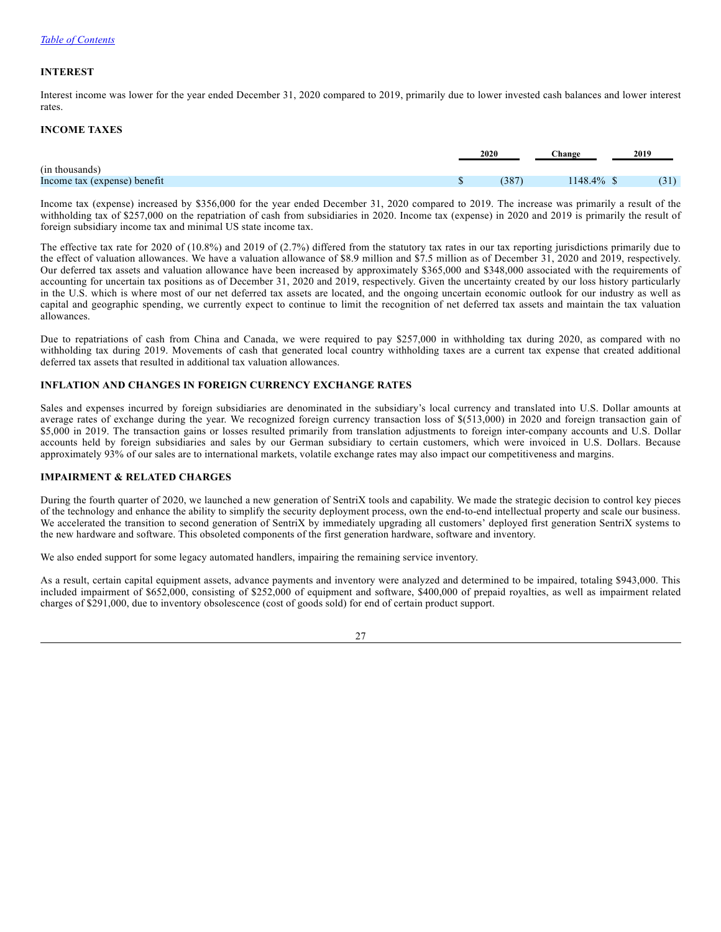#### **INTEREST**

Interest income was lower for the year ended December 31, 2020 compared to 2019, primarily due to lower invested cash balances and lower interest rates.

#### **INCOME TAXES**

|                              | 2020 | .)hange | 2019  |
|------------------------------|------|---------|-------|
| (in thousands)               |      |         |       |
| Income tax (expense) benefit | 387  | 1148.4% | ا د ا |

Income tax (expense) increased by \$356,000 for the year ended December 31, 2020 compared to 2019. The increase was primarily a result of the withholding tax of \$257,000 on the repatriation of cash from subsidiaries in 2020. Income tax (expense) in 2020 and 2019 is primarily the result of foreign subsidiary income tax and minimal US state income tax.

The effective tax rate for 2020 of (10.8%) and 2019 of (2.7%) differed from the statutory tax rates in our tax reporting jurisdictions primarily due to the effect of valuation allowances. We have a valuation allowance of \$8.9 million and \$7.5 million as of December 31, 2020 and 2019, respectively. Our deferred tax assets and valuation allowance have been increased by approximately \$365,000 and \$348,000 associated with the requirements of accounting for uncertain tax positions as of December 31, 2020 and 2019, respectively. Given the uncertainty created by our loss history particularly in the U.S. which is where most of our net deferred tax assets are located, and the ongoing uncertain economic outlook for our industry as well as capital and geographic spending, we currently expect to continue to limit the recognition of net deferred tax assets and maintain the tax valuation allowances.

Due to repatriations of cash from China and Canada, we were required to pay \$257,000 in withholding tax during 2020, as compared with no withholding tax during 2019. Movements of cash that generated local country withholding taxes are a current tax expense that created additional deferred tax assets that resulted in additional tax valuation allowances.

## **INFLATION AND CHANGES IN FOREIGN CURRENCY EXCHANGE RATES**

Sales and expenses incurred by foreign subsidiaries are denominated in the subsidiary's local currency and translated into U.S. Dollar amounts at average rates of exchange during the year. We recognized foreign currency transaction loss of \$(513,000) in 2020 and foreign transaction gain of \$5,000 in 2019. The transaction gains or losses resulted primarily from translation adjustments to foreign inter-company accounts and U.S. Dollar accounts held by foreign subsidiaries and sales by our German subsidiary to certain customers, which were invoiced in U.S. Dollars. Because approximately 93% of our sales are to international markets, volatile exchange rates may also impact our competitiveness and margins.

## **IMPAIRMENT & RELATED CHARGES**

During the fourth quarter of 2020, we launched a new generation of SentriX tools and capability. We made the strategic decision to control key pieces of the technology and enhance the ability to simplify the security deployment process, own the end-to-end intellectual property and scale our business. We accelerated the transition to second generation of SentriX by immediately upgrading all customers' deployed first generation SentriX systems to the new hardware and software. This obsoleted components of the first generation hardware, software and inventory.

We also ended support for some legacy automated handlers, impairing the remaining service inventory.

As a result, certain capital equipment assets, advance payments and inventory were analyzed and determined to be impaired, totaling \$943,000. This included impairment of \$652,000, consisting of \$252,000 of equipment and software, \$400,000 of prepaid royalties, as well as impairment related charges of \$291,000, due to inventory obsolescence (cost of goods sold) for end of certain product support.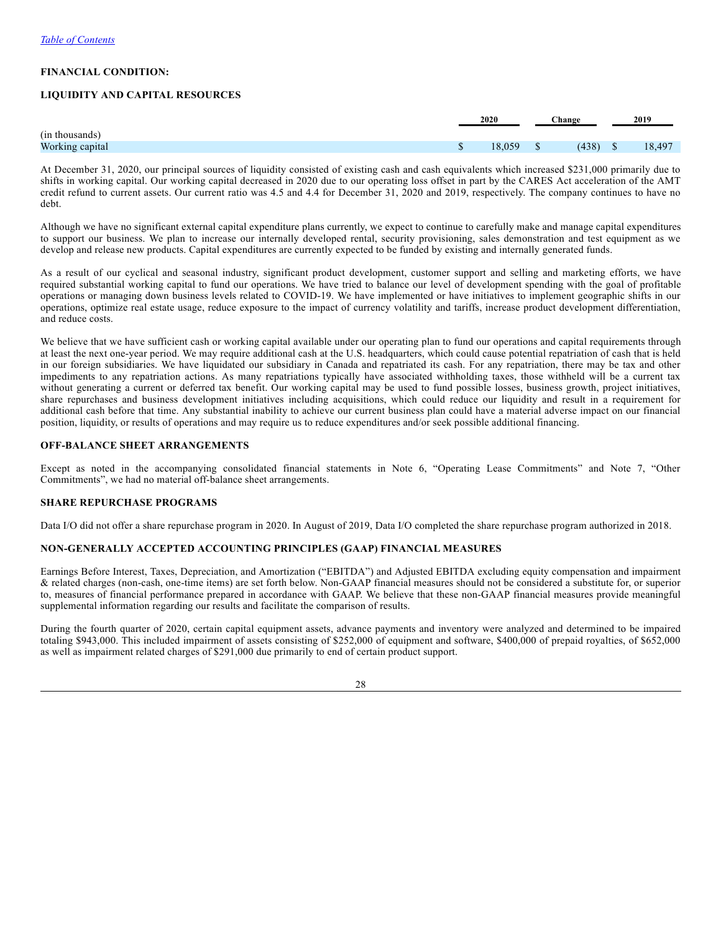## **FINANCIAL CONDITION:**

## **LIQUIDITY AND CAPITAL RESOURCES**

|                 | 2020   |  | <b>Change</b> | 2019 |        |
|-----------------|--------|--|---------------|------|--------|
| (in thousands)  |        |  |               |      |        |
| Working capital | 18,059 |  | (438)         |      | 18,497 |

At December 31, 2020, our principal sources of liquidity consisted of existing cash and cash equivalents which increased \$231,000 primarily due to shifts in working capital. Our working capital decreased in 2020 due to our operating loss offset in part by the CARES Act acceleration of the AMT credit refund to current assets. Our current ratio was 4.5 and 4.4 for December 31, 2020 and 2019, respectively. The company continues to have no debt.

Although we have no significant external capital expenditure plans currently, we expect to continue to carefully make and manage capital expenditures to support our business. We plan to increase our internally developed rental, security provisioning, sales demonstration and test equipment as we develop and release new products. Capital expenditures are currently expected to be funded by existing and internally generated funds.

As a result of our cyclical and seasonal industry, significant product development, customer support and selling and marketing efforts, we have required substantial working capital to fund our operations. We have tried to balance our level of development spending with the goal of profitable operations or managing down business levels related to COVID-19. We have implemented or have initiatives to implement geographic shifts in our operations, optimize real estate usage, reduce exposure to the impact of currency volatility and tariffs, increase product development differentiation, and reduce costs.

We believe that we have sufficient cash or working capital available under our operating plan to fund our operations and capital requirements through at least the next one-year period. We may require additional cash at the U.S. headquarters, which could cause potential repatriation of cash that is held in our foreign subsidiaries. We have liquidated our subsidiary in Canada and repatriated its cash. For any repatriation, there may be tax and other impediments to any repatriation actions. As many repatriations typically have associated withholding taxes, those withheld will be a current tax without generating a current or deferred tax benefit. Our working capital may be used to fund possible losses, business growth, project initiatives, share repurchases and business development initiatives including acquisitions, which could reduce our liquidity and result in a requirement for additional cash before that time. Any substantial inability to achieve our current business plan could have a material adverse impact on our financial position, liquidity, or results of operations and may require us to reduce expenditures and/or seek possible additional financing.

#### **OFF-BALANCE SHEET ARRANGEMENTS**

Except as noted in the accompanying consolidated financial statements in Note 6, "Operating Lease Commitments" and Note 7, "Other Commitments", we had no material off-balance sheet arrangements.

#### **SHARE REPURCHASE PROGRAMS**

Data I/O did not offer a share repurchase program in 2020. In August of 2019, Data I/O completed the share repurchase program authorized in 2018.

#### **NON-GENERALLY ACCEPTED ACCOUNTING PRINCIPLES (GAAP) FINANCIAL MEASURES**

Earnings Before Interest, Taxes, Depreciation, and Amortization ("EBITDA") and Adjusted EBITDA excluding equity compensation and impairment & related charges (non-cash, one-time items) are set forth below. Non-GAAP financial measures should not be considered a substitute for, or superior to, measures of financial performance prepared in accordance with GAAP. We believe that these non-GAAP financial measures provide meaningful supplemental information regarding our results and facilitate the comparison of results.

During the fourth quarter of 2020, certain capital equipment assets, advance payments and inventory were analyzed and determined to be impaired totaling \$943,000. This included impairment of assets consisting of \$252,000 of equipment and software, \$400,000 of prepaid royalties, of \$652,000 as well as impairment related charges of \$291,000 due primarily to end of certain product support.

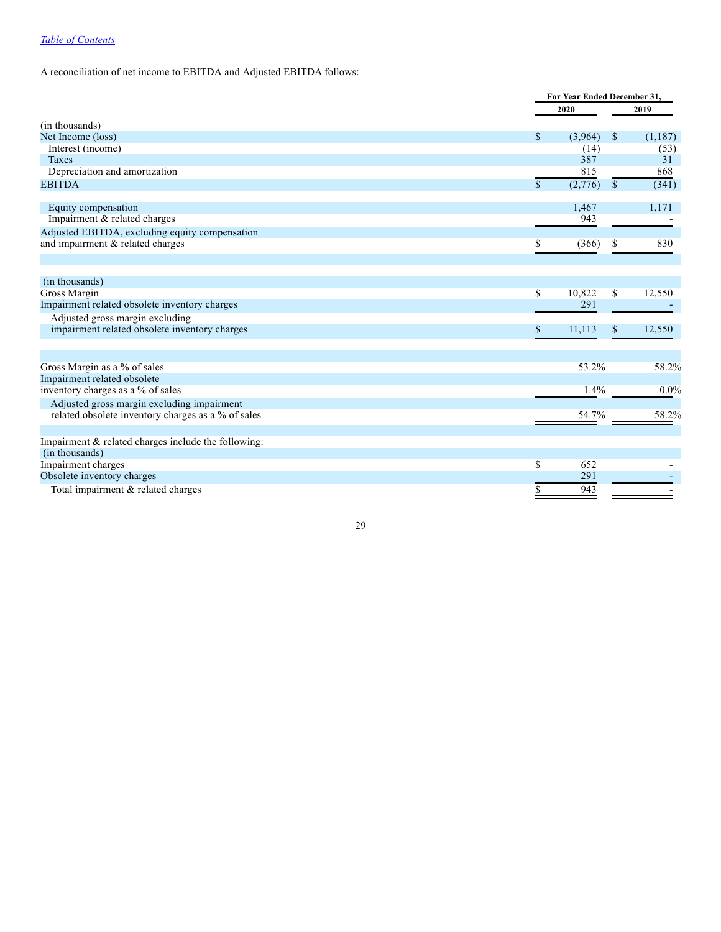A reconciliation of net income to EBITDA and Adjusted EBITDA follows:

|                                                               |                         | For Year Ended December 31, |
|---------------------------------------------------------------|-------------------------|-----------------------------|
|                                                               | 2020                    | 2019                        |
| (in thousands)                                                |                         |                             |
| Net Income (loss)                                             | $\mathbb{S}$<br>(3,964) | $\mathbb{S}$<br>(1,187)     |
| Interest (income)                                             | (14)                    | (53)                        |
| <b>Taxes</b>                                                  | 387                     | 31                          |
| Depreciation and amortization                                 | 815                     | 868                         |
| <b>EBITDA</b>                                                 | (2,776)                 | (341)<br>$\mathcal{S}$      |
| Equity compensation                                           | 1,467                   | 1,171                       |
| Impairment & related charges                                  | 943                     |                             |
| Adjusted EBITDA, excluding equity compensation                |                         |                             |
| and impairment & related charges                              | (366)                   | 830                         |
|                                                               |                         |                             |
| (in thousands)                                                | \$                      |                             |
| Gross Margin<br>Impairment related obsolete inventory charges | 10,822<br>291           | \$<br>12,550                |
|                                                               |                         |                             |
| Adjusted gross margin excluding                               |                         |                             |
| impairment related obsolete inventory charges                 | 11,113                  | 12,550                      |
| Gross Margin as a % of sales                                  | 53.2%                   | 58.2%                       |
| Impairment related obsolete                                   |                         |                             |
| inventory charges as a % of sales                             | 1.4%                    | $0.0\%$                     |
| Adjusted gross margin excluding impairment                    |                         |                             |
| related obsolete inventory charges as a % of sales            | 54.7%                   | 58.2%                       |
|                                                               |                         |                             |
| Impairment & related charges include the following:           |                         |                             |
| (in thousands)                                                |                         |                             |
| Impairment charges                                            | \$<br>652               |                             |
| Obsolete inventory charges                                    | 291                     |                             |
| Total impairment & related charges                            | 943                     |                             |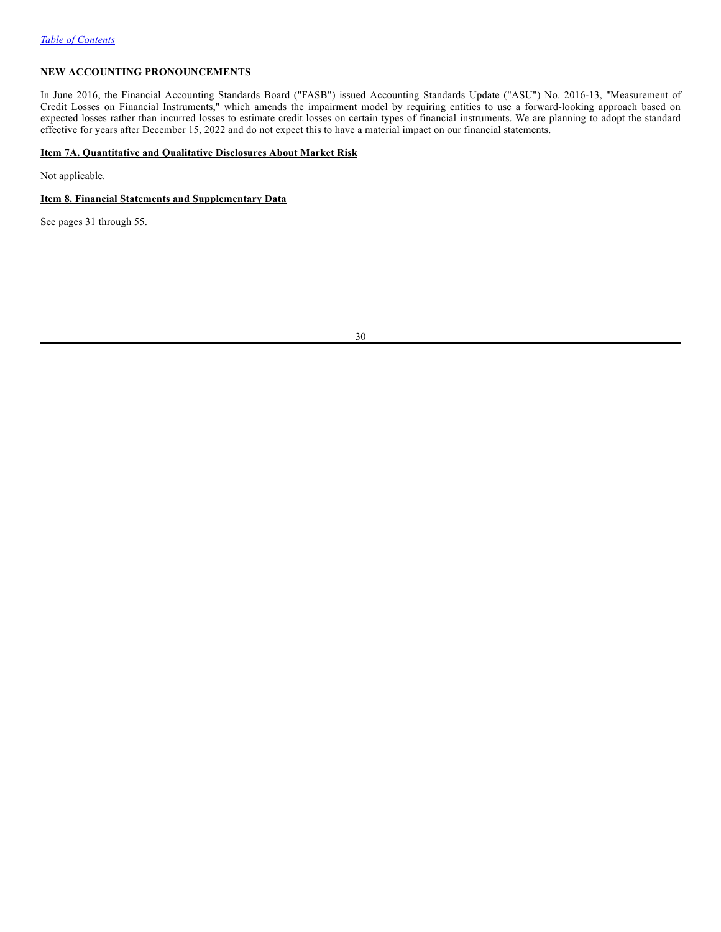## **NEW ACCOUNTING PRONOUNCEMENTS**

In June 2016, the Financial Accounting Standards Board ("FASB") issued Accounting Standards Update ("ASU") No. 2016-13, "Measurement of Credit Losses on Financial Instruments," which amends the impairment model by requiring entities to use a forward-looking approach based on expected losses rather than incurred losses to estimate credit losses on certain types of financial instruments. We are planning to adopt the standard effective for years after December 15, 2022 and do not expect this to have a material impact on our financial statements.

## <span id="page-29-0"></span>**Item 7A. Quantitative and Qualitative Disclosures About Market Risk**

Not applicable.

#### <span id="page-29-1"></span>**Item 8. Financial Statements and Supplementary Data**

See pages 31 through 55.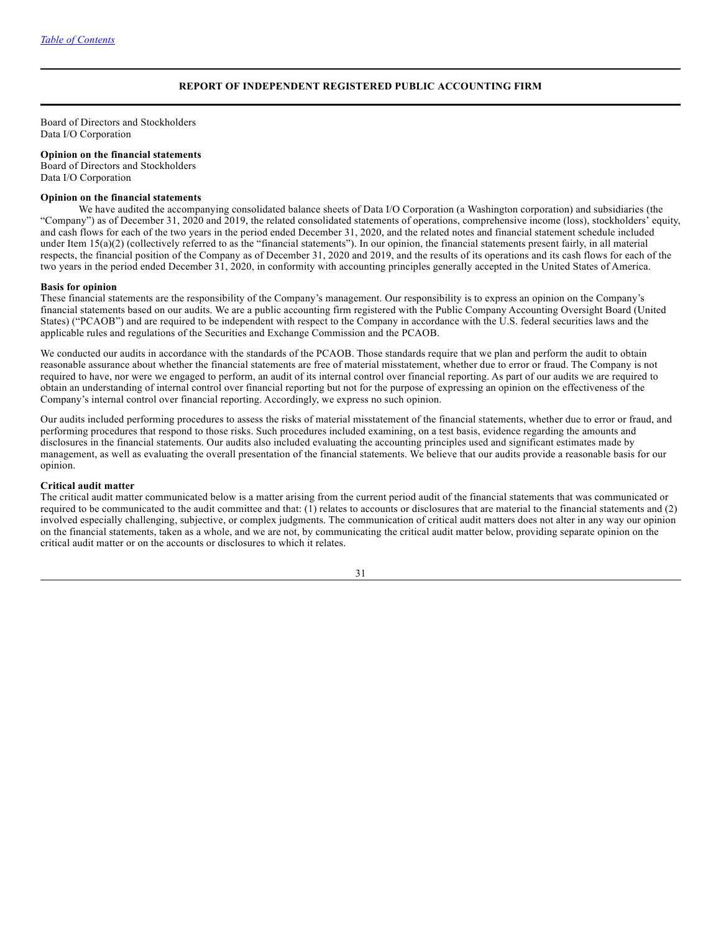#### **REPORT OF INDEPENDENT REGISTERED PUBLIC ACCOUNTING FIRM**

Board of Directors and Stockholders Data I/O Corporation

#### **Opinion on the financial statements**

Board of Directors and Stockholders Data I/O Corporation

#### **Opinion on the financial statements**

We have audited the accompanying consolidated balance sheets of Data I/O Corporation (a Washington corporation) and subsidiaries (the "Company") as of December 31, 2020 and 2019, the related consolidated statements of operations, comprehensive income (loss), stockholders' equity, and cash flows for each of the two years in the period ended December 31, 2020, and the related notes and financial statement schedule included under Item 15(a)(2) (collectively referred to as the "financial statements"). In our opinion, the financial statements present fairly, in all material respects, the financial position of the Company as of December 31, 2020 and 2019, and the results of its operations and its cash flows for each of the two years in the period ended December 31, 2020, in conformity with accounting principles generally accepted in the United States of America.

#### **Basis for opinion**

These financial statements are the responsibility of the Company's management. Our responsibility is to express an opinion on the Company's financial statements based on our audits. We are a public accounting firm registered with the Public Company Accounting Oversight Board (United States) ("PCAOB") and are required to be independent with respect to the Company in accordance with the U.S. federal securities laws and the applicable rules and regulations of the Securities and Exchange Commission and the PCAOB.

We conducted our audits in accordance with the standards of the PCAOB. Those standards require that we plan and perform the audit to obtain reasonable assurance about whether the financial statements are free of material misstatement, whether due to error or fraud. The Company is not required to have, nor were we engaged to perform, an audit of its internal control over financial reporting. As part of our audits we are required to obtain an understanding of internal control over financial reporting but not for the purpose of expressing an opinion on the effectiveness of the Company's internal control over financial reporting. Accordingly, we express no such opinion.

Our audits included performing procedures to assess the risks of material misstatement of the financial statements, whether due to error or fraud, and performing procedures that respond to those risks. Such procedures included examining, on a test basis, evidence regarding the amounts and disclosures in the financial statements. Our audits also included evaluating the accounting principles used and significant estimates made by management, as well as evaluating the overall presentation of the financial statements. We believe that our audits provide a reasonable basis for our opinion.

#### **Critical audit matter**

The critical audit matter communicated below is a matter arising from the current period audit of the financial statements that was communicated or required to be communicated to the audit committee and that: (1) relates to accounts or disclosures that are material to the financial statements and (2) involved especially challenging, subjective, or complex judgments. The communication of critical audit matters does not alter in any way our opinion on the financial statements, taken as a whole, and we are not, by communicating the critical audit matter below, providing separate opinion on the critical audit matter or on the accounts or disclosures to which it relates.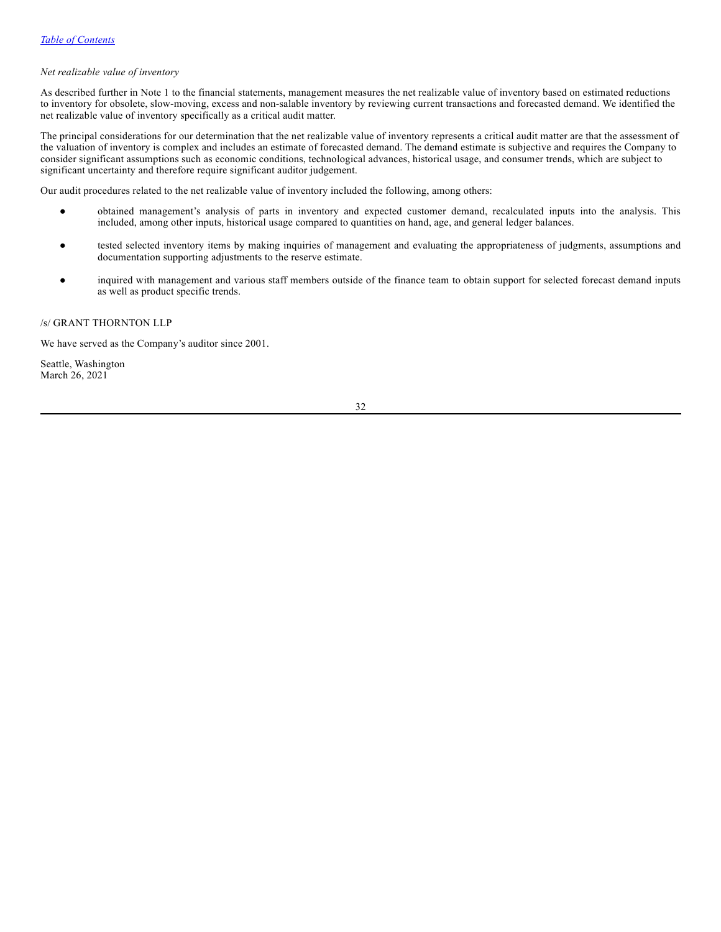#### *Net realizable value of inventory*

As described further in Note 1 to the financial statements, management measures the net realizable value of inventory based on estimated reductions to inventory for obsolete, slow-moving, excess and non-salable inventory by reviewing current transactions and forecasted demand. We identified the net realizable value of inventory specifically as a critical audit matter.

The principal considerations for our determination that the net realizable value of inventory represents a critical audit matter are that the assessment of the valuation of inventory is complex and includes an estimate of forecasted demand. The demand estimate is subjective and requires the Company to consider significant assumptions such as economic conditions, technological advances, historical usage, and consumer trends, which are subject to significant uncertainty and therefore require significant auditor judgement.

Our audit procedures related to the net realizable value of inventory included the following, among others:

- obtained management's analysis of parts in inventory and expected customer demand, recalculated inputs into the analysis. This included, among other inputs, historical usage compared to quantities on hand, age, and general ledger balances.
- tested selected inventory items by making inquiries of management and evaluating the appropriateness of judgments, assumptions and documentation supporting adjustments to the reserve estimate.
- inquired with management and various staff members outside of the finance team to obtain support for selected forecast demand inputs as well as product specific trends.

#### /s/ GRANT THORNTON LLP

We have served as the Company's auditor since 2001.

Seattle, Washington March 26, 2021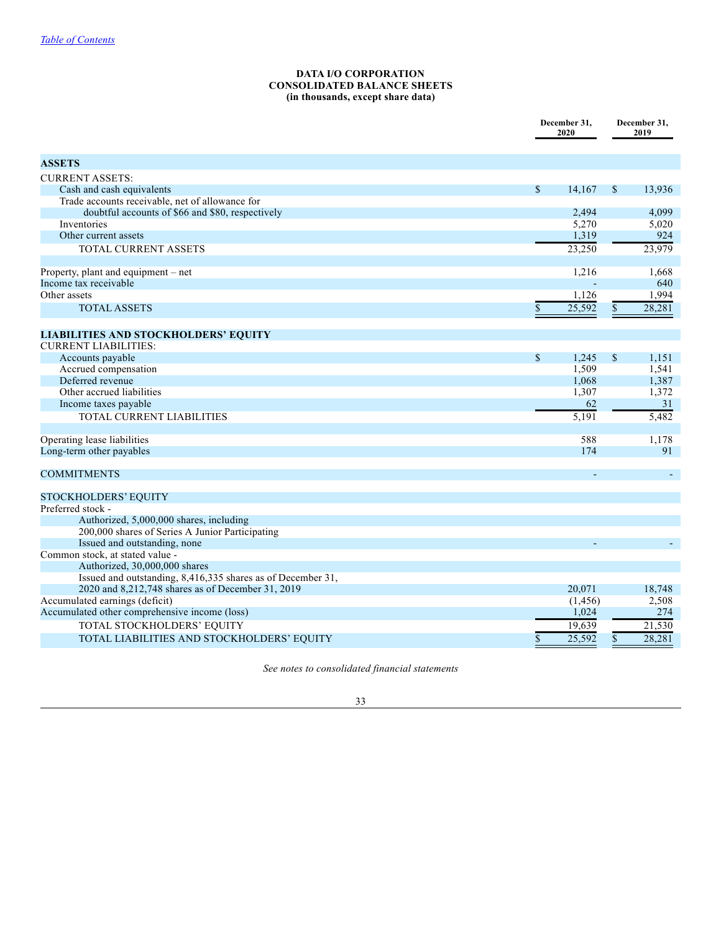## **DATA I/O CORPORATION CONSOLIDATED BALANCE SHEETS (in thousands, except share data)**

|                                                             | December 31,<br>2020 |          | December 31,<br>2019 |        |
|-------------------------------------------------------------|----------------------|----------|----------------------|--------|
|                                                             |                      |          |                      |        |
| <b>ASSETS</b>                                               |                      |          |                      |        |
| <b>CURRENT ASSETS:</b>                                      |                      |          |                      |        |
| Cash and cash equivalents                                   | $\mathbf S$          | 14,167   | $\mathbb{S}$         | 13,936 |
| Trade accounts receivable, net of allowance for             |                      |          |                      |        |
| doubtful accounts of \$66 and \$80, respectively            |                      | 2,494    |                      | 4.099  |
| Inventories                                                 |                      | 5,270    |                      | 5,020  |
| Other current assets                                        |                      | 1,319    |                      | 924    |
| <b>TOTAL CURRENT ASSETS</b>                                 |                      | 23,250   |                      | 23,979 |
| Property, plant and equipment – net                         |                      | 1,216    |                      | 1,668  |
| Income tax receivable                                       |                      |          |                      | 640    |
| Other assets                                                |                      | 1,126    |                      | 1,994  |
| <b>TOTAL ASSETS</b>                                         | \$                   | 25,592   | $\mathbb{S}$         | 28,281 |
| <b>LIABILITIES AND STOCKHOLDERS' EQUITY</b>                 |                      |          |                      |        |
| <b>CURRENT LIABILITIES:</b>                                 |                      |          |                      |        |
| Accounts payable                                            | $\mathbb{S}$         | 1,245    | $\mathcal{S}$        | 1,151  |
| Accrued compensation                                        |                      | 1,509    |                      | 1,541  |
| Deferred revenue                                            |                      | 1,068    |                      | 1,387  |
| Other accrued liabilities                                   |                      | 1,307    |                      | 1,372  |
| Income taxes payable                                        |                      | 62       |                      | 31     |
| <b>TOTAL CURRENT LIABILITIES</b>                            |                      | 5,191    |                      | 5,482  |
|                                                             |                      |          |                      |        |
| Operating lease liabilities                                 |                      | 588      |                      | 1,178  |
| Long-term other payables                                    |                      | 174      |                      | 91     |
| <b>COMMITMENTS</b>                                          |                      |          |                      |        |
| <b>STOCKHOLDERS' EQUITY</b>                                 |                      |          |                      |        |
| Preferred stock -                                           |                      |          |                      |        |
| Authorized, 5,000,000 shares, including                     |                      |          |                      |        |
| 200,000 shares of Series A Junior Participating             |                      |          |                      |        |
| Issued and outstanding, none                                |                      |          |                      |        |
| Common stock, at stated value -                             |                      |          |                      |        |
| Authorized, 30,000,000 shares                               |                      |          |                      |        |
| Issued and outstanding, 8,416,335 shares as of December 31, |                      |          |                      |        |
| 2020 and 8,212,748 shares as of December 31, 2019           |                      | 20,071   |                      | 18,748 |
| Accumulated earnings (deficit)                              |                      | (1, 456) |                      | 2,508  |
| Accumulated other comprehensive income (loss)               |                      | 1,024    |                      | 274    |
| TOTAL STOCKHOLDERS' EQUITY                                  |                      | 19.639   |                      | 21,530 |
| TOTAL LIABILITIES AND STOCKHOLDERS' EQUITY                  | \$                   | 25,592   | \$                   | 28,281 |

*See notes to consolidated financial statements*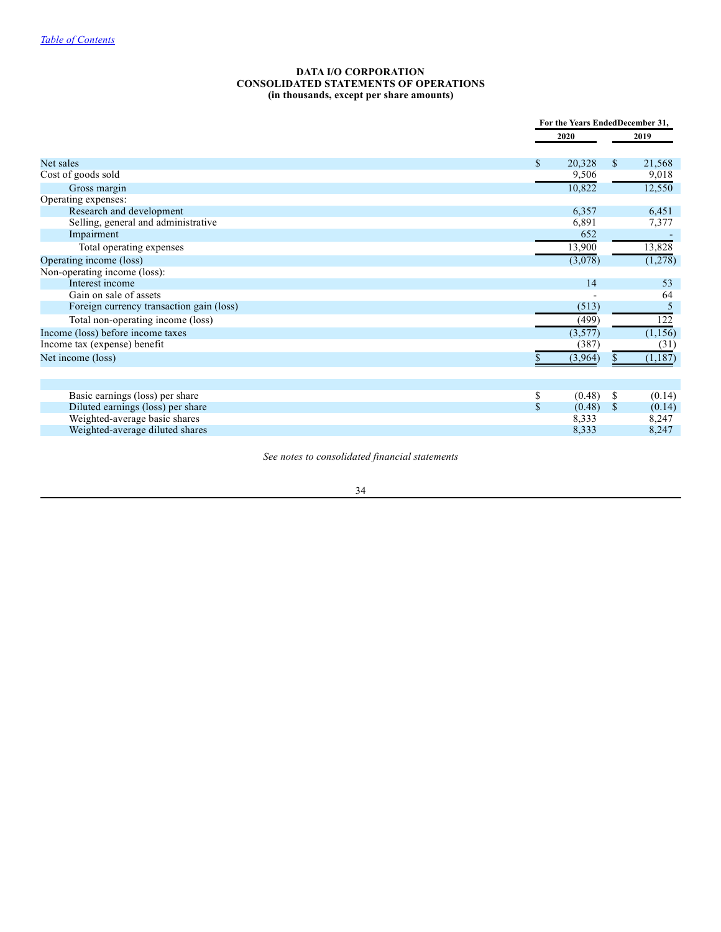## **DATA I/O CORPORATION CONSOLIDATED STATEMENTS OF OPERATIONS (in thousands, except per share amounts)**

|                                          |              | For the Years EndedDecember 31, |
|------------------------------------------|--------------|---------------------------------|
|                                          | 2020         | 2019                            |
|                                          |              |                                 |
| Net sales                                | \$<br>20,328 | \$<br>21,568                    |
| Cost of goods sold                       | 9,506        | 9,018                           |
| Gross margin                             | 10,822       | 12,550                          |
| Operating expenses:                      |              |                                 |
| Research and development                 | 6,357        | 6,451                           |
| Selling, general and administrative      | 6,891        | 7,377                           |
| Impairment                               | 652          |                                 |
| Total operating expenses                 | 13,900       | 13,828                          |
| Operating income (loss)                  | (3,078)      | (1,278)                         |
| Non-operating income (loss):             |              |                                 |
| Interest income                          | 14           | 53                              |
| Gain on sale of assets                   |              | 64                              |
| Foreign currency transaction gain (loss) | (513)        | 5                               |
| Total non-operating income (loss)        | (499)        | 122                             |
| Income (loss) before income taxes        | (3,577)      | (1,156)                         |
| Income tax (expense) benefit             | (387)        | (31)                            |
| Net income (loss)                        | (3,964)      | (1,187)<br>S                    |
|                                          |              |                                 |
| Basic earnings (loss) per share          | \$<br>(0.48) | S<br>(0.14)                     |
| Diluted earnings (loss) per share        | \$<br>(0.48) | $\mathbb{S}$<br>(0.14)          |
| Weighted-average basic shares            | 8,333        | 8,247                           |
| Weighted-average diluted shares          | 8,333        | 8,247                           |
|                                          |              |                                 |

*See notes to consolidated financial statements*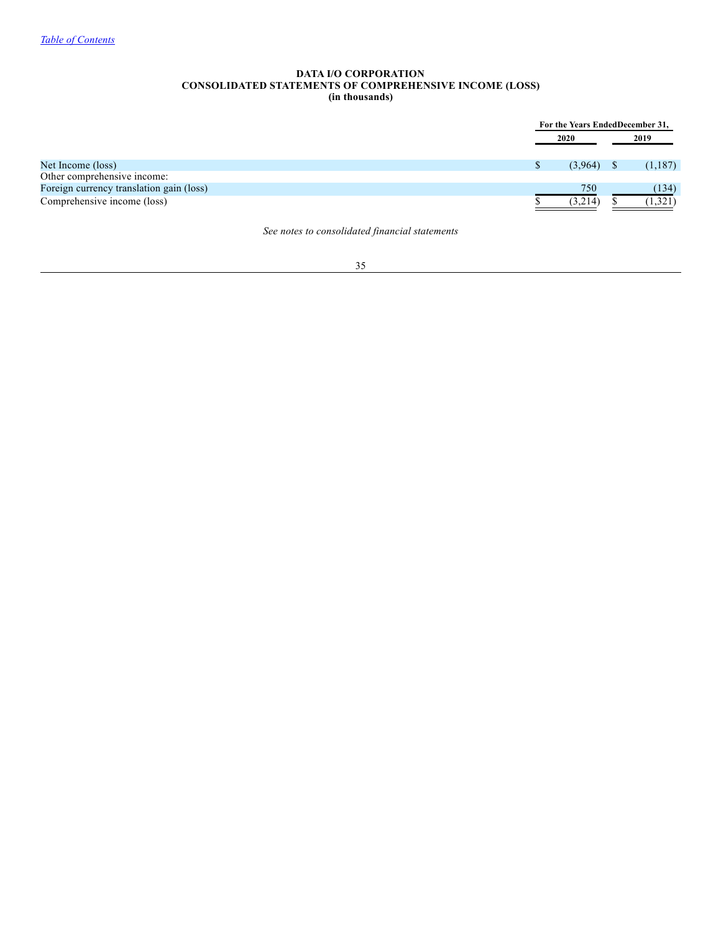#### **DATA I/O CORPORATION CONSOLIDATED STATEMENTS OF COMPREHENSIVE INCOME (LOSS) (in thousands)**

|                                                  |  | For the Years EndedDecember 31, |  |         |  |
|--------------------------------------------------|--|---------------------------------|--|---------|--|
|                                                  |  | 2020                            |  | 2019    |  |
| Net Income (loss)<br>Other comprehensive income: |  | (3,964)                         |  | (1,187) |  |
| Foreign currency translation gain (loss)         |  | 750                             |  | (134)   |  |
| Comprehensive income (loss)                      |  | (3,214)                         |  | (1,321) |  |

*See notes to consolidated financial statements*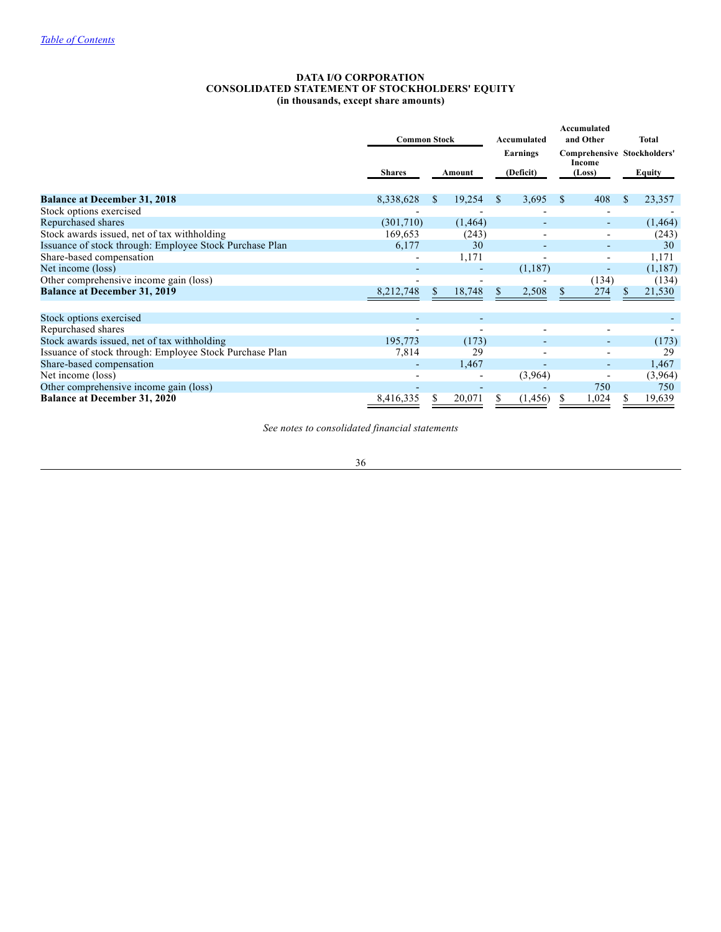#### **DATA I/O CORPORATION CONSOLIDATED STATEMENT OF STOCKHOLDERS' EQUITY (in thousands, except share amounts)**

|                                                         | <b>Common Stock</b><br><b>Shares</b> |    | Amount   |              | Accumulated<br>Earnings<br>(Deficit) |              | Accumulated<br>and Other<br><b>Comprehensive Stockholders'</b><br>Income<br>(Loss) |    | <b>Total</b><br>Equity |
|---------------------------------------------------------|--------------------------------------|----|----------|--------------|--------------------------------------|--------------|------------------------------------------------------------------------------------|----|------------------------|
| <b>Balance at December 31, 2018</b>                     | 8,338,628                            | S. | 19,254   | <sup>S</sup> | 3,695                                | <sup>S</sup> | 408                                                                                | \$ | 23,357                 |
| Stock options exercised                                 |                                      |    |          |              |                                      |              |                                                                                    |    |                        |
| Repurchased shares                                      | (301,710)                            |    | (1, 464) |              |                                      |              | $\blacksquare$                                                                     |    | (1, 464)               |
| Stock awards issued, net of tax withholding             | 169,653                              |    | (243)    |              |                                      |              |                                                                                    |    | (243)                  |
| Issuance of stock through: Employee Stock Purchase Plan | 6,177                                |    | 30       |              | -                                    |              | $\overline{\phantom{a}}$                                                           |    | 30                     |
| Share-based compensation                                |                                      |    | 1,171    |              |                                      |              | $\overline{\phantom{a}}$                                                           |    | 1,171                  |
| Net income (loss)                                       |                                      |    |          |              | (1,187)                              |              | $\overline{\phantom{0}}$                                                           |    | (1,187)                |
| Other comprehensive income gain (loss)                  |                                      |    |          |              |                                      |              | (134)                                                                              |    | (134)                  |
| <b>Balance at December 31, 2019</b>                     | 8,212,748                            |    | 18,748   | S            | 2,508                                |              | 274                                                                                | S  | 21,530                 |
| Stock options exercised                                 |                                      |    |          |              |                                      |              |                                                                                    |    |                        |
| Repurchased shares                                      |                                      |    |          |              |                                      |              |                                                                                    |    |                        |
| Stock awards issued, net of tax withholding             | 195,773                              |    | (173)    |              |                                      |              |                                                                                    |    | (173)                  |
| Issuance of stock through: Employee Stock Purchase Plan | 7,814                                |    | 29       |              |                                      |              | $\overline{\phantom{0}}$                                                           |    | 29                     |
| Share-based compensation                                |                                      |    | 1,467    |              |                                      |              | $\overline{\phantom{a}}$                                                           |    | 1,467                  |
| Net income (loss)                                       |                                      |    |          |              | (3,964)                              |              |                                                                                    |    | (3,964)                |
| Other comprehensive income gain (loss)                  |                                      |    |          |              |                                      |              | 750                                                                                |    | 750                    |
| <b>Balance at December 31, 2020</b>                     | 8,416,335                            |    | 20,071   |              | (1, 456)                             | S            | 1,024                                                                              | \$ | 19,639                 |

*See notes to consolidated financial statements*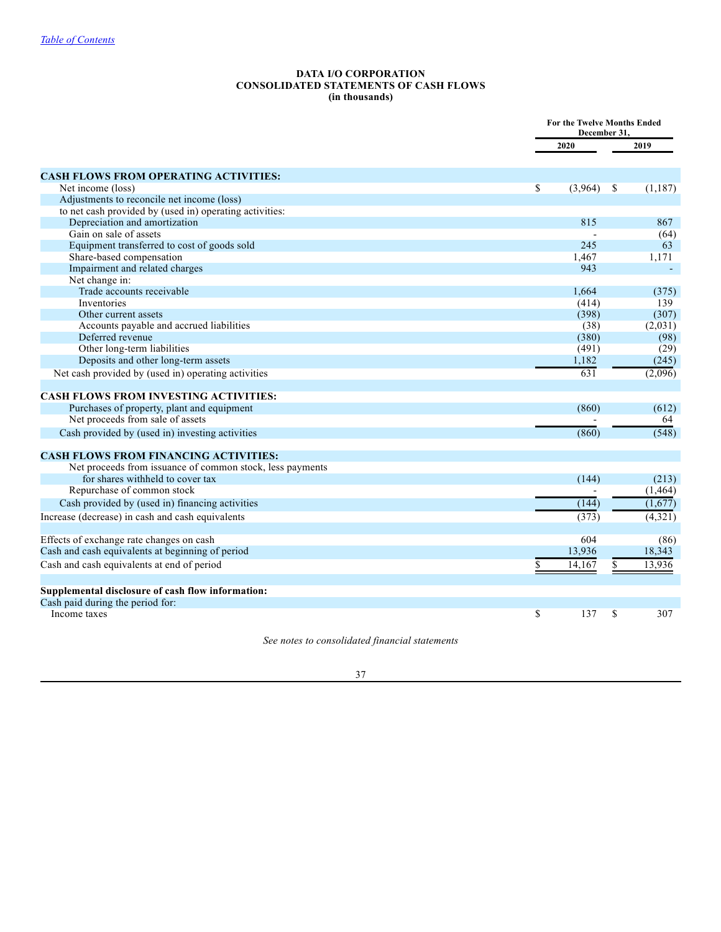# **DATA I/O CORPORATION CONSOLIDATED STATEMENTS OF CASH FLOWS (in thousands)**

|                                                                                       |               | For the Twelve Months Ended<br>December 31. |
|---------------------------------------------------------------------------------------|---------------|---------------------------------------------|
|                                                                                       | 2020          | 2019                                        |
| <b>CASH FLOWS FROM OPERATING ACTIVITIES:</b>                                          |               |                                             |
| Net income (loss)                                                                     | \$<br>(3,964) | S<br>(1,187)                                |
| Adjustments to reconcile net income (loss)                                            |               |                                             |
| to net cash provided by (used in) operating activities:                               |               |                                             |
| Depreciation and amortization                                                         | 815           | 867                                         |
| Gain on sale of assets                                                                |               | (64)                                        |
| Equipment transferred to cost of goods sold                                           | 245           | 63                                          |
| Share-based compensation                                                              | 1,467         | 1,171                                       |
| Impairment and related charges                                                        | 943           |                                             |
| Net change in:                                                                        |               |                                             |
| Trade accounts receivable                                                             | 1.664         | (375)                                       |
| <b>Inventories</b>                                                                    | (414)         | 139                                         |
| Other current assets                                                                  | (398)         | (307)                                       |
| Accounts payable and accrued liabilities                                              | (38)          | (2,031)                                     |
| Deferred revenue                                                                      | (380)         | (98)                                        |
| Other long-term liabilities                                                           | (491)         | (29)                                        |
| Deposits and other long-term assets                                                   | 1,182         | (245)                                       |
| Net cash provided by (used in) operating activities                                   | 631           | (2,096)                                     |
| <b>CASH FLOWS FROM INVESTING ACTIVITIES:</b>                                          |               |                                             |
| Purchases of property, plant and equipment                                            | (860)         | (612)                                       |
| Net proceeds from sale of assets                                                      |               | 64                                          |
| Cash provided by (used in) investing activities                                       | (860)         | (548)                                       |
| <b>CASH FLOWS FROM FINANCING ACTIVITIES:</b>                                          |               |                                             |
| Net proceeds from issuance of common stock, less payments                             |               |                                             |
| for shares withheld to cover tax                                                      | (144)         | (213)                                       |
| Repurchase of common stock                                                            |               | (1, 464)                                    |
| Cash provided by (used in) financing activities                                       | (144)         | (1,677)                                     |
| Increase (decrease) in cash and cash equivalents                                      | (373)         | (4,321)                                     |
| Effects of exchange rate changes on cash                                              | 604           | (86)                                        |
| Cash and cash equivalents at beginning of period                                      | 13,936        | 18,343                                      |
| Cash and cash equivalents at end of period                                            | 14,167<br>S   | 13,936<br>\$                                |
|                                                                                       |               |                                             |
| Supplemental disclosure of cash flow information:<br>Cash paid during the period for: |               |                                             |
| Income taxes                                                                          | \$.<br>137    | 307<br>\$.                                  |
|                                                                                       |               |                                             |

*See notes to consolidated financial statements*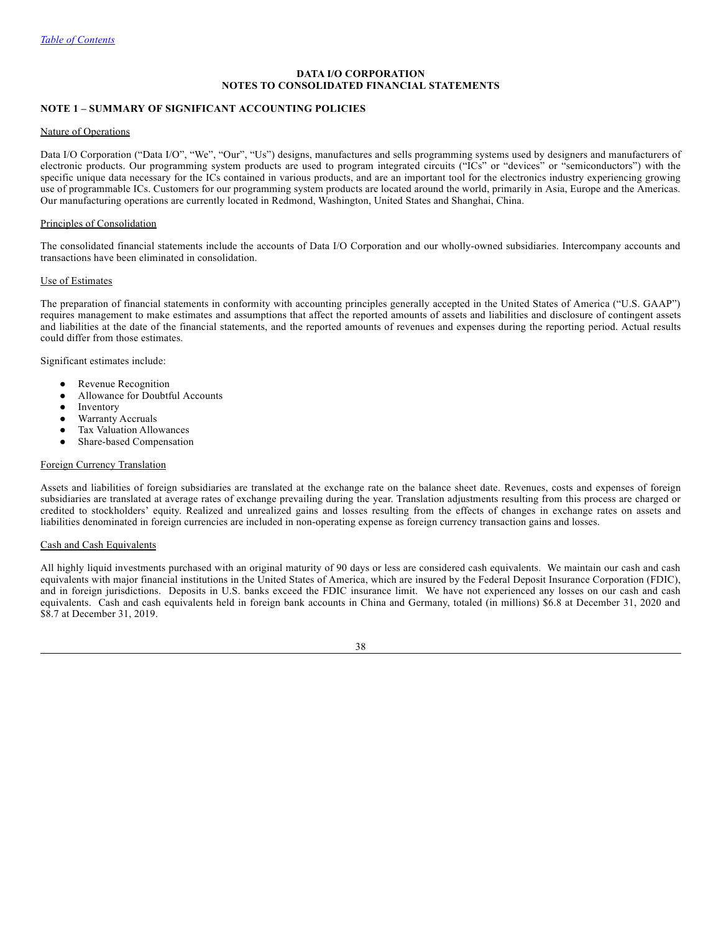## **DATA I/O CORPORATION NOTES TO CONSOLIDATED FINANCIAL STATEMENTS**

# **NOTE 1 – SUMMARY OF SIGNIFICANT ACCOUNTING POLICIES**

#### Nature of Operations

Data I/O Corporation ("Data I/O", "We", "Our", "Us") designs, manufactures and sells programming systems used by designers and manufacturers of electronic products. Our programming system products are used to program integrated circuits ("ICs" or "devices" or "semiconductors") with the specific unique data necessary for the ICs contained in various products, and are an important tool for the electronics industry experiencing growing use of programmable ICs. Customers for our programming system products are located around the world, primarily in Asia, Europe and the Americas. Our manufacturing operations are currently located in Redmond, Washington, United States and Shanghai, China.

### Principles of Consolidation

The consolidated financial statements include the accounts of Data I/O Corporation and our wholly-owned subsidiaries. Intercompany accounts and transactions have been eliminated in consolidation.

### Use of Estimates

The preparation of financial statements in conformity with accounting principles generally accepted in the United States of America ("U.S. GAAP") requires management to make estimates and assumptions that affect the reported amounts of assets and liabilities and disclosure of contingent assets and liabilities at the date of the financial statements, and the reported amounts of revenues and expenses during the reporting period. Actual results could differ from those estimates.

Significant estimates include:

- Revenue Recognition
- Allowance for Doubtful Accounts
- Inventory
- **Warranty Accruals**
- Tax Valuation Allowances
- Share-based Compensation

### Foreign Currency Translation

Assets and liabilities of foreign subsidiaries are translated at the exchange rate on the balance sheet date. Revenues, costs and expenses of foreign subsidiaries are translated at average rates of exchange prevailing during the year. Translation adjustments resulting from this process are charged or credited to stockholders' equity. Realized and unrealized gains and losses resulting from the effects of changes in exchange rates on assets and liabilities denominated in foreign currencies are included in non-operating expense as foreign currency transaction gains and losses.

#### Cash and Cash Equivalents

All highly liquid investments purchased with an original maturity of 90 days or less are considered cash equivalents. We maintain our cash and cash equivalents with major financial institutions in the United States of America, which are insured by the Federal Deposit Insurance Corporation (FDIC), and in foreign jurisdictions. Deposits in U.S. banks exceed the FDIC insurance limit. We have not experienced any losses on our cash and cash equivalents. Cash and cash equivalents held in foreign bank accounts in China and Germany, totaled (in millions) \$6.8 at December 31, 2020 and \$8.7 at December 31, 2019.

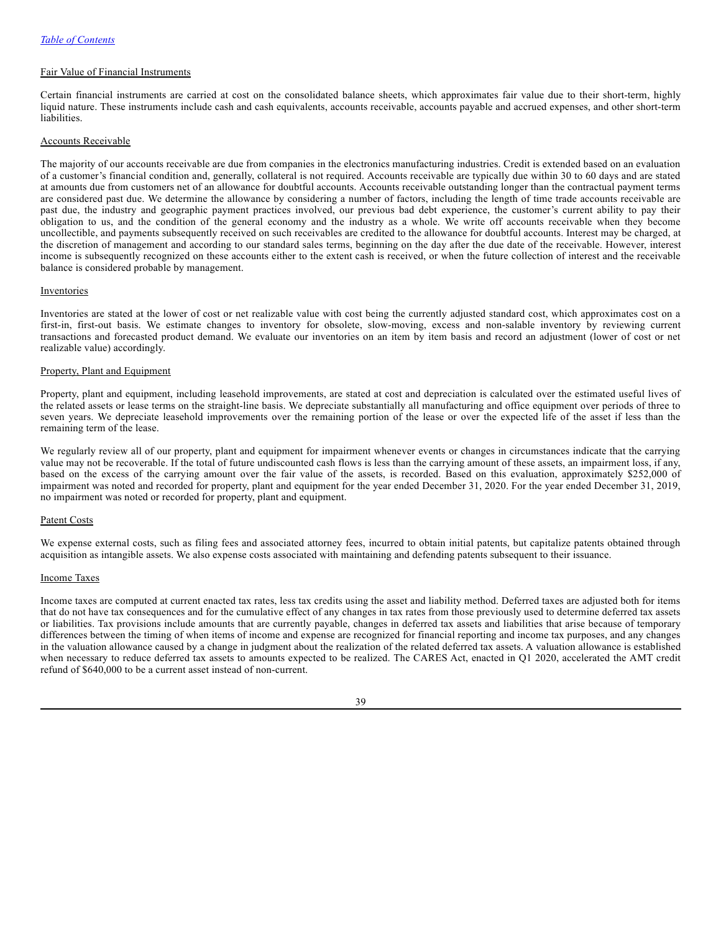### Fair Value of Financial Instruments

Certain financial instruments are carried at cost on the consolidated balance sheets, which approximates fair value due to their short-term, highly liquid nature. These instruments include cash and cash equivalents, accounts receivable, accounts payable and accrued expenses, and other short-term liabilities.

### Accounts Receivable

The majority of our accounts receivable are due from companies in the electronics manufacturing industries. Credit is extended based on an evaluation of a customer's financial condition and, generally, collateral is not required. Accounts receivable are typically due within 30 to 60 days and are stated at amounts due from customers net of an allowance for doubtful accounts. Accounts receivable outstanding longer than the contractual payment terms are considered past due. We determine the allowance by considering a number of factors, including the length of time trade accounts receivable are past due, the industry and geographic payment practices involved, our previous bad debt experience, the customer's current ability to pay their obligation to us, and the condition of the general economy and the industry as a whole. We write off accounts receivable when they become uncollectible, and payments subsequently received on such receivables are credited to the allowance for doubtful accounts. Interest may be charged, at the discretion of management and according to our standard sales terms, beginning on the day after the due date of the receivable. However, interest income is subsequently recognized on these accounts either to the extent cash is received, or when the future collection of interest and the receivable balance is considered probable by management.

### **Inventories**

Inventories are stated at the lower of cost or net realizable value with cost being the currently adjusted standard cost, which approximates cost on a first-in, first-out basis. We estimate changes to inventory for obsolete, slow-moving, excess and non-salable inventory by reviewing current transactions and forecasted product demand. We evaluate our inventories on an item by item basis and record an adjustment (lower of cost or net realizable value) accordingly.

#### Property, Plant and Equipment

Property, plant and equipment, including leasehold improvements, are stated at cost and depreciation is calculated over the estimated useful lives of the related assets or lease terms on the straight-line basis. We depreciate substantially all manufacturing and office equipment over periods of three to seven years. We depreciate leasehold improvements over the remaining portion of the lease or over the expected life of the asset if less than the remaining term of the lease.

We regularly review all of our property, plant and equipment for impairment whenever events or changes in circumstances indicate that the carrying value may not be recoverable. If the total of future undiscounted cash flows is less than the carrying amount of these assets, an impairment loss, if any, based on the excess of the carrying amount over the fair value of the assets, is recorded. Based on this evaluation, approximately \$252,000 of impairment was noted and recorded for property, plant and equipment for the year ended December 31, 2020. For the year ended December 31, 2019, no impairment was noted or recorded for property, plant and equipment.

## Patent Costs

We expense external costs, such as filing fees and associated attorney fees, incurred to obtain initial patents, but capitalize patents obtained through acquisition as intangible assets. We also expense costs associated with maintaining and defending patents subsequent to their issuance.

### Income Taxes

Income taxes are computed at current enacted tax rates, less tax credits using the asset and liability method. Deferred taxes are adjusted both for items that do not have tax consequences and for the cumulative effect of any changes in tax rates from those previously used to determine deferred tax assets or liabilities. Tax provisions include amounts that are currently payable, changes in deferred tax assets and liabilities that arise because of temporary differences between the timing of when items of income and expense are recognized for financial reporting and income tax purposes, and any changes in the valuation allowance caused by a change in judgment about the realization of the related deferred tax assets. A valuation allowance is established when necessary to reduce deferred tax assets to amounts expected to be realized. The CARES Act, enacted in Q1 2020, accelerated the AMT credit refund of \$640,000 to be a current asset instead of non-current.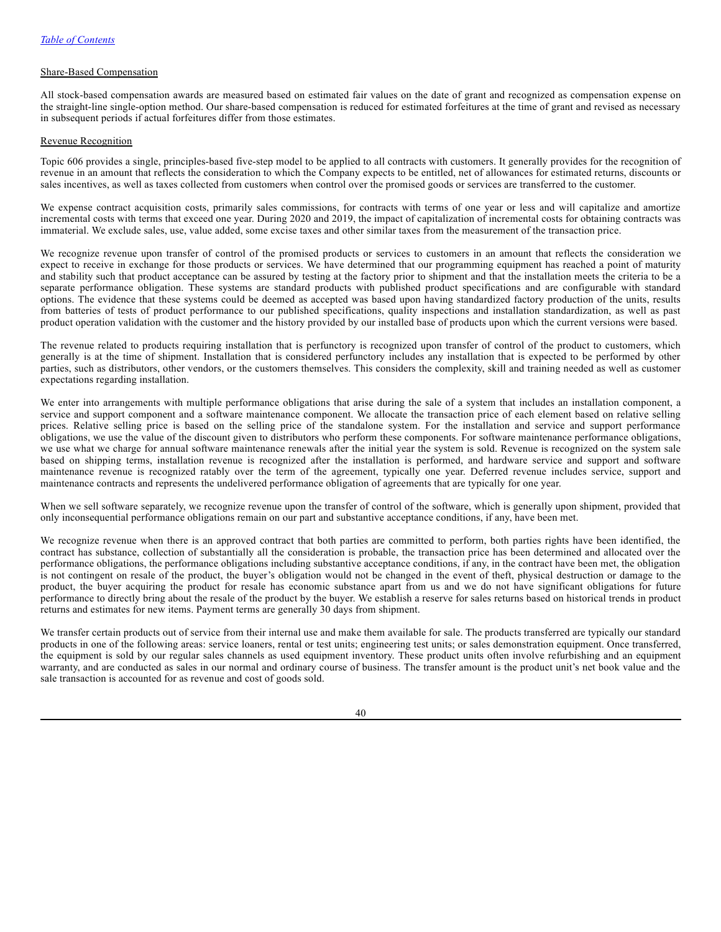# Share-Based Compensation

All stock-based compensation awards are measured based on estimated fair values on the date of grant and recognized as compensation expense on the straight-line single-option method. Our share-based compensation is reduced for estimated forfeitures at the time of grant and revised as necessary in subsequent periods if actual forfeitures differ from those estimates.

# Revenue Recognition

Topic 606 provides a single, principles-based five-step model to be applied to all contracts with customers. It generally provides for the recognition of revenue in an amount that reflects the consideration to which the Company expects to be entitled, net of allowances for estimated returns, discounts or sales incentives, as well as taxes collected from customers when control over the promised goods or services are transferred to the customer.

We expense contract acquisition costs, primarily sales commissions, for contracts with terms of one year or less and will capitalize and amortize incremental costs with terms that exceed one year. During 2020 and 2019, the impact of capitalization of incremental costs for obtaining contracts was immaterial. We exclude sales, use, value added, some excise taxes and other similar taxes from the measurement of the transaction price.

We recognize revenue upon transfer of control of the promised products or services to customers in an amount that reflects the consideration we expect to receive in exchange for those products or services. We have determined that our programming equipment has reached a point of maturity and stability such that product acceptance can be assured by testing at the factory prior to shipment and that the installation meets the criteria to be a separate performance obligation. These systems are standard products with published product specifications and are configurable with standard options. The evidence that these systems could be deemed as accepted was based upon having standardized factory production of the units, results from batteries of tests of product performance to our published specifications, quality inspections and installation standardization, as well as past product operation validation with the customer and the history provided by our installed base of products upon which the current versions were based.

The revenue related to products requiring installation that is perfunctory is recognized upon transfer of control of the product to customers, which generally is at the time of shipment. Installation that is considered perfunctory includes any installation that is expected to be performed by other parties, such as distributors, other vendors, or the customers themselves. This considers the complexity, skill and training needed as well as customer expectations regarding installation.

We enter into arrangements with multiple performance obligations that arise during the sale of a system that includes an installation component, a service and support component and a software maintenance component. We allocate the transaction price of each element based on relative selling prices. Relative selling price is based on the selling price of the standalone system. For the installation and service and support performance obligations, we use the value of the discount given to distributors who perform these components. For software maintenance performance obligations, we use what we charge for annual software maintenance renewals after the initial year the system is sold. Revenue is recognized on the system sale based on shipping terms, installation revenue is recognized after the installation is performed, and hardware service and support and software maintenance revenue is recognized ratably over the term of the agreement, typically one year. Deferred revenue includes service, support and maintenance contracts and represents the undelivered performance obligation of agreements that are typically for one year.

When we sell software separately, we recognize revenue upon the transfer of control of the software, which is generally upon shipment, provided that only inconsequential performance obligations remain on our part and substantive acceptance conditions, if any, have been met.

We recognize revenue when there is an approved contract that both parties are committed to perform, both parties rights have been identified, the contract has substance, collection of substantially all the consideration is probable, the transaction price has been determined and allocated over the performance obligations, the performance obligations including substantive acceptance conditions, if any, in the contract have been met, the obligation is not contingent on resale of the product, the buyer's obligation would not be changed in the event of theft, physical destruction or damage to the product, the buyer acquiring the product for resale has economic substance apart from us and we do not have significant obligations for future performance to directly bring about the resale of the product by the buyer. We establish a reserve for sales returns based on historical trends in product returns and estimates for new items. Payment terms are generally 30 days from shipment.

We transfer certain products out of service from their internal use and make them available for sale. The products transferred are typically our standard products in one of the following areas: service loaners, rental or test units; engineering test units; or sales demonstration equipment. Once transferred, the equipment is sold by our regular sales channels as used equipment inventory. These product units often involve refurbishing and an equipment warranty, and are conducted as sales in our normal and ordinary course of business. The transfer amount is the product unit's net book value and the sale transaction is accounted for as revenue and cost of goods sold.

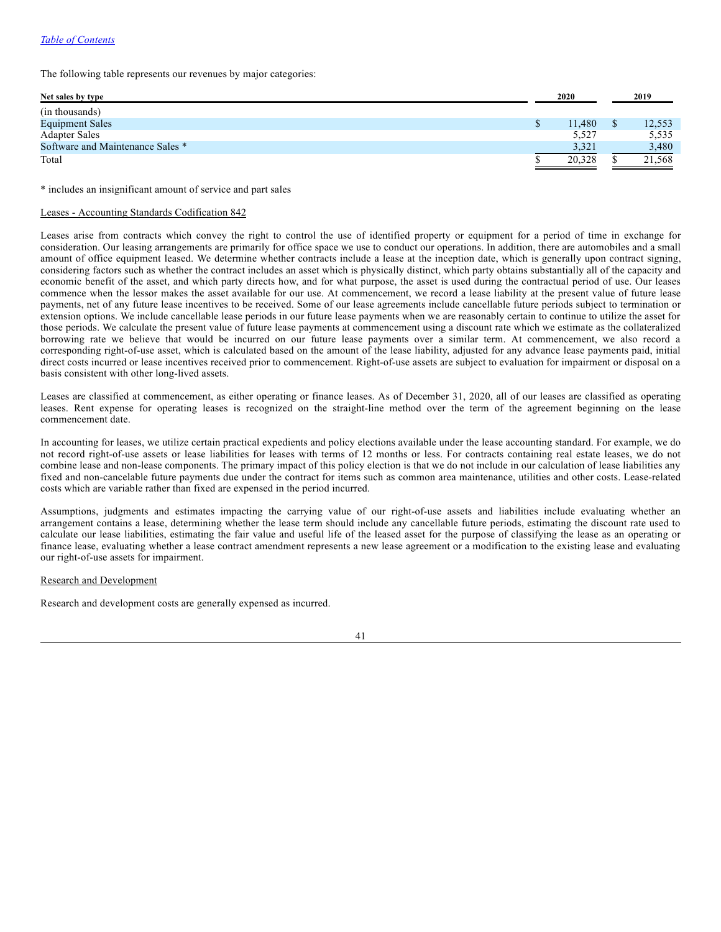The following table represents our revenues by major categories:

| Net sales by type                |   | 2020   |  | 2019   |  |
|----------------------------------|---|--------|--|--------|--|
| (in thousands)                   |   |        |  |        |  |
| <b>Equipment Sales</b>           | Ф | 11,480 |  | 12,553 |  |
| <b>Adapter Sales</b>             |   | 5,527  |  | 5.535  |  |
| Software and Maintenance Sales * |   | 3,321  |  | 3,480  |  |
| Total                            |   | 20.328 |  | 21,568 |  |

\* includes an insignificant amount of service and part sales

# Leases - Accounting Standards Codification 842

Leases arise from contracts which convey the right to control the use of identified property or equipment for a period of time in exchange for consideration. Our leasing arrangements are primarily for office space we use to conduct our operations. In addition, there are automobiles and a small amount of office equipment leased. We determine whether contracts include a lease at the inception date, which is generally upon contract signing, considering factors such as whether the contract includes an asset which is physically distinct, which party obtains substantially all of the capacity and economic benefit of the asset, and which party directs how, and for what purpose, the asset is used during the contractual period of use. Our leases commence when the lessor makes the asset available for our use. At commencement, we record a lease liability at the present value of future lease payments, net of any future lease incentives to be received. Some of our lease agreements include cancellable future periods subject to termination or extension options. We include cancellable lease periods in our future lease payments when we are reasonably certain to continue to utilize the asset for those periods. We calculate the present value of future lease payments at commencement using a discount rate which we estimate as the collateralized borrowing rate we believe that would be incurred on our future lease payments over a similar term. At commencement, we also record a corresponding right-of-use asset, which is calculated based on the amount of the lease liability, adjusted for any advance lease payments paid, initial direct costs incurred or lease incentives received prior to commencement. Right-of-use assets are subject to evaluation for impairment or disposal on a basis consistent with other long-lived assets.

Leases are classified at commencement, as either operating or finance leases. As of December 31, 2020, all of our leases are classified as operating leases. Rent expense for operating leases is recognized on the straight-line method over the term of the agreement beginning on the lease commencement date.

In accounting for leases, we utilize certain practical expedients and policy elections available under the lease accounting standard. For example, we do not record right-of-use assets or lease liabilities for leases with terms of 12 months or less. For contracts containing real estate leases, we do not combine lease and non-lease components. The primary impact of this policy election is that we do not include in our calculation of lease liabilities any fixed and non-cancelable future payments due under the contract for items such as common area maintenance, utilities and other costs. Lease-related costs which are variable rather than fixed are expensed in the period incurred.

Assumptions, judgments and estimates impacting the carrying value of our right-of-use assets and liabilities include evaluating whether an arrangement contains a lease, determining whether the lease term should include any cancellable future periods, estimating the discount rate used to calculate our lease liabilities, estimating the fair value and useful life of the leased asset for the purpose of classifying the lease as an operating or finance lease, evaluating whether a lease contract amendment represents a new lease agreement or a modification to the existing lease and evaluating our right-of-use assets for impairment.

# Research and Development

Research and development costs are generally expensed as incurred.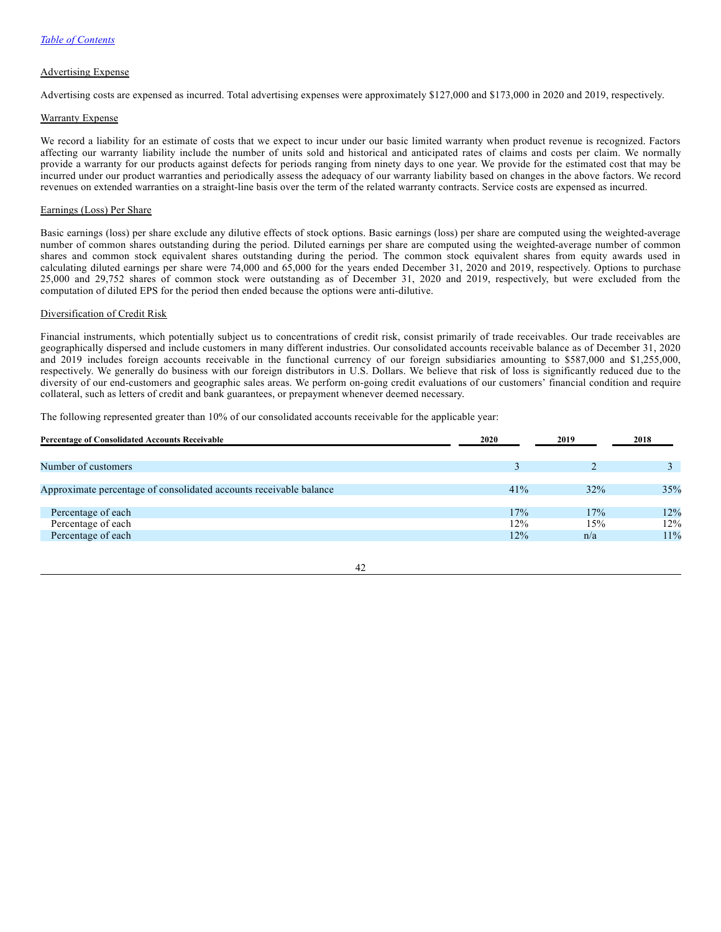### Advertising Expense

Advertising costs are expensed as incurred. Total advertising expenses were approximately \$127,000 and \$173,000 in 2020 and 2019, respectively.

### Warranty Expense

We record a liability for an estimate of costs that we expect to incur under our basic limited warranty when product revenue is recognized. Factors affecting our warranty liability include the number of units sold and historical and anticipated rates of claims and costs per claim. We normally provide a warranty for our products against defects for periods ranging from ninety days to one year. We provide for the estimated cost that may be incurred under our product warranties and periodically assess the adequacy of our warranty liability based on changes in the above factors. We record revenues on extended warranties on a straight-line basis over the term of the related warranty contracts. Service costs are expensed as incurred.

### Earnings (Loss) Per Share

Basic earnings (loss) per share exclude any dilutive effects of stock options. Basic earnings (loss) per share are computed using the weighted-average number of common shares outstanding during the period. Diluted earnings per share are computed using the weighted-average number of common shares and common stock equivalent shares outstanding during the period. The common stock equivalent shares from equity awards used in calculating diluted earnings per share were 74,000 and 65,000 for the years ended December 31, 2020 and 2019, respectively. Options to purchase 25,000 and 29,752 shares of common stock were outstanding as of December 31, 2020 and 2019, respectively, but were excluded from the computation of diluted EPS for the period then ended because the options were anti-dilutive.

#### Diversification of Credit Risk

Financial instruments, which potentially subject us to concentrations of credit risk, consist primarily of trade receivables. Our trade receivables are geographically dispersed and include customers in many different industries. Our consolidated accounts receivable balance as of December 31, 2020 and 2019 includes foreign accounts receivable in the functional currency of our foreign subsidiaries amounting to \$587,000 and \$1,255,000, respectively. We generally do business with our foreign distributors in U.S. Dollars. We believe that risk of loss is significantly reduced due to the diversity of our end-customers and geographic sales areas. We perform on-going credit evaluations of our customers' financial condition and require collateral, such as letters of credit and bank guarantees, or prepayment whenever deemed necessary.

The following represented greater than 10% of our consolidated accounts receivable for the applicable year:

| <b>Percentage of Consolidated Accounts Receivable</b>              | 2020              | 2019              | 2018              |
|--------------------------------------------------------------------|-------------------|-------------------|-------------------|
| Number of customers                                                |                   |                   |                   |
| Approximate percentage of consolidated accounts receivable balance | 41%               | 32%               | 35%               |
| Percentage of each<br>Percentage of each<br>Percentage of each     | 17%<br>12%<br>12% | 17%<br>15%<br>n/a | 12%<br>12%<br>11% |

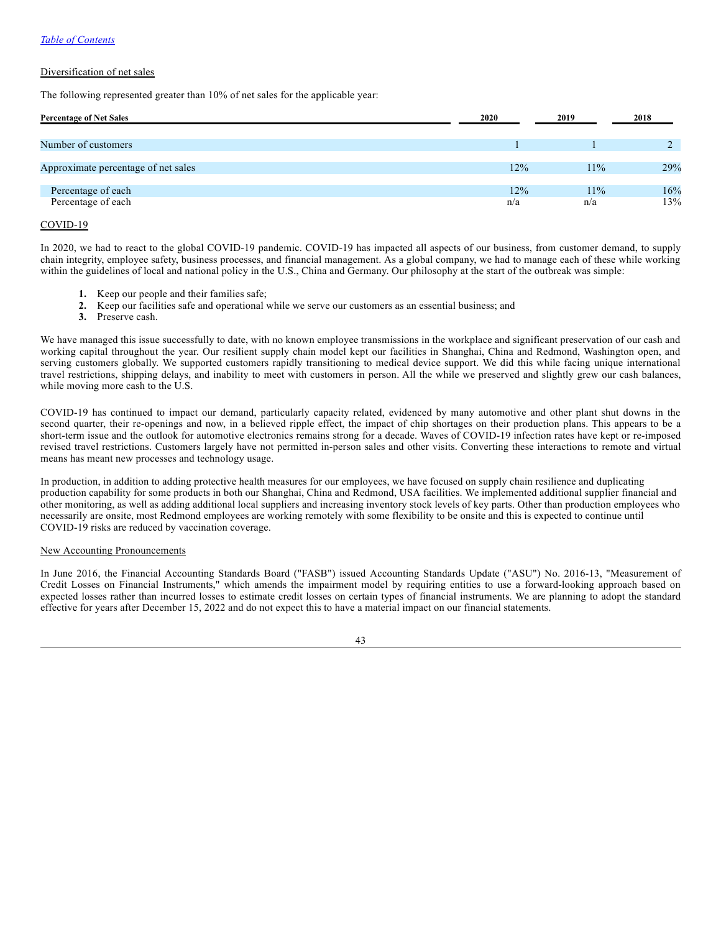## Diversification of net sales

The following represented greater than 10% of net sales for the applicable year:

| <b>Percentage of Net Sales</b>           | 2020<br>2019 |               | 2018       |  |
|------------------------------------------|--------------|---------------|------------|--|
|                                          |              |               |            |  |
| Number of customers                      |              |               | $\sim$     |  |
| Approximate percentage of net sales      | 12%          | $11\%$        | 29%        |  |
| Percentage of each<br>Percentage of each | 12%<br>n/a   | $11\%$<br>n/a | 16%<br>13% |  |

## COVID-19

In 2020, we had to react to the global COVID-19 pandemic. COVID-19 has impacted all aspects of our business, from customer demand, to supply chain integrity, employee safety, business processes, and financial management. As a global company, we had to manage each of these while working within the guidelines of local and national policy in the U.S., China and Germany. Our philosophy at the start of the outbreak was simple:

- **1.** Keep our people and their families safe;
- **2.** Keep our facilities safe and operational while we serve our customers as an essential business; and
- **3.** Preserve cash.

We have managed this issue successfully to date, with no known employee transmissions in the workplace and significant preservation of our cash and working capital throughout the year. Our resilient supply chain model kept our facilities in Shanghai, China and Redmond, Washington open, and serving customers globally. We supported customers rapidly transitioning to medical device support. We did this while facing unique international travel restrictions, shipping delays, and inability to meet with customers in person. All the while we preserved and slightly grew our cash balances, while moving more cash to the U.S.

COVID-19 has continued to impact our demand, particularly capacity related, evidenced by many automotive and other plant shut downs in the second quarter, their re-openings and now, in a believed ripple effect, the impact of chip shortages on their production plans. This appears to be a short-term issue and the outlook for automotive electronics remains strong for a decade. Waves of COVID-19 infection rates have kept or re-imposed revised travel restrictions. Customers largely have not permitted in-person sales and other visits. Converting these interactions to remote and virtual means has meant new processes and technology usage.

In production, in addition to adding protective health measures for our employees, we have focused on supply chain resilience and duplicating production capability for some products in both our Shanghai, China and Redmond, USA facilities. We implemented additional supplier financial and other monitoring, as well as adding additional local suppliers and increasing inventory stock levels of key parts. Other than production employees who necessarily are onsite, most Redmond employees are working remotely with some flexibility to be onsite and this is expected to continue until COVID-19 risks are reduced by vaccination coverage.

## New Accounting Pronouncements

In June 2016, the Financial Accounting Standards Board ("FASB") issued Accounting Standards Update ("ASU") No. 2016-13, "Measurement of Credit Losses on Financial Instruments," which amends the impairment model by requiring entities to use a forward-looking approach based on expected losses rather than incurred losses to estimate credit losses on certain types of financial instruments. We are planning to adopt the standard effective for years after December 15, 2022 and do not expect this to have a material impact on our financial statements.

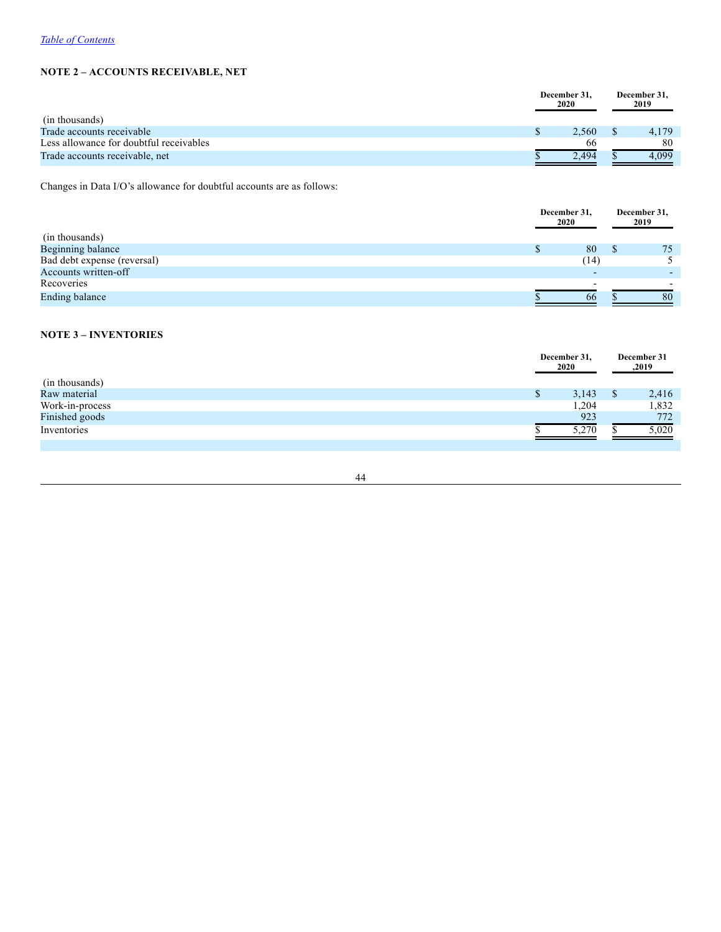# **NOTE 2 – ACCOUNTS RECEIVABLE, NET**

|                                         | December 31,<br>2020 |  | December 31,<br>2019 |  |
|-----------------------------------------|----------------------|--|----------------------|--|
| (in thousands)                          |                      |  |                      |  |
| Trade accounts receivable               | 2.560                |  | 4.179                |  |
| Less allowance for doubtful receivables | -66                  |  | 80                   |  |
| Trade accounts receivable, net          | 2.494                |  | 4.099                |  |

Changes in Data I/O's allowance for doubtful accounts are as follows:

|                             | December 31,<br>2020 |      | December 31,<br>2019 |  |
|-----------------------------|----------------------|------|----------------------|--|
| (in thousands)              |                      |      |                      |  |
| Beginning balance           |                      | 80   | 75                   |  |
| Bad debt expense (reversal) |                      | (14) |                      |  |
| Accounts written-off        |                      |      |                      |  |
| Recoveries                  |                      |      |                      |  |
| <b>Ending balance</b>       |                      | 66   | 80                   |  |

# **NOTE 3 – INVENTORIES**

|                 |   | December 31,<br>2020 |   | December 31<br>,2019 |  |
|-----------------|---|----------------------|---|----------------------|--|
| (in thousands)  |   |                      |   |                      |  |
| Raw material    | d | 3,143                | æ | 2,416                |  |
| Work-in-process |   | 1,204                |   | 1,832                |  |
| Finished goods  |   | 923                  |   | 772                  |  |
| Inventories     |   | 5,270                |   | 5,020                |  |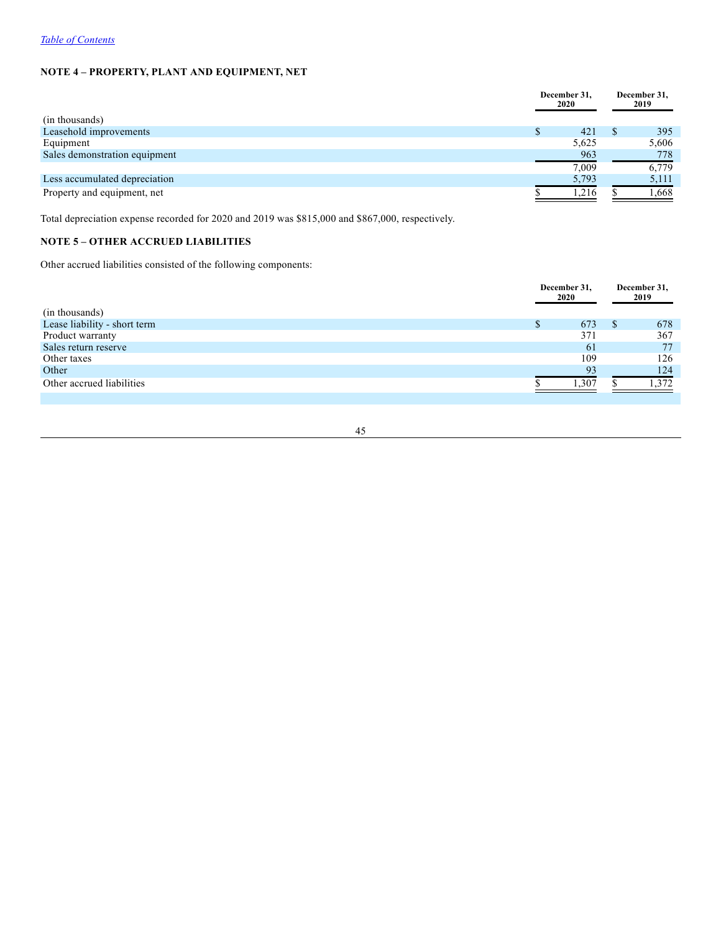# **NOTE 4 – PROPERTY, PLANT AND EQUIPMENT, NET**

|                               | December 31.<br>2020 |       | December 31,<br>2019 |       |
|-------------------------------|----------------------|-------|----------------------|-------|
| (in thousands)                |                      |       |                      |       |
| Leasehold improvements        | Ъ                    | 421   |                      | 395   |
| Equipment                     |                      | 5,625 |                      | 5,606 |
| Sales demonstration equipment |                      | 963   |                      | 778   |
|                               |                      | 7.009 |                      | 6,779 |
| Less accumulated depreciation |                      | 5,793 |                      | 5,111 |
| Property and equipment, net   |                      | 1,216 |                      | .668  |

Total depreciation expense recorded for 2020 and 2019 was \$815,000 and \$867,000, respectively.

# **NOTE 5 – OTHER ACCRUED LIABILITIES**

Other accrued liabilities consisted of the following components:

|                              |   | December 31,<br>2020 |  | December 31,<br>2019 |  |
|------------------------------|---|----------------------|--|----------------------|--|
| (in thousands)               |   |                      |  |                      |  |
| Lease liability - short term | S | 673                  |  | 678                  |  |
| Product warranty             |   | 371                  |  | 367                  |  |
| Sales return reserve         |   | 61                   |  | 77                   |  |
| Other taxes                  |   | 109                  |  | 126                  |  |
| Other                        |   | 93                   |  | 124                  |  |
| Other accrued liabilities    |   | .307                 |  | .372                 |  |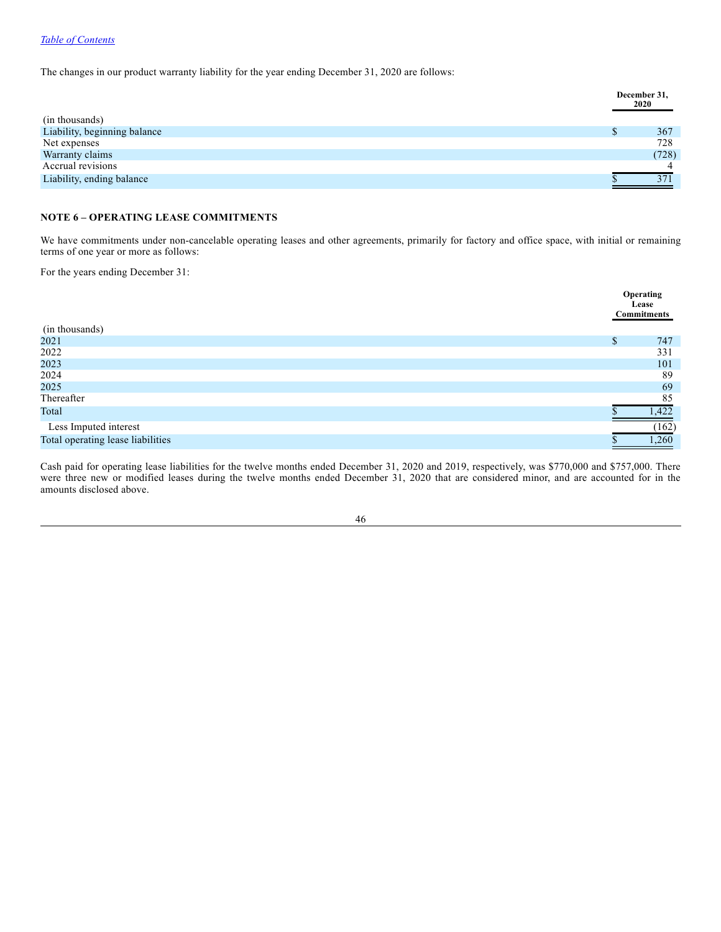The changes in our product warranty liability for the year ending December 31, 2020 are follows:

|                              | December 31,<br>2020 |       |
|------------------------------|----------------------|-------|
| (in thousands)               |                      |       |
| Liability, beginning balance |                      | 367   |
| Net expenses                 |                      | 728   |
| Warranty claims              |                      | (728) |
| Accrual revisions            |                      |       |
| Liability, ending balance    |                      | 371   |

### **NOTE 6 – OPERATING LEASE COMMITMENTS**

We have commitments under non-cancelable operating leases and other agreements, primarily for factory and office space, with initial or remaining terms of one year or more as follows:

For the years ending December 31:

| (in thousands)                    |        | Operating<br>Lease<br><b>Commitments</b> |
|-----------------------------------|--------|------------------------------------------|
| 2021                              | ¢<br>D | 747                                      |
| 2022                              |        | 331                                      |
| 2023                              |        | 101                                      |
| 2024                              |        | 89                                       |
| 2025                              |        | 69                                       |
| Thereafter                        |        | 85                                       |
| Total                             |        | 1,422                                    |
| Less Imputed interest             |        | (162)                                    |
| Total operating lease liabilities |        | 1,260                                    |

Cash paid for operating lease liabilities for the twelve months ended December 31, 2020 and 2019, respectively, was \$770,000 and \$757,000. There were three new or modified leases during the twelve months ended December 31, 2020 that are considered minor, and are accounted for in the amounts disclosed above.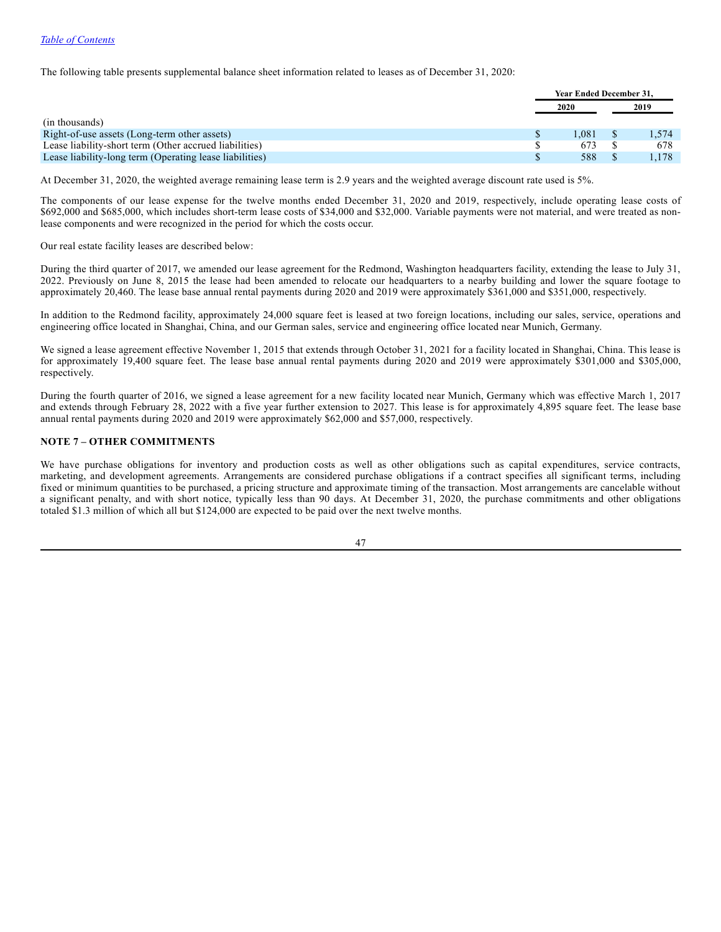The following table presents supplemental balance sheet information related to leases as of December 31, 2020:

|                                                         |      | <b>Year Ended December 31.</b> |  |       |  |
|---------------------------------------------------------|------|--------------------------------|--|-------|--|
|                                                         | 2020 |                                |  | 2019  |  |
| (in thousands)                                          |      |                                |  |       |  |
| Right-of-use assets (Long-term other assets)            |      | .081                           |  | 1,574 |  |
| Lease liability-short term (Other accrued liabilities)  |      | 673                            |  | 678   |  |
| Lease liability-long term (Operating lease liabilities) |      | 588                            |  | l.178 |  |

At December 31, 2020, the weighted average remaining lease term is 2.9 years and the weighted average discount rate used is 5%.

The components of our lease expense for the twelve months ended December 31, 2020 and 2019, respectively, include operating lease costs of \$692,000 and \$685,000, which includes short-term lease costs of \$34,000 and \$32,000. Variable payments were not material, and were treated as nonlease components and were recognized in the period for which the costs occur.

Our real estate facility leases are described below:

During the third quarter of 2017, we amended our lease agreement for the Redmond, Washington headquarters facility, extending the lease to July 31, 2022. Previously on June 8, 2015 the lease had been amended to relocate our headquarters to a nearby building and lower the square footage to approximately 20,460. The lease base annual rental payments during 2020 and 2019 were approximately \$361,000 and \$351,000, respectively.

In addition to the Redmond facility, approximately 24,000 square feet is leased at two foreign locations, including our sales, service, operations and engineering office located in Shanghai, China, and our German sales, service and engineering office located near Munich, Germany.

We signed a lease agreement effective November 1, 2015 that extends through October 31, 2021 for a facility located in Shanghai, China. This lease is for approximately 19,400 square feet. The lease base annual rental payments during 2020 and 2019 were approximately \$301,000 and \$305,000, respectively.

During the fourth quarter of 2016, we signed a lease agreement for a new facility located near Munich, Germany which was effective March 1, 2017 and extends through February 28, 2022 with a five year further extension to 2027. This lease is for approximately 4,895 square feet. The lease base annual rental payments during 2020 and 2019 were approximately \$62,000 and \$57,000, respectively.

# **NOTE 7 – OTHER COMMITMENTS**

We have purchase obligations for inventory and production costs as well as other obligations such as capital expenditures, service contracts, marketing, and development agreements. Arrangements are considered purchase obligations if a contract specifies all significant terms, including fixed or minimum quantities to be purchased, a pricing structure and approximate timing of the transaction. Most arrangements are cancelable without a significant penalty, and with short notice, typically less than 90 days. At December 31, 2020, the purchase commitments and other obligations totaled \$1.3 million of which all but \$124,000 are expected to be paid over the next twelve months.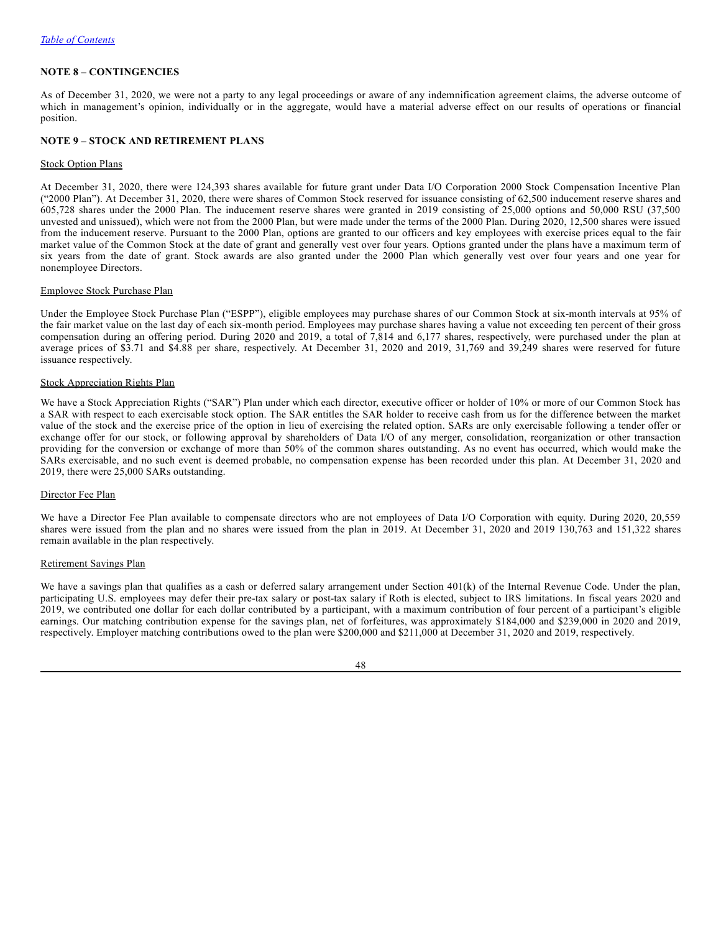# **NOTE 8 – CONTINGENCIES**

As of December 31, 2020, we were not a party to any legal proceedings or aware of any indemnification agreement claims, the adverse outcome of which in management's opinion, individually or in the aggregate, would have a material adverse effect on our results of operations or financial position.

# **NOTE 9 – STOCK AND RETIREMENT PLANS**

### Stock Option Plans

At December 31, 2020, there were 124,393 shares available for future grant under Data I/O Corporation 2000 Stock Compensation Incentive Plan ("2000 Plan"). At December 31, 2020, there were shares of Common Stock reserved for issuance consisting of 62,500 inducement reserve shares and 605,728 shares under the 2000 Plan. The inducement reserve shares were granted in 2019 consisting of 25,000 options and 50,000 RSU (37,500 unvested and unissued), which were not from the 2000 Plan, but were made under the terms of the 2000 Plan. During 2020, 12,500 shares were issued from the inducement reserve. Pursuant to the 2000 Plan, options are granted to our officers and key employees with exercise prices equal to the fair market value of the Common Stock at the date of grant and generally vest over four years. Options granted under the plans have a maximum term of six years from the date of grant. Stock awards are also granted under the 2000 Plan which generally vest over four years and one year for nonemployee Directors.

# Employee Stock Purchase Plan

Under the Employee Stock Purchase Plan ("ESPP"), eligible employees may purchase shares of our Common Stock at six-month intervals at 95% of the fair market value on the last day of each six-month period. Employees may purchase shares having a value not exceeding ten percent of their gross compensation during an offering period. During 2020 and 2019, a total of 7,814 and 6,177 shares, respectively, were purchased under the plan at average prices of \$3.71 and \$4.88 per share, respectively. At December 31, 2020 and 2019, 31,769 and 39,249 shares were reserved for future issuance respectively.

## Stock Appreciation Rights Plan

We have a Stock Appreciation Rights ("SAR") Plan under which each director, executive officer or holder of 10% or more of our Common Stock has a SAR with respect to each exercisable stock option. The SAR entitles the SAR holder to receive cash from us for the difference between the market value of the stock and the exercise price of the option in lieu of exercising the related option. SARs are only exercisable following a tender offer or exchange offer for our stock, or following approval by shareholders of Data I/O of any merger, consolidation, reorganization or other transaction providing for the conversion or exchange of more than 50% of the common shares outstanding. As no event has occurred, which would make the SARs exercisable, and no such event is deemed probable, no compensation expense has been recorded under this plan. At December 31, 2020 and 2019, there were 25,000 SARs outstanding.

### Director Fee Plan

We have a Director Fee Plan available to compensate directors who are not employees of Data I/O Corporation with equity. During 2020, 20,559 shares were issued from the plan and no shares were issued from the plan in 2019. At December 31, 2020 and 2019 130,763 and 151,322 shares remain available in the plan respectively.

### Retirement Savings Plan

We have a savings plan that qualifies as a cash or deferred salary arrangement under Section 401(k) of the Internal Revenue Code. Under the plan, participating U.S. employees may defer their pre-tax salary or post-tax salary if Roth is elected, subject to IRS limitations. In fiscal years 2020 and 2019, we contributed one dollar for each dollar contributed by a participant, with a maximum contribution of four percent of a participant's eligible earnings. Our matching contribution expense for the savings plan, net of forfeitures, was approximately \$184,000 and \$239,000 in 2020 and 2019, respectively. Employer matching contributions owed to the plan were \$200,000 and \$211,000 at December 31, 2020 and 2019, respectively.

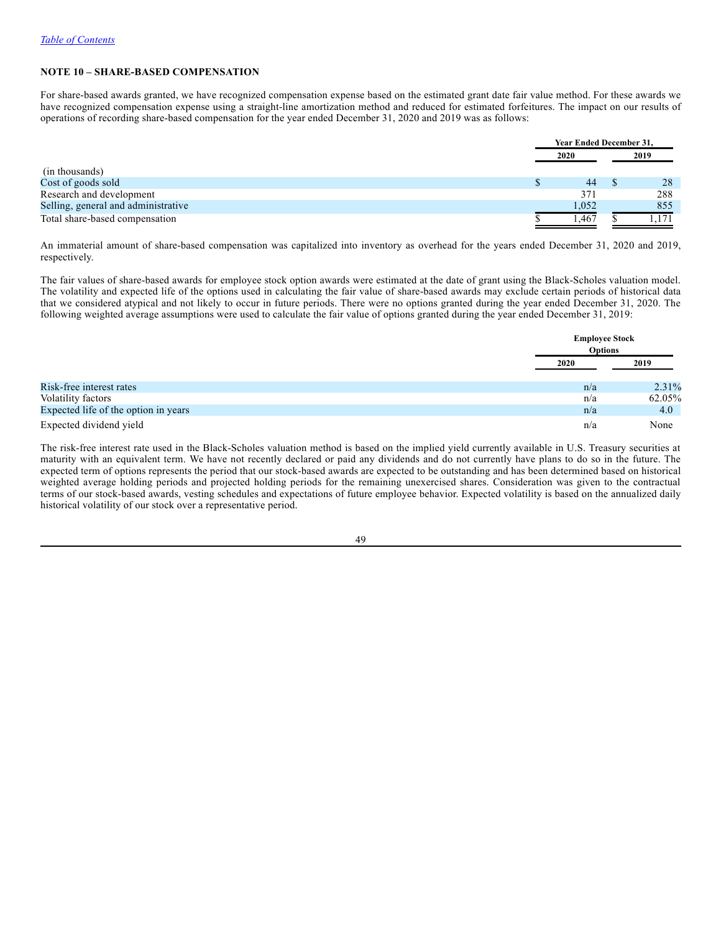# **NOTE 10 – SHARE-BASED COMPENSATION**

For share-based awards granted, we have recognized compensation expense based on the estimated grant date fair value method. For these awards we have recognized compensation expense using a straight-line amortization method and reduced for estimated forfeitures. The impact on our results of operations of recording share-based compensation for the year ended December 31, 2020 and 2019 was as follows:

|                                     | <b>Year Ended December 31,</b> |  |      |  |  |
|-------------------------------------|--------------------------------|--|------|--|--|
|                                     | 2020                           |  | 2019 |  |  |
| (in thousands)                      |                                |  |      |  |  |
| Cost of goods sold                  | 44                             |  | 28   |  |  |
| Research and development            | 371                            |  | 288  |  |  |
| Selling, general and administrative | 1,052                          |  | 855  |  |  |
| Total share-based compensation      | .467                           |  |      |  |  |

An immaterial amount of share-based compensation was capitalized into inventory as overhead for the years ended December 31, 2020 and 2019, respectively.

The fair values of share-based awards for employee stock option awards were estimated at the date of grant using the Black-Scholes valuation model. The volatility and expected life of the options used in calculating the fair value of share-based awards may exclude certain periods of historical data that we considered atypical and not likely to occur in future periods. There were no options granted during the year ended December 31, 2020. The following weighted average assumptions were used to calculate the fair value of options granted during the year ended December 31, 2019:

|                                      | <b>Employee Stock</b><br><b>Options</b> |        |
|--------------------------------------|-----------------------------------------|--------|
|                                      | 2020                                    | 2019   |
| Risk-free interest rates             | n/a                                     | 2.31%  |
| Volatility factors                   | n/a                                     | 62.05% |
| Expected life of the option in years | n/a                                     | 4.0    |
| Expected dividend yield              | n/a                                     | None   |

The risk-free interest rate used in the Black-Scholes valuation method is based on the implied yield currently available in U.S. Treasury securities at maturity with an equivalent term. We have not recently declared or paid any dividends and do not currently have plans to do so in the future. The expected term of options represents the period that our stock-based awards are expected to be outstanding and has been determined based on historical weighted average holding periods and projected holding periods for the remaining unexercised shares. Consideration was given to the contractual terms of our stock-based awards, vesting schedules and expectations of future employee behavior. Expected volatility is based on the annualized daily historical volatility of our stock over a representative period.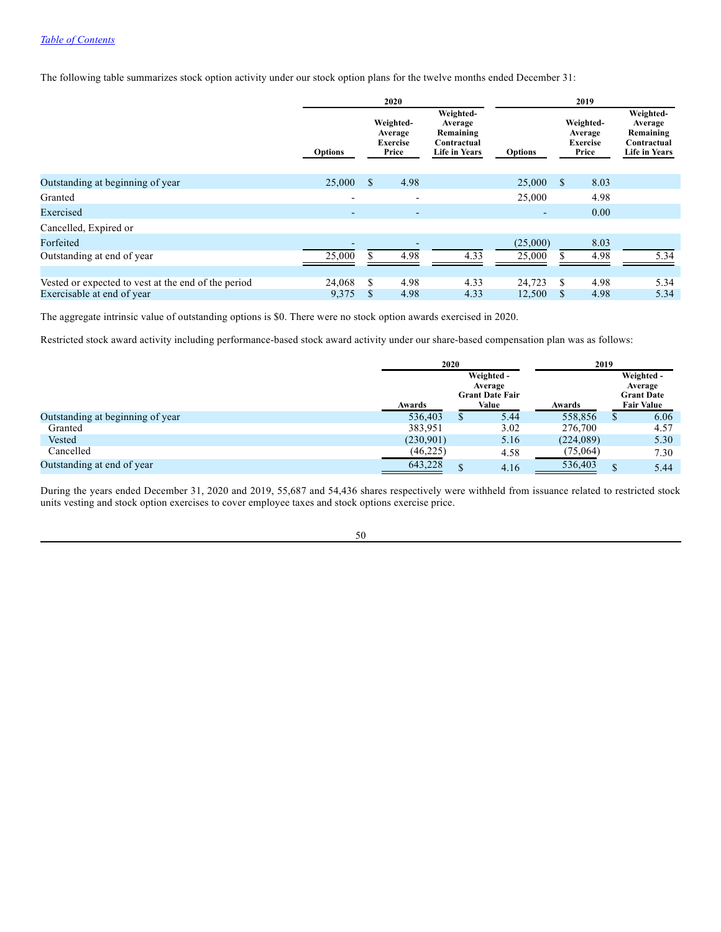The following table summarizes stock option activity under our stock option plans for the twelve months ended December 31:

|                                                     |                          | 2020          |                                           |                                                                          | 2019           |               |                                                  |                                                                          |
|-----------------------------------------------------|--------------------------|---------------|-------------------------------------------|--------------------------------------------------------------------------|----------------|---------------|--------------------------------------------------|--------------------------------------------------------------------------|
|                                                     | <b>Options</b>           |               | Weighted-<br>Average<br>Exercise<br>Price | Weighted-<br>Average<br>Remaining<br>Contractual<br><b>Life in Years</b> | <b>Options</b> |               | Weighted-<br>Average<br><b>Exercise</b><br>Price | Weighted-<br>Average<br>Remaining<br>Contractual<br><b>Life in Years</b> |
| Outstanding at beginning of year                    | 25,000                   | <sup>\$</sup> | 4.98                                      |                                                                          | 25,000         | <sup>\$</sup> | 8.03                                             |                                                                          |
| Granted                                             | $\overline{\phantom{0}}$ |               | $\overline{\phantom{0}}$                  |                                                                          | 25,000         |               | 4.98                                             |                                                                          |
| Exercised                                           | $\overline{\phantom{0}}$ |               |                                           |                                                                          |                |               | 0.00                                             |                                                                          |
| Cancelled, Expired or                               |                          |               |                                           |                                                                          |                |               |                                                  |                                                                          |
| Forfeited                                           |                          |               |                                           |                                                                          | (25,000)       |               | 8.03                                             |                                                                          |
| Outstanding at end of year                          | 25,000                   |               | 4.98                                      | 4.33                                                                     | 25,000         |               | 4.98                                             | 5.34                                                                     |
| Vested or expected to vest at the end of the period | 24,068                   |               | 4.98                                      | 4.33                                                                     | 24,723         |               | 4.98                                             | 5.34                                                                     |
| Exercisable at end of year                          | 9,375                    |               | 4.98                                      | 4.33                                                                     | 12,500         |               | 4.98                                             | 5.34                                                                     |

The aggregate intrinsic value of outstanding options is \$0. There were no stock option awards exercised in 2020.

Restricted stock award activity including performance-based stock award activity under our share-based compensation plan was as follows:

|                                  |           | 2020                                            |       |           | 2019 |                                            |
|----------------------------------|-----------|-------------------------------------------------|-------|-----------|------|--------------------------------------------|
|                                  |           | Weighted -<br>Average<br><b>Grant Date Fair</b> |       |           |      | Weighted -<br>Average<br><b>Grant Date</b> |
|                                  | Awards    |                                                 | Value | Awards    |      | <b>Fair Value</b>                          |
| Outstanding at beginning of year | 536,403   |                                                 | 5.44  | 558,856   |      | 6.06                                       |
| Granted                          | 383,951   |                                                 | 3.02  | 276,700   |      | 4.57                                       |
| Vested                           | (230,901) |                                                 | 5.16  | (224.089) |      | 5.30                                       |
| Cancelled                        | (46, 225) |                                                 | 4.58  | (75,064)  |      | 7.30                                       |
| Outstanding at end of year       | 643,228   | e                                               | 4.16  | 536,403   | ሖ    | 5.44                                       |

During the years ended December 31, 2020 and 2019, 55,687 and 54,436 shares respectively were withheld from issuance related to restricted stock units vesting and stock option exercises to cover employee taxes and stock options exercise price.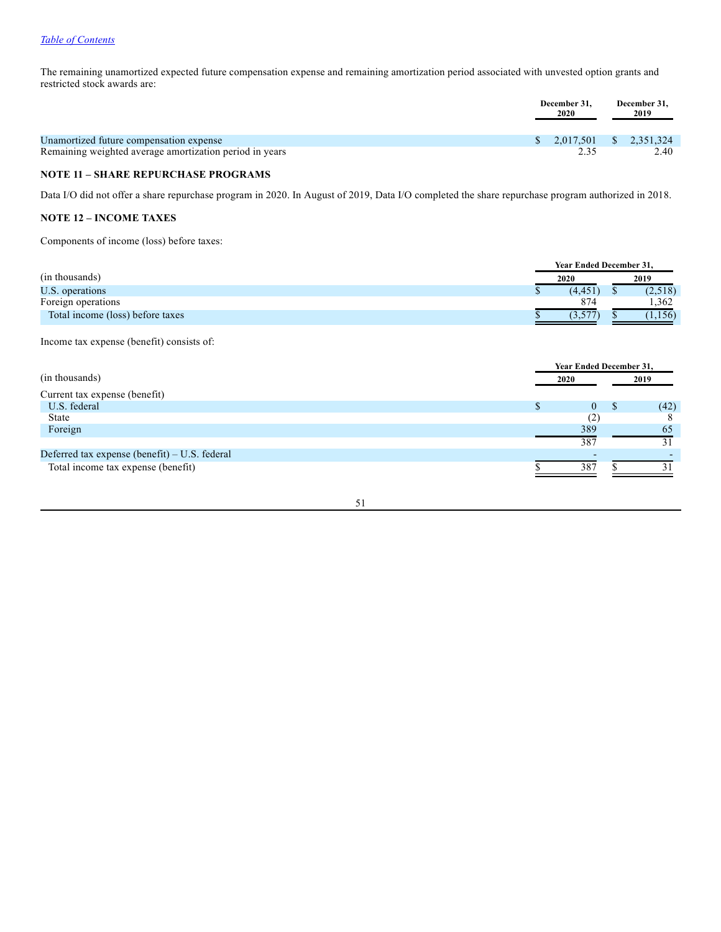The remaining unamortized expected future compensation expense and remaining amortization period associated with unvested option grants and restricted stock awards are:

|                                                         |              | December 31.<br>2020   | December 31,<br>2019 |
|---------------------------------------------------------|--------------|------------------------|----------------------|
| Unamortized future compensation expense                 | $\mathbf{S}$ | 2,017,501 \$ 2,351,324 |                      |
| Remaining weighted average amortization period in years |              |                        | 2.40                 |

# **NOTE 11 – SHARE REPURCHASE PROGRAMS**

Data I/O did not offer a share repurchase program in 2020. In August of 2019, Data I/O completed the share repurchase program authorized in 2018.

# **NOTE 12 – INCOME TAXES**

Components of income (loss) before taxes:

|                                  | <b>Year Ended December 31.</b> |  |         |  |
|----------------------------------|--------------------------------|--|---------|--|
| (in thousands)                   | 2020                           |  | 2019    |  |
| U.S. operations                  | (4.45)                         |  | (2,518) |  |
| Foreign operations               | 874                            |  | .362    |  |
| Total income (loss) before taxes | 3.51                           |  | 1,156   |  |

Income tax expense (benefit) consists of:

|                                                 | <b>Year Ended December 31,</b> |  |      |  |  |  |  |
|-------------------------------------------------|--------------------------------|--|------|--|--|--|--|
| (in thousands)                                  | 2020                           |  | 2019 |  |  |  |  |
| Current tax expense (benefit)                   |                                |  |      |  |  |  |  |
| U.S. federal                                    | $\theta$                       |  | (42) |  |  |  |  |
| State                                           | (2)                            |  |      |  |  |  |  |
| Foreign                                         | 389                            |  | 65   |  |  |  |  |
|                                                 | 387                            |  |      |  |  |  |  |
| Deferred tax expense (benefit) $- U.S.$ federal |                                |  |      |  |  |  |  |
| Total income tax expense (benefit)              | 387                            |  | 31   |  |  |  |  |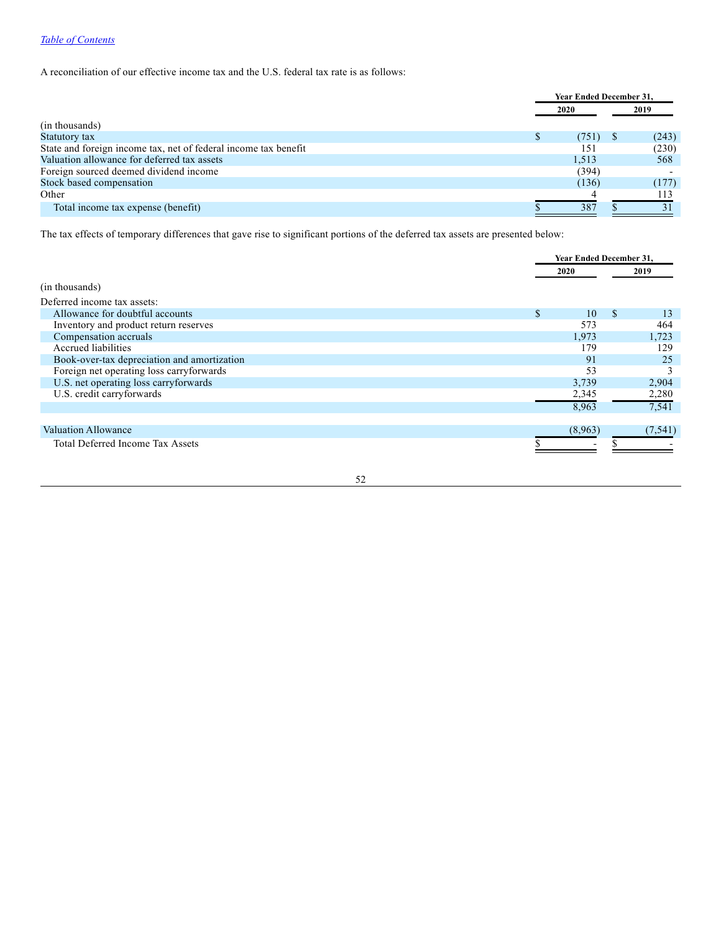A reconciliation of our effective income tax and the U.S. federal tax rate is as follows:

|                                                                 | <b>Year Ended December 31,</b> |       |  |       |  |
|-----------------------------------------------------------------|--------------------------------|-------|--|-------|--|
|                                                                 |                                | 2020  |  | 2019  |  |
| (in thousands)                                                  |                                |       |  |       |  |
| Statutory tax                                                   |                                | (751) |  | (243) |  |
| State and foreign income tax, net of federal income tax benefit |                                | 151   |  | (230) |  |
| Valuation allowance for deferred tax assets                     |                                | 1,513 |  | 568   |  |
| Foreign sourced deemed dividend income                          |                                | (394) |  |       |  |
| Stock based compensation                                        |                                | (136) |  | (177) |  |
| Other                                                           |                                |       |  | 113   |  |
| Total income tax expense (benefit)                              |                                | 387   |  |       |  |

The tax effects of temporary differences that gave rise to significant portions of the deferred tax assets are presented below:

|                                             |               | <b>Year Ended December 31,</b> |              |          |  |
|---------------------------------------------|---------------|--------------------------------|--------------|----------|--|
|                                             |               | 2020                           |              | 2019     |  |
| (in thousands)                              |               |                                |              |          |  |
| Deferred income tax assets:                 |               |                                |              |          |  |
| Allowance for doubtful accounts             | <sup>\$</sup> | 10                             | <sup>S</sup> | 13       |  |
| Inventory and product return reserves       |               | 573                            |              | 464      |  |
| Compensation accruals                       |               | 1,973                          |              | 1,723    |  |
| Accrued liabilities                         |               | 179                            |              | 129      |  |
| Book-over-tax depreciation and amortization |               | 91                             |              | 25       |  |
| Foreign net operating loss carryforwards    |               | 53                             |              |          |  |
| U.S. net operating loss carryforwards       |               | 3,739                          |              | 2,904    |  |
| U.S. credit carryforwards                   |               | 2,345                          |              | 2,280    |  |
|                                             |               | 8,963                          |              | 7.541    |  |
|                                             |               |                                |              |          |  |
| <b>Valuation Allowance</b>                  |               | (8,963)                        |              | (7, 541) |  |
| <b>Total Deferred Income Tax Assets</b>     |               |                                |              |          |  |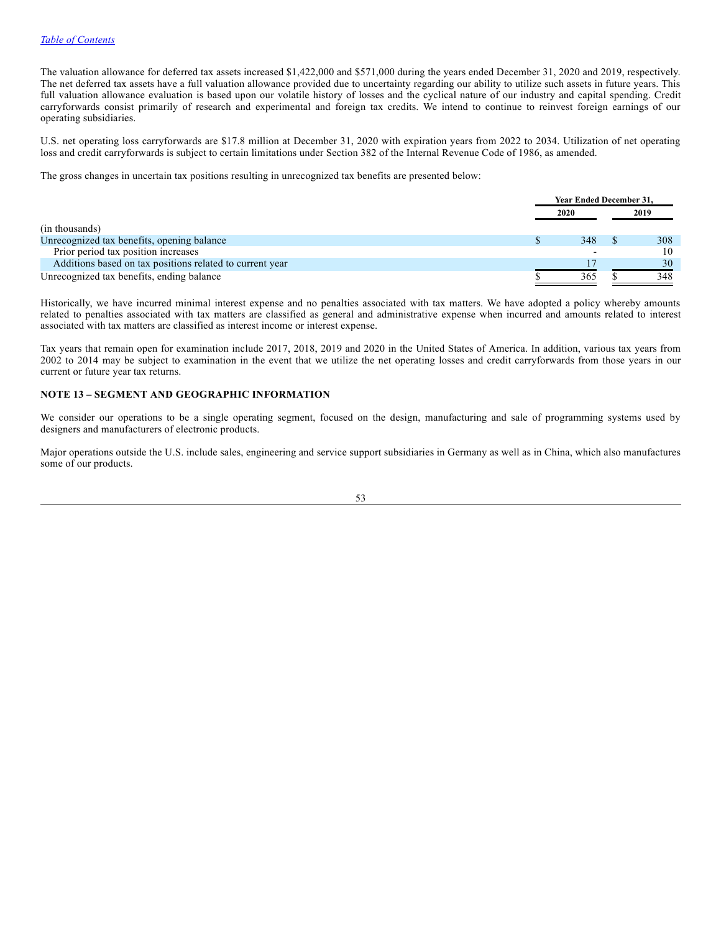The valuation allowance for deferred tax assets increased \$1,422,000 and \$571,000 during the years ended December 31, 2020 and 2019, respectively. The net deferred tax assets have a full valuation allowance provided due to uncertainty regarding our ability to utilize such assets in future years. This full valuation allowance evaluation is based upon our volatile history of losses and the cyclical nature of our industry and capital spending. Credit carryforwards consist primarily of research and experimental and foreign tax credits. We intend to continue to reinvest foreign earnings of our operating subsidiaries.

U.S. net operating loss carryforwards are \$17.8 million at December 31, 2020 with expiration years from 2022 to 2034. Utilization of net operating loss and credit carryforwards is subject to certain limitations under Section 382 of the Internal Revenue Code of 1986, as amended.

The gross changes in uncertain tax positions resulting in unrecognized tax benefits are presented below:

|                                                          | <b>Year Ended December 31.</b> |  |      |  |
|----------------------------------------------------------|--------------------------------|--|------|--|
|                                                          | 2020                           |  | 2019 |  |
| (in thousands)                                           |                                |  |      |  |
| Unrecognized tax benefits, opening balance               | 348                            |  | 308  |  |
| Prior period tax position increases                      |                                |  | 10   |  |
| Additions based on tax positions related to current year |                                |  | 30   |  |
| Unrecognized tax benefits, ending balance                | 365                            |  | 348  |  |

Historically, we have incurred minimal interest expense and no penalties associated with tax matters. We have adopted a policy whereby amounts related to penalties associated with tax matters are classified as general and administrative expense when incurred and amounts related to interest associated with tax matters are classified as interest income or interest expense.

Tax years that remain open for examination include 2017, 2018, 2019 and 2020 in the United States of America. In addition, various tax years from 2002 to 2014 may be subject to examination in the event that we utilize the net operating losses and credit carryforwards from those years in our current or future year tax returns.

# **NOTE 13 – SEGMENT AND GEOGRAPHIC INFORMATION**

We consider our operations to be a single operating segment, focused on the design, manufacturing and sale of programming systems used by designers and manufacturers of electronic products.

Major operations outside the U.S. include sales, engineering and service support subsidiaries in Germany as well as in China, which also manufactures some of our products.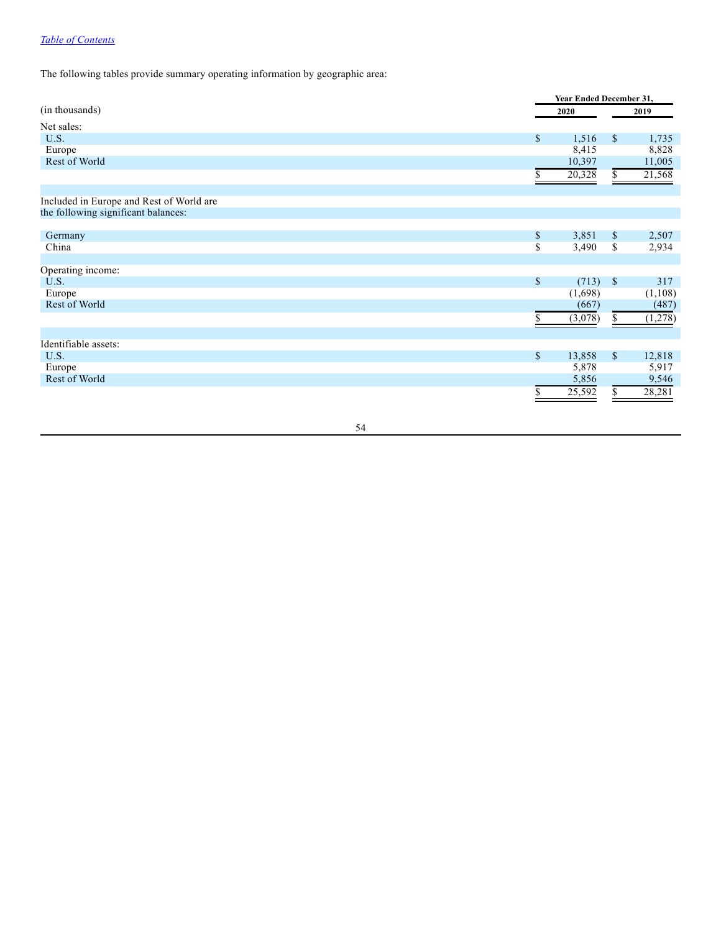# *Table of [Contents](#page-1-0)*

The following tables provide summary operating information by geographic area:

|                                          | Year Ended December 31, |         |              |          |
|------------------------------------------|-------------------------|---------|--------------|----------|
| (in thousands)                           |                         | 2020    |              | 2019     |
| Net sales:                               |                         |         |              |          |
| U.S.                                     | $\mathbb{S}$            | 1,516   | $\mathbb{S}$ | 1,735    |
| Europe                                   |                         | 8,415   |              | 8,828    |
| Rest of World                            |                         | 10,397  |              | 11,005   |
|                                          | \$                      | 20,328  | \$           | 21,568   |
|                                          |                         |         |              |          |
| Included in Europe and Rest of World are |                         |         |              |          |
| the following significant balances:      |                         |         |              |          |
|                                          |                         |         |              |          |
| Germany                                  | \$                      | 3,851   | \$           | 2,507    |
| China                                    | \$                      | 3,490   | \$           | 2,934    |
|                                          |                         |         |              |          |
| Operating income:                        |                         |         |              |          |
| U.S.                                     | \$                      | (713)   | $\mathbb{S}$ | 317      |
| Europe                                   |                         | (1,698) |              | (1,108)  |
| Rest of World                            |                         | (667)   |              | (487)    |
|                                          |                         | (3,078) | S            | (1, 278) |
|                                          |                         |         |              |          |
| Identifiable assets:                     |                         |         |              |          |
| U.S.                                     | $\mathbb{S}$            | 13,858  | $\mathbb{S}$ | 12,818   |
| Europe                                   |                         | 5,878   |              | 5,917    |
| Rest of World                            |                         | 5,856   |              | 9,546    |
|                                          | \$                      | 25,592  |              | 28,281   |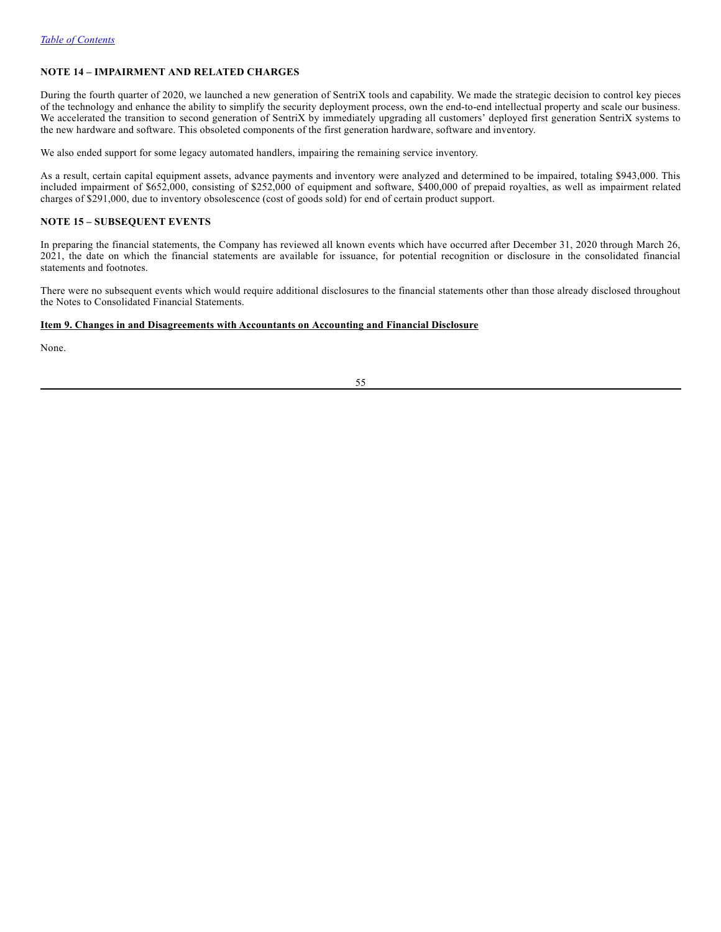# **NOTE 14 – IMPAIRMENT AND RELATED CHARGES**

During the fourth quarter of 2020, we launched a new generation of SentriX tools and capability. We made the strategic decision to control key pieces of the technology and enhance the ability to simplify the security deployment process, own the end-to-end intellectual property and scale our business. We accelerated the transition to second generation of SentriX by immediately upgrading all customers' deployed first generation SentriX systems to the new hardware and software. This obsoleted components of the first generation hardware, software and inventory.

We also ended support for some legacy automated handlers, impairing the remaining service inventory.

As a result, certain capital equipment assets, advance payments and inventory were analyzed and determined to be impaired, totaling \$943,000. This included impairment of \$652,000, consisting of \$252,000 of equipment and software, \$400,000 of prepaid royalties, as well as impairment related charges of \$291,000, due to inventory obsolescence (cost of goods sold) for end of certain product support.

# **NOTE 15 – SUBSEQUENT EVENTS**

In preparing the financial statements, the Company has reviewed all known events which have occurred after December 31, 2020 through March 26, 2021, the date on which the financial statements are available for issuance, for potential recognition or disclosure in the consolidated financial statements and footnotes.

There were no subsequent events which would require additional disclosures to the financial statements other than those already disclosed throughout the Notes to Consolidated Financial Statements.

## **Item 9. Changes in and Disagreements with Accountants on Accounting and Financial Disclosure**

None.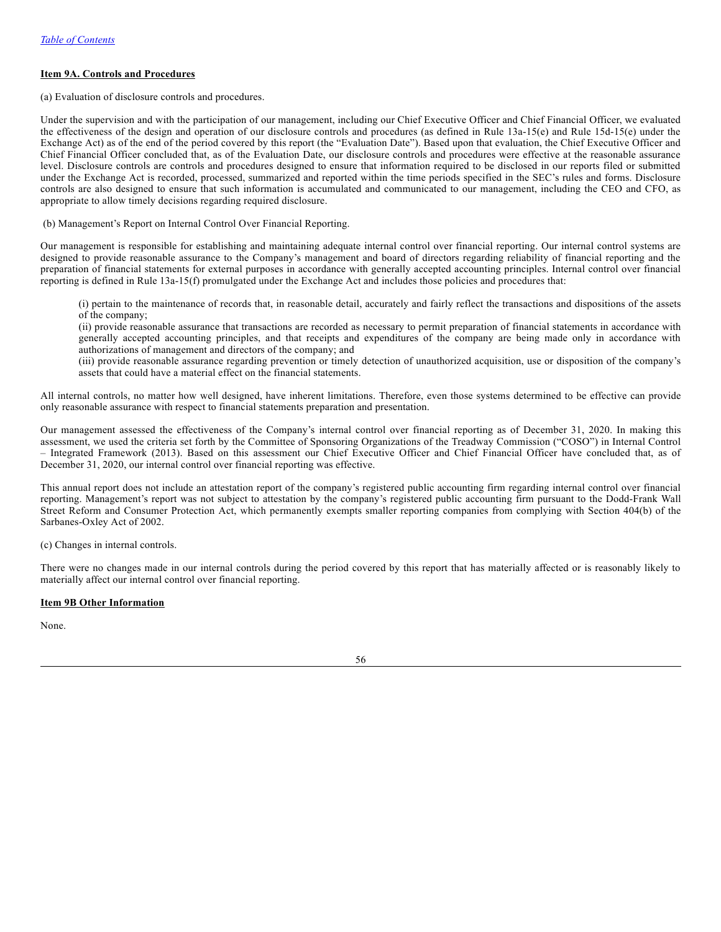## **Item 9A. Controls and Procedures**

(a) Evaluation of disclosure controls and procedures.

Under the supervision and with the participation of our management, including our Chief Executive Officer and Chief Financial Officer, we evaluated the effectiveness of the design and operation of our disclosure controls and procedures (as defined in Rule 13a-15(e) and Rule 15d-15(e) under the Exchange Act) as of the end of the period covered by this report (the "Evaluation Date"). Based upon that evaluation, the Chief Executive Officer and Chief Financial Officer concluded that, as of the Evaluation Date, our disclosure controls and procedures were effective at the reasonable assurance level. Disclosure controls are controls and procedures designed to ensure that information required to be disclosed in our reports filed or submitted under the Exchange Act is recorded, processed, summarized and reported within the time periods specified in the SEC's rules and forms. Disclosure controls are also designed to ensure that such information is accumulated and communicated to our management, including the CEO and CFO, as appropriate to allow timely decisions regarding required disclosure.

(b) Management's Report on Internal Control Over Financial Reporting.

Our management is responsible for establishing and maintaining adequate internal control over financial reporting. Our internal control systems are designed to provide reasonable assurance to the Company's management and board of directors regarding reliability of financial reporting and the preparation of financial statements for external purposes in accordance with generally accepted accounting principles. Internal control over financial reporting is defined in Rule 13a-15(f) promulgated under the Exchange Act and includes those policies and procedures that:

(i) pertain to the maintenance of records that, in reasonable detail, accurately and fairly reflect the transactions and dispositions of the assets of the company;

(ii) provide reasonable assurance that transactions are recorded as necessary to permit preparation of financial statements in accordance with generally accepted accounting principles, and that receipts and expenditures of the company are being made only in accordance with authorizations of management and directors of the company; and

(iii) provide reasonable assurance regarding prevention or timely detection of unauthorized acquisition, use or disposition of the company's assets that could have a material effect on the financial statements.

All internal controls, no matter how well designed, have inherent limitations. Therefore, even those systems determined to be effective can provide only reasonable assurance with respect to financial statements preparation and presentation.

Our management assessed the effectiveness of the Company's internal control over financial reporting as of December 31, 2020. In making this assessment, we used the criteria set forth by the Committee of Sponsoring Organizations of the Treadway Commission ("COSO") in Internal Control – Integrated Framework (2013). Based on this assessment our Chief Executive Officer and Chief Financial Officer have concluded that, as of December 31, 2020, our internal control over financial reporting was effective.

This annual report does not include an attestation report of the company's registered public accounting firm regarding internal control over financial reporting. Management's report was not subject to attestation by the company's registered public accounting firm pursuant to the Dodd-Frank Wall Street Reform and Consumer Protection Act, which permanently exempts smaller reporting companies from complying with Section 404(b) of the Sarbanes-Oxley Act of 2002.

(c) Changes in internal controls.

There were no changes made in our internal controls during the period covered by this report that has materially affected or is reasonably likely to materially affect our internal control over financial reporting.

## **Item 9B Other Information**

None.

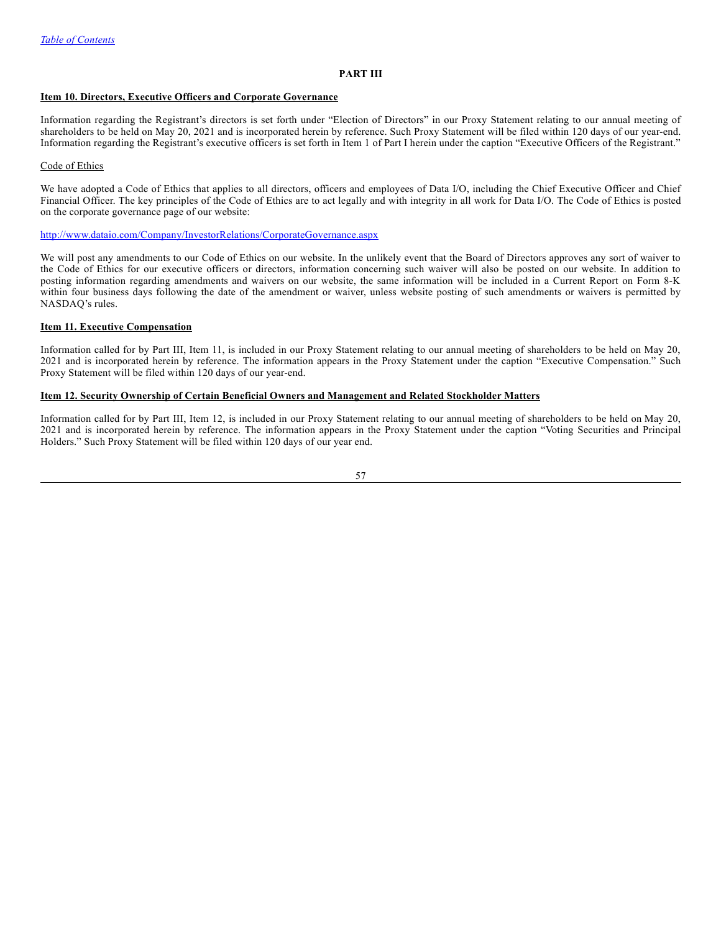#### **PART III**

### **Item 10. Directors, Executive Officers and Corporate Governance**

Information regarding the Registrant's directors is set forth under "Election of Directors" in our Proxy Statement relating to our annual meeting of shareholders to be held on May 20, 2021 and is incorporated herein by reference. Such Proxy Statement will be filed within 120 days of our year-end. Information regarding the Registrant's executive officers is set forth in Item 1 of Part I herein under the caption "Executive Officers of the Registrant."

#### Code of Ethics

We have adopted a Code of Ethics that applies to all directors, officers and employees of Data I/O, including the Chief Executive Officer and Chief Financial Officer. The key principles of the Code of Ethics are to act legally and with integrity in all work for Data I/O. The Code of Ethics is posted on the corporate governance page of our website:

#### http://www.dataio.com/Company/InvestorRelations/CorporateGovernance.aspx

We will post any amendments to our Code of Ethics on our website. In the unlikely event that the Board of Directors approves any sort of waiver to the Code of Ethics for our executive officers or directors, information concerning such waiver will also be posted on our website. In addition to posting information regarding amendments and waivers on our website, the same information will be included in a Current Report on Form 8-K within four business days following the date of the amendment or waiver, unless website posting of such amendments or waivers is permitted by NASDAQ's rules.

#### **Item 11. Executive Compensation**

Information called for by Part III, Item 11, is included in our Proxy Statement relating to our annual meeting of shareholders to be held on May 20, 2021 and is incorporated herein by reference. The information appears in the Proxy Statement under the caption "Executive Compensation." Such Proxy Statement will be filed within 120 days of our year-end.

# **Item 12. Security Ownership of Certain Beneficial Owners and Management and Related Stockholder Matters**

Information called for by Part III, Item 12, is included in our Proxy Statement relating to our annual meeting of shareholders to be held on May 20, 2021 and is incorporated herein by reference. The information appears in the Proxy Statement under the caption "Voting Securities and Principal Holders." Such Proxy Statement will be filed within 120 days of our year end.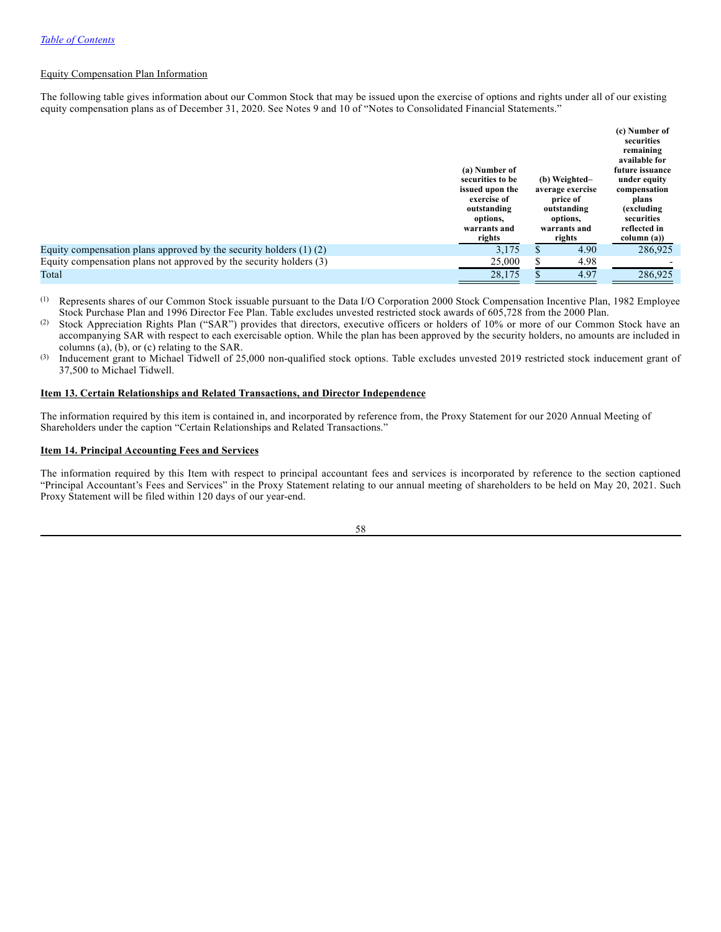### Equity Compensation Plan Information

The following table gives information about our Common Stock that may be issued upon the exercise of options and rights under all of our existing equity compensation plans as of December 31, 2020. See Notes 9 and 10 of "Notes to Consolidated Financial Statements."

|                                                                        | (a) Number of<br>securities to be<br>issued upon the<br>exercise of<br>outstanding<br>options.<br>warrants and<br>rights | (b) Weighted-<br>average exercise<br>price of<br>outstanding<br>options.<br>warrants and<br>rights |      | (c) Number of<br>securities<br>remaining<br>available for<br>future issuance<br>under equity<br>compensation<br>plans<br>(excluding<br>securities<br>reflected in<br>column (a)) |
|------------------------------------------------------------------------|--------------------------------------------------------------------------------------------------------------------------|----------------------------------------------------------------------------------------------------|------|----------------------------------------------------------------------------------------------------------------------------------------------------------------------------------|
| Equity compensation plans approved by the security holders $(1)$ $(2)$ | 3.175                                                                                                                    | S.                                                                                                 | 4.90 | 286,925                                                                                                                                                                          |
| Equity compensation plans not approved by the security holders (3)     | 25,000                                                                                                                   |                                                                                                    | 4.98 |                                                                                                                                                                                  |
| Total                                                                  | 28,175                                                                                                                   |                                                                                                    | 4.97 | 286,925                                                                                                                                                                          |

- (1) Represents shares of our Common Stock issuable pursuant to the Data I/O Corporation 2000 Stock Compensation Incentive Plan, 1982 Employee Stock Purchase Plan and 1996 Director Fee Plan. Table excludes unvested restricted stock awards of 605,728 from the 2000 Plan.
- (2) Stock Appreciation Rights Plan ("SAR") provides that directors, executive officers or holders of 10% or more of our Common Stock have an accompanying SAR with respect to each exercisable option. While the plan has been approved by the security holders, no amounts are included in columns (a), (b), or (c) relating to the SAR.
- (3) Inducement grant to Michael Tidwell of 25,000 non-qualified stock options. Table excludes unvested 2019 restricted stock inducement grant of 37,500 to Michael Tidwell.

### **Item 13. Certain Relationships and Related Transactions, and Director Independence**

The information required by this item is contained in, and incorporated by reference from, the Proxy Statement for our 2020 Annual Meeting of Shareholders under the caption "Certain Relationships and Related Transactions."

## **Item 14. Principal Accounting Fees and Services**

The information required by this Item with respect to principal accountant fees and services is incorporated by reference to the section captioned "Principal Accountant's Fees and Services" in the Proxy Statement relating to our annual meeting of shareholders to be held on May 20, 2021. Such Proxy Statement will be filed within 120 days of our year-end.

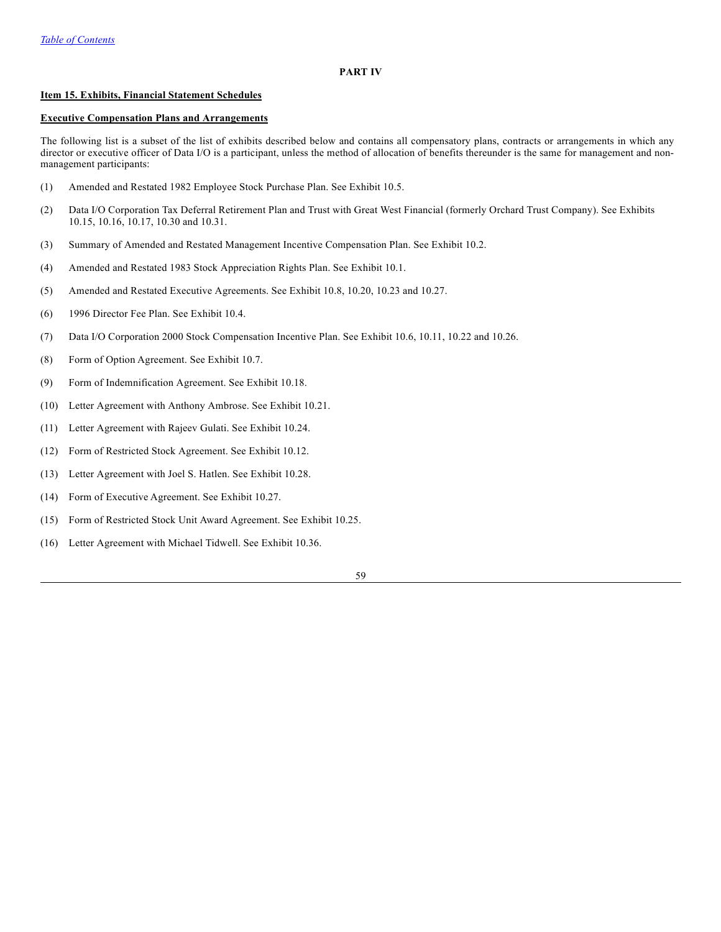# **PART IV**

### **Item 15. Exhibits, Financial Statement Schedules**

### **Executive Compensation Plans and Arrangements**

The following list is a subset of the list of exhibits described below and contains all compensatory plans, contracts or arrangements in which any director or executive officer of Data I/O is a participant, unless the method of allocation of benefits thereunder is the same for management and nonmanagement participants:

- (1) Amended and Restated 1982 Employee Stock Purchase Plan. See Exhibit 10.5.
- (2) Data I/O Corporation Tax Deferral Retirement Plan and Trust with Great West Financial (formerly Orchard Trust Company). See Exhibits 10.15, 10.16, 10.17, 10.30 and 10.31.
- (3) Summary of Amended and Restated Management Incentive Compensation Plan. See Exhibit 10.2.
- (4) Amended and Restated 1983 Stock Appreciation Rights Plan. See Exhibit 10.1.
- (5) Amended and Restated Executive Agreements. See Exhibit 10.8, 10.20, 10.23 and 10.27.
- (6) 1996 Director Fee Plan. See Exhibit 10.4.
- (7) Data I/O Corporation 2000 Stock Compensation Incentive Plan. See Exhibit 10.6, 10.11, 10.22 and 10.26.
- (8) Form of Option Agreement. See Exhibit 10.7.
- (9) Form of Indemnification Agreement. See Exhibit 10.18.
- (10) Letter Agreement with Anthony Ambrose. See Exhibit 10.21.
- (11) Letter Agreement with Rajeev Gulati. See Exhibit 10.24.
- (12) Form of Restricted Stock Agreement. See Exhibit 10.12.
- (13) Letter Agreement with Joel S. Hatlen. See Exhibit 10.28.
- (14) Form of Executive Agreement. See Exhibit 10.27.
- (15) Form of Restricted Stock Unit Award Agreement. See Exhibit 10.25.
- (16) Letter Agreement with Michael Tidwell. See Exhibit 10.36.

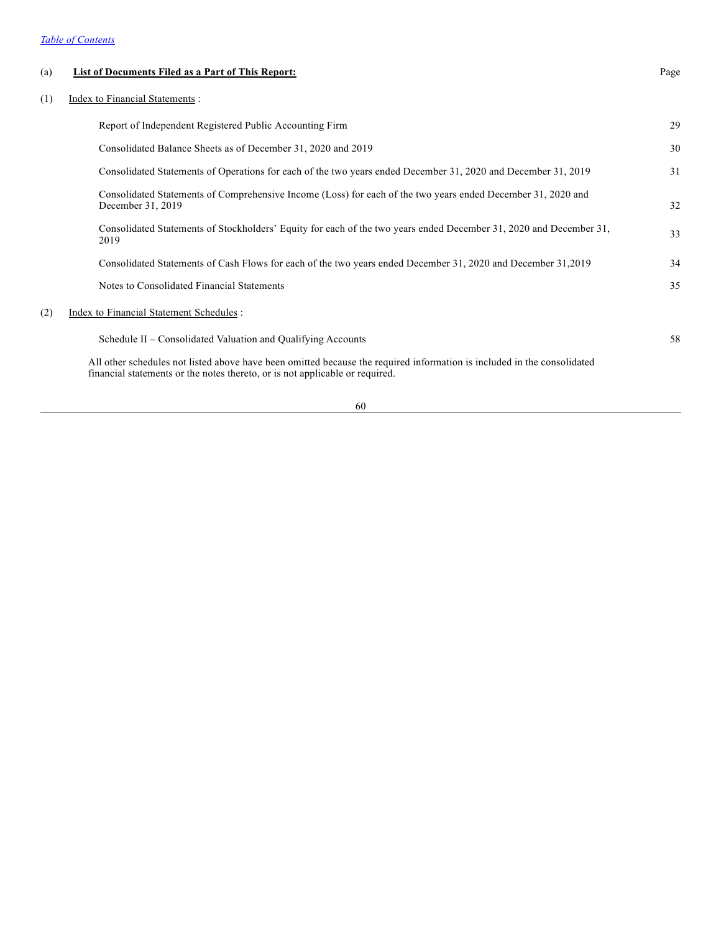# (a) **List of Documents Filed as a Part of This Report:** Page

# (1) Index to Financial Statements :

|     | Report of Independent Registered Public Accounting Firm                                                                                                                                                 | 29 |
|-----|---------------------------------------------------------------------------------------------------------------------------------------------------------------------------------------------------------|----|
|     | Consolidated Balance Sheets as of December 31, 2020 and 2019                                                                                                                                            | 30 |
|     | Consolidated Statements of Operations for each of the two years ended December 31, 2020 and December 31, 2019                                                                                           | 31 |
|     | Consolidated Statements of Comprehensive Income (Loss) for each of the two years ended December 31, 2020 and<br>December 31, 2019                                                                       | 32 |
|     | Consolidated Statements of Stockholders' Equity for each of the two years ended December 31, 2020 and December 31,<br>2019                                                                              | 33 |
|     | Consolidated Statements of Cash Flows for each of the two years ended December 31, 2020 and December 31, 2019                                                                                           | 34 |
|     | Notes to Consolidated Financial Statements                                                                                                                                                              | 35 |
| (2) | Index to Financial Statement Schedules:                                                                                                                                                                 |    |
|     | Schedule II – Consolidated Valuation and Qualifying Accounts                                                                                                                                            | 58 |
|     | All other schedules not listed above have been omitted because the required information is included in the consolidated<br>financial statements or the notes thereto, or is not applicable or required. |    |
|     |                                                                                                                                                                                                         |    |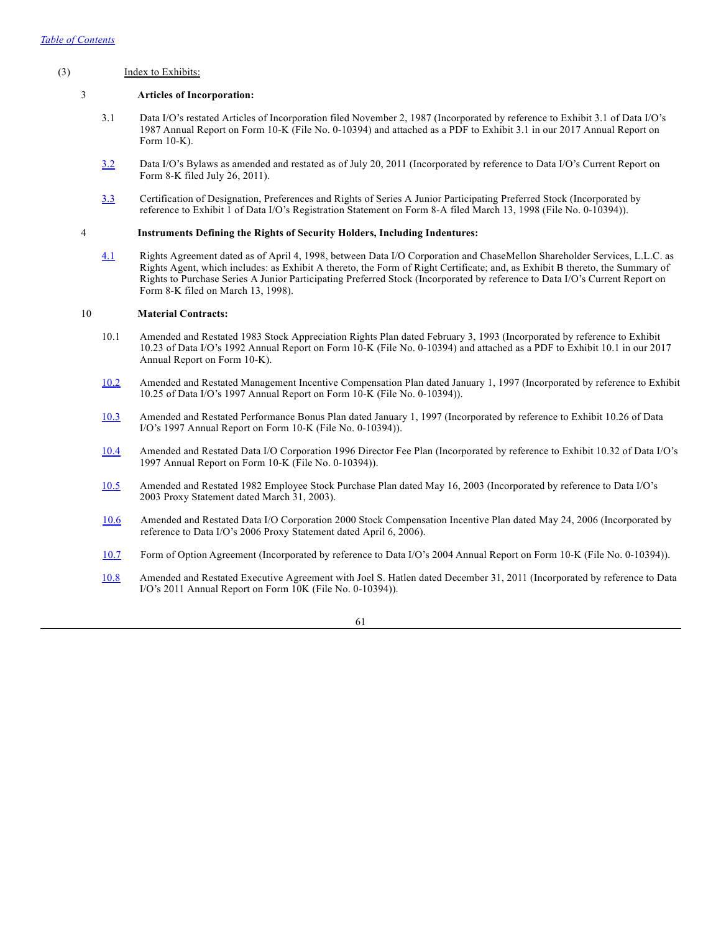# (3) Index to Exhibits:

# 3 **Articles of Incorporation:**

- 3.1 Data I/O's restated Articles of Incorporation filed November 2, 1987 (Incorporated by reference to Exhibit 3.1 of Data I/O's 1987 Annual Report on Form 10-K (File No. 0-10394) and attached as a PDF to Exhibit 3.1 in our 2017 Annual Report on Form 10-K).
- 3.2 Data I/O's Bylaws as amended and restated as of July 20, 2011 (Incorporated by reference to Data I/O's Current Report on Form 8-K filed July 26, 2011).
- 3.3 Certification of Designation, Preferences and Rights of Series A Junior Participating Preferred Stock (Incorporated by reference to Exhibit 1 of Data I/O's Registration Statement on Form 8-A filed March 13, 1998 (File No. 0-10394)).

# 4 **Instruments Defining the Rights of Security Holders, Including Indentures:**

4.1 Rights Agreement dated as of April 4, 1998, between Data I/O Corporation and ChaseMellon Shareholder Services, L.L.C. as Rights Agent, which includes: as Exhibit A thereto, the Form of Right Certificate; and, as Exhibit B thereto, the Summary of Rights to Purchase Series A Junior Participating Preferred Stock (Incorporated by reference to Data I/O's Current Report on Form 8-K filed on March 13, 1998).

# 10 **Material Contracts:**

- 10.1 Amended and Restated 1983 Stock Appreciation Rights Plan dated February 3, 1993 (Incorporated by reference to Exhibit 10.23 of Data I/O's 1992 Annual Report on Form 10-K (File No. 0-10394) and attached as a PDF to Exhibit 10.1 in our 2017 Annual Report on Form 10-K).
- 10.2 Amended and Restated Management Incentive Compensation Plan dated January 1, 1997 (Incorporated by reference to Exhibit 10.25 of Data I/O's 1997 Annual Report on Form 10-K (File No. 0-10394)).
- 10.3 Amended and Restated Performance Bonus Plan dated January 1, 1997 (Incorporated by reference to Exhibit 10.26 of Data I/O's 1997 Annual Report on Form 10-K (File No. 0-10394)).
- 10.4 Amended and Restated Data I/O Corporation 1996 Director Fee Plan (Incorporated by reference to Exhibit 10.32 of Data I/O's 1997 Annual Report on Form 10-K (File No. 0-10394)).
- 10.5 Amended and Restated 1982 Employee Stock Purchase Plan dated May 16, 2003 (Incorporated by reference to Data I/O's 2003 Proxy Statement dated March 31, 2003).
- 10.6 Amended and Restated Data I/O Corporation 2000 Stock Compensation Incentive Plan dated May 24, 2006 (Incorporated by reference to Data I/O's 2006 Proxy Statement dated April 6, 2006).
- 10.7 Form of Option Agreement (Incorporated by reference to Data I/O's 2004 Annual Report on Form 10-K (File No. 0-10394)).
- 10.8 Amended and Restated Executive Agreement with Joel S. Hatlen dated December 31, 2011 (Incorporated by reference to Data I/O's 2011 Annual Report on Form 10K (File No. 0-10394)).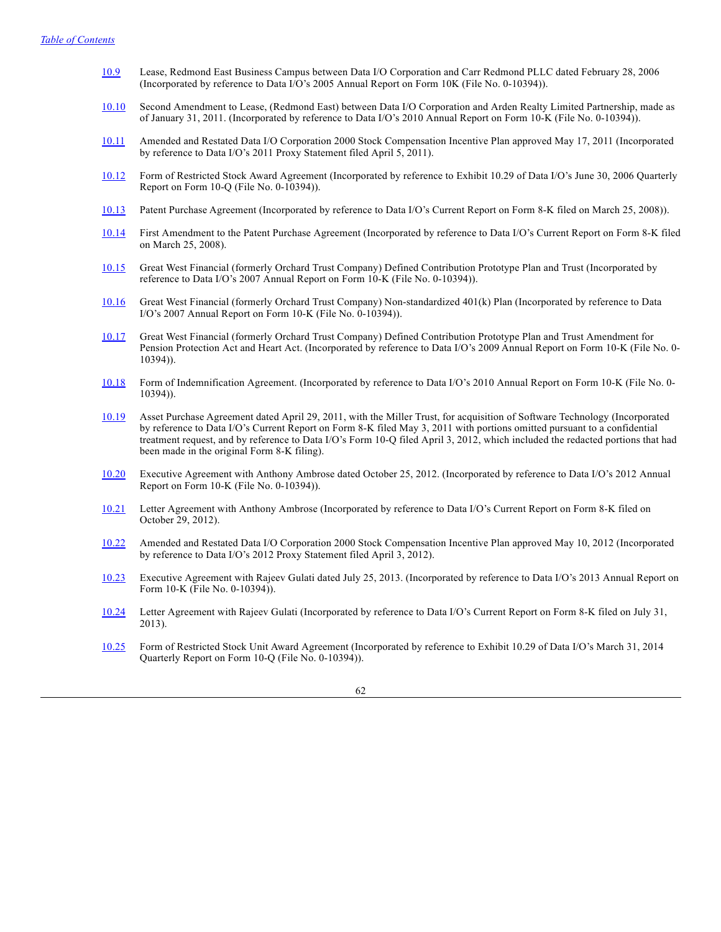- 10.9 Lease, Redmond East Business Campus between Data I/O Corporation and Carr Redmond PLLC dated February 28, 2006 (Incorporated by reference to Data I/O's 2005 Annual Report on Form 10K (File No. 0-10394)).
- 10.10 Second Amendment to Lease, (Redmond East) between Data I/O Corporation and Arden Realty Limited Partnership, made as of January 31, 2011. (Incorporated by reference to Data I/O's 2010 Annual Report on Form 10-K (File No. 0-10394)).
- 10.11 Amended and Restated Data I/O Corporation 2000 Stock Compensation Incentive Plan approved May 17, 2011 (Incorporated by reference to Data I/O's 2011 Proxy Statement filed April 5, 2011).
- 10.12 Form of Restricted Stock Award Agreement (Incorporated by reference to Exhibit 10.29 of Data I/O's June 30, 2006 Quarterly Report on Form 10-Q (File No. 0-10394)).
- 10.13 Patent Purchase Agreement (Incorporated by reference to Data I/O's Current Report on Form 8-K filed on March 25, 2008)).
- 10.14 First Amendment to the Patent Purchase Agreement (Incorporated by reference to Data I/O's Current Report on Form 8-K filed on March 25, 2008).
- 10.15 Great West Financial (formerly Orchard Trust Company) Defined Contribution Prototype Plan and Trust (Incorporated by reference to Data I/O's 2007 Annual Report on Form 10-K (File No. 0-10394)).
- 10.16 Great West Financial (formerly Orchard Trust Company) Non-standardized 401(k) Plan (Incorporated by reference to Data I/O's 2007 Annual Report on Form 10-K (File No. 0-10394)).
- 10.17 Great West Financial (formerly Orchard Trust Company) Defined Contribution Prototype Plan and Trust Amendment for Pension Protection Act and Heart Act. (Incorporated by reference to Data I/O's 2009 Annual Report on Form 10-K (File No. 0- 10394)).
- 10.18 Form of Indemnification Agreement. (Incorporated by reference to Data I/O's 2010 Annual Report on Form 10-K (File No. 0- 10394)).
- 10.19 Asset Purchase Agreement dated April 29, 2011, with the Miller Trust, for acquisition of Software Technology (Incorporated by reference to Data I/O's Current Report on Form 8-K filed May 3, 2011 with portions omitted pursuant to a confidential treatment request, and by reference to Data I/O's Form 10-Q filed April 3, 2012, which included the redacted portions that had been made in the original Form 8-K filing).
- 10.20 Executive Agreement with Anthony Ambrose dated October 25, 2012. (Incorporated by reference to Data I/O's 2012 Annual Report on Form 10-K (File No. 0-10394)).
- 10.21 Letter Agreement with Anthony Ambrose (Incorporated by reference to Data I/O's Current Report on Form 8-K filed on October 29, 2012).
- 10.22 Amended and Restated Data I/O Corporation 2000 Stock Compensation Incentive Plan approved May 10, 2012 (Incorporated by reference to Data I/O's 2012 Proxy Statement filed April 3, 2012).
- 10.23 Executive Agreement with Rajeev Gulati dated July 25, 2013. (Incorporated by reference to Data I/O's 2013 Annual Report on Form 10-K (File No. 0-10394)).
- 10.24 Letter Agreement with Rajeev Gulati (Incorporated by reference to Data I/O's Current Report on Form 8-K filed on July 31, 2013).
- 10.25 Form of Restricted Stock Unit Award Agreement (Incorporated by reference to Exhibit 10.29 of Data I/O's March 31, 2014 Quarterly Report on Form 10-Q (File No. 0-10394)).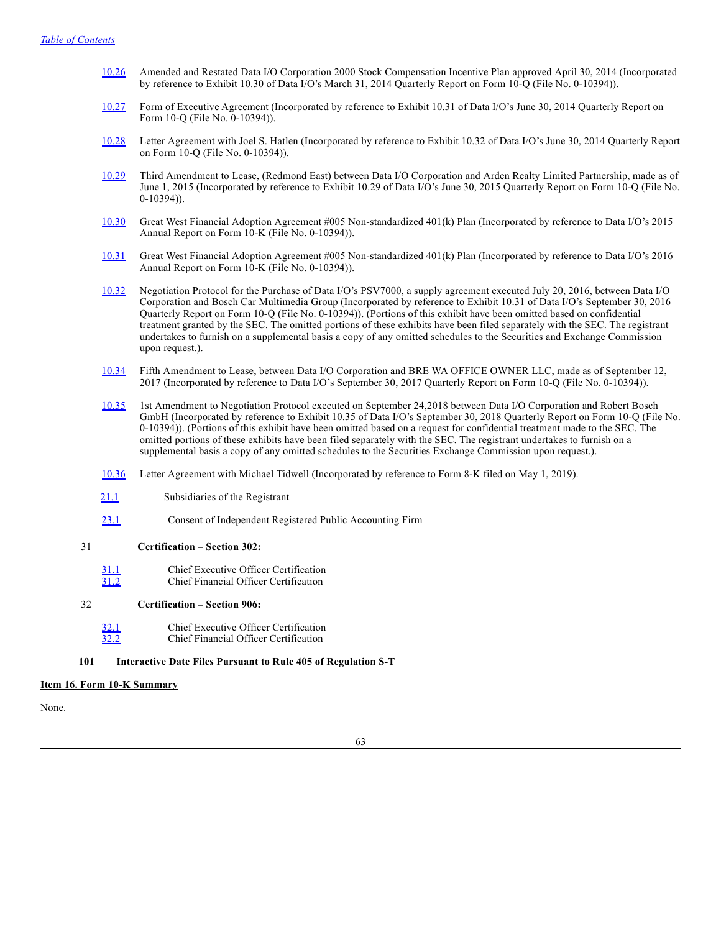- 10.26 Amended and Restated Data I/O Corporation 2000 Stock Compensation Incentive Plan approved April 30, 2014 (Incorporated by reference to Exhibit 10.30 of Data I/O's March 31, 2014 Quarterly Report on Form 10-Q (File No. 0-10394)).
- 10.27 Form of Executive Agreement (Incorporated by reference to Exhibit 10.31 of Data I/O's June 30, 2014 Quarterly Report on Form 10-Q (File No. 0-10394)).
- 10.28 Letter Agreement with Joel S. Hatlen (Incorporated by reference to Exhibit 10.32 of Data I/O's June 30, 2014 Quarterly Report on Form 10-Q (File No. 0-10394)).
- 10.29 Third Amendment to Lease, (Redmond East) between Data I/O Corporation and Arden Realty Limited Partnership, made as of June 1, 2015 (Incorporated by reference to Exhibit 10.29 of Data I/O's June 30, 2015 Quarterly Report on Form 10-Q (File No. 0-10394)).
- 10.30 Great West Financial Adoption Agreement #005 Non-standardized 401(k) Plan (Incorporated by reference to Data I/O's 2015 Annual Report on Form 10-K (File No. 0-10394)).
- 10.31 Great West Financial Adoption Agreement #005 Non-standardized 401(k) Plan (Incorporated by reference to Data I/O's 2016 Annual Report on Form 10-K (File No. 0-10394)).
- 10.32 Negotiation Protocol for the Purchase of Data I/O's PSV7000, a supply agreement executed July 20, 2016, between Data I/O Corporation and Bosch Car Multimedia Group (Incorporated by reference to Exhibit 10.31 of Data I/O's September 30, 2016 Quarterly Report on Form 10-Q (File No. 0-10394)). (Portions of this exhibit have been omitted based on confidential treatment granted by the SEC. The omitted portions of these exhibits have been filed separately with the SEC. The registrant undertakes to furnish on a supplemental basis a copy of any omitted schedules to the Securities and Exchange Commission upon request.).
- 10.34 Fifth Amendment to Lease, between Data I/O Corporation and BRE WA OFFICE OWNER LLC, made as of September 12, 2017 (Incorporated by reference to Data I/O's September 30, 2017 Quarterly Report on Form 10-Q (File No. 0-10394)).
- 10.35 1st Amendment to Negotiation Protocol executed on September 24,2018 between Data I/O Corporation and Robert Bosch GmbH (Incorporated by reference to Exhibit 10.35 of Data I/O's September 30, 2018 Quarterly Report on Form 10-Q (File No. 0-10394)). (Portions of this exhibit have been omitted based on a request for confidential treatment made to the SEC. The omitted portions of these exhibits have been filed separately with the SEC. The registrant undertakes to furnish on a supplemental basis a copy of any omitted schedules to the Securities Exchange Commission upon request.).
- 10.36 Letter Agreement with Michael Tidwell (Incorporated by reference to Form 8-K filed on May 1, 2019).
- 21.1 Subsidiaries of the Registrant
- 23.1 Consent of Independent Registered Public Accounting Firm
- 31 **Certification – Section 302:**
	- 31.1 Chief Executive Officer Certification<br>31.2 Chief Financial Officer Certification 31.2 Chief Financial Officer Certification
- 32 **Certification – Section 906:**
	- $\frac{32.1}{32.2}$  Chief Executive Officer Certification<br>Chief Financial Officer Certification 32.2 Chief Financial Officer Certification
- **101 Interactive Date Files Pursuant to Rule 405 of Regulation S-T**

## **Item 16. Form 10-K Summary**

None.

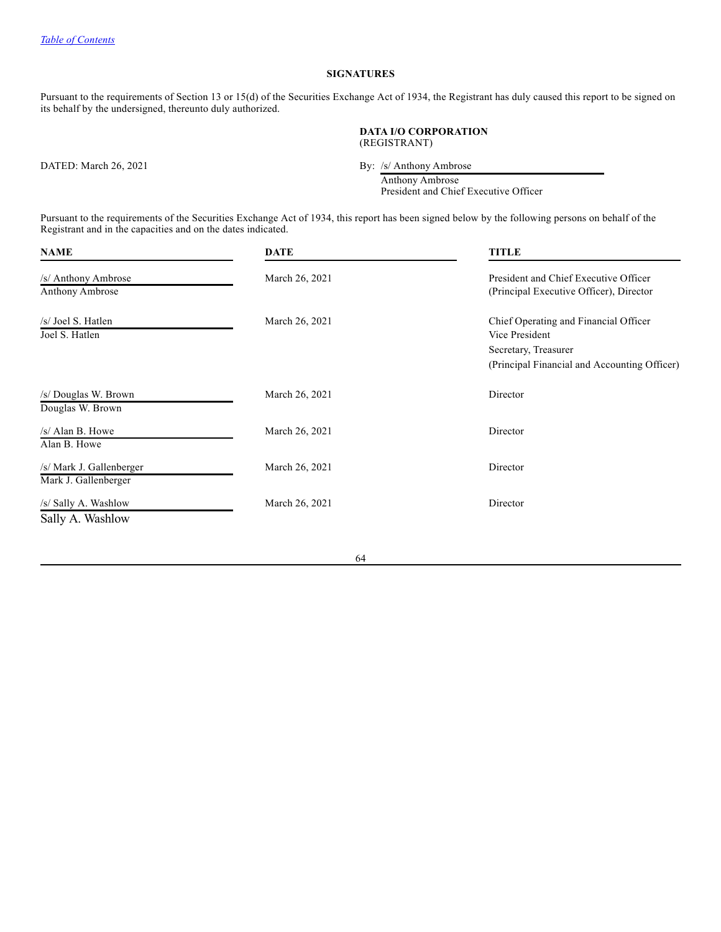## **SIGNATURES**

Pursuant to the requirements of Section 13 or 15(d) of the Securities Exchange Act of 1934, the Registrant has duly caused this report to be signed on its behalf by the undersigned, thereunto duly authorized.

# **DATA I/O CORPORATION** (REGISTRANT)

DATED: March 26, 2021 By: /s/ Anthony Ambrose

Anthony Ambrose President and Chief Executive Officer

Pursuant to the requirements of the Securities Exchange Act of 1934, this report has been signed below by the following persons on behalf of the Registrant and in the capacities and on the dates indicated.

| <b>NAME</b>                                      | <b>DATE</b>    | <b>TITLE</b>                                                                                                                    |  |  |
|--------------------------------------------------|----------------|---------------------------------------------------------------------------------------------------------------------------------|--|--|
| /s/ Anthony Ambrose<br>Anthony Ambrose           | March 26, 2021 | President and Chief Executive Officer<br>(Principal Executive Officer), Director                                                |  |  |
| /s/ Joel S. Hatlen<br>Joel S. Hatlen             | March 26, 2021 | Chief Operating and Financial Officer<br>Vice President<br>Secretary, Treasurer<br>(Principal Financial and Accounting Officer) |  |  |
| /s/ Douglas W. Brown<br>Douglas W. Brown         | March 26, 2021 | Director                                                                                                                        |  |  |
| $/s/$ Alan B. Howe<br>Alan B. Howe               | March 26, 2021 | Director                                                                                                                        |  |  |
| /s/ Mark J. Gallenberger<br>Mark J. Gallenberger | March 26, 2021 | Director                                                                                                                        |  |  |
| /s/ Sally A. Washlow<br>Sally A. Washlow         | March 26, 2021 | Director                                                                                                                        |  |  |

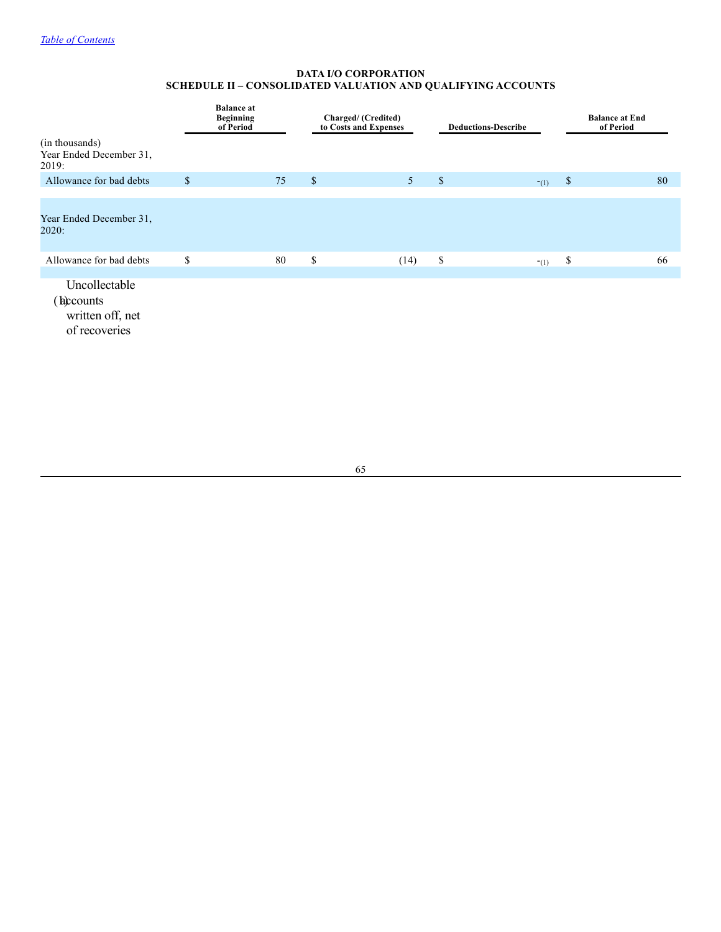# **DATA I/O CORPORATION SCHEDULE II – CONSOLIDATED VALUATION AND QUALIFYING ACCOUNTS**

|                                                                 |             | <b>Balance</b> at<br><b>Beginning</b><br>of Period |              | Charged/ (Credited)<br>to Costs and Expenses |              | <b>Deductions-Describe</b> |                           | <b>Balance at End</b><br>of Period |  |
|-----------------------------------------------------------------|-------------|----------------------------------------------------|--------------|----------------------------------------------|--------------|----------------------------|---------------------------|------------------------------------|--|
| (in thousands)<br>Year Ended December 31,<br>2019:              |             |                                                    |              |                                              |              |                            |                           |                                    |  |
| Allowance for bad debts                                         | $\sqrt{\ }$ | 75                                                 | $\mathbb{S}$ | 5 <sup>5</sup>                               | $\mathbb{S}$ | (1)                        | $\boldsymbol{\mathsf{S}}$ | 80                                 |  |
| Year Ended December 31,<br>2020:                                |             |                                                    |              |                                              |              |                            |                           |                                    |  |
| Allowance for bad debts                                         | \$          | 80                                                 | \$           | (14)                                         | \$           | $-(1)$                     | $\mathbb S$               | 66                                 |  |
| Uncollectable<br>(h)counts<br>written off, net<br>of recoveries |             |                                                    |              |                                              |              |                            |                           |                                    |  |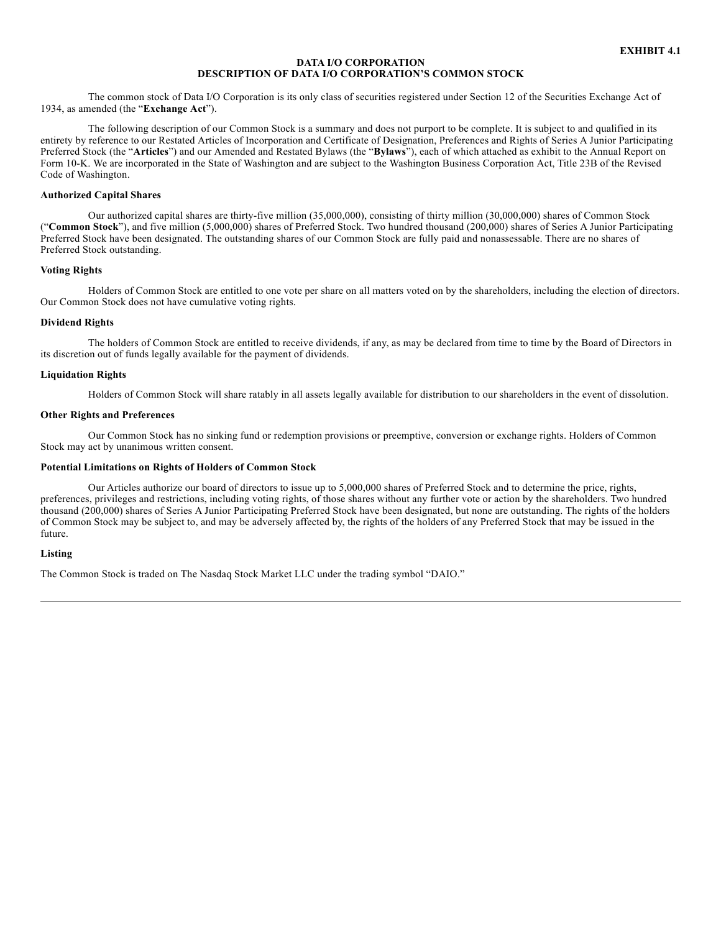### **DATA I/O CORPORATION DESCRIPTION OF DATA I/O CORPORATION'S COMMON STOCK**

The common stock of Data I/O Corporation is its only class of securities registered under Section 12 of the Securities Exchange Act of 1934, as amended (the "**Exchange Act**").

The following description of our Common Stock is a summary and does not purport to be complete. It is subject to and qualified in its entirety by reference to our Restated Articles of Incorporation and Certificate of Designation, Preferences and Rights of Series A Junior Participating Preferred Stock (the "**Articles**") and our Amended and Restated Bylaws (the "**Bylaws**"), each of which attached as exhibit to the Annual Report on Form 10-K. We are incorporated in the State of Washington and are subject to the Washington Business Corporation Act, Title 23B of the Revised Code of Washington.

### **Authorized Capital Shares**

Our authorized capital shares are thirty-five million (35,000,000), consisting of thirty million (30,000,000) shares of Common Stock ("**Common Stock**"), and five million (5,000,000) shares of Preferred Stock. Two hundred thousand (200,000) shares of Series A Junior Participating Preferred Stock have been designated. The outstanding shares of our Common Stock are fully paid and nonassessable. There are no shares of Preferred Stock outstanding.

## **Voting Rights**

Holders of Common Stock are entitled to one vote per share on all matters voted on by the shareholders, including the election of directors. Our Common Stock does not have cumulative voting rights.

### **Dividend Rights**

The holders of Common Stock are entitled to receive dividends, if any, as may be declared from time to time by the Board of Directors in its discretion out of funds legally available for the payment of dividends.

### **Liquidation Rights**

Holders of Common Stock will share ratably in all assets legally available for distribution to our shareholders in the event of dissolution.

### **Other Rights and Preferences**

Our Common Stock has no sinking fund or redemption provisions or preemptive, conversion or exchange rights. Holders of Common Stock may act by unanimous written consent.

### **Potential Limitations on Rights of Holders of Common Stock**

Our Articles authorize our board of directors to issue up to 5,000,000 shares of Preferred Stock and to determine the price, rights, preferences, privileges and restrictions, including voting rights, of those shares without any further vote or action by the shareholders. Two hundred thousand (200,000) shares of Series A Junior Participating Preferred Stock have been designated, but none are outstanding. The rights of the holders of Common Stock may be subject to, and may be adversely affected by, the rights of the holders of any Preferred Stock that may be issued in the future.

## **Listing**

The Common Stock is traded on The Nasdaq Stock Market LLC under the trading symbol "DAIO."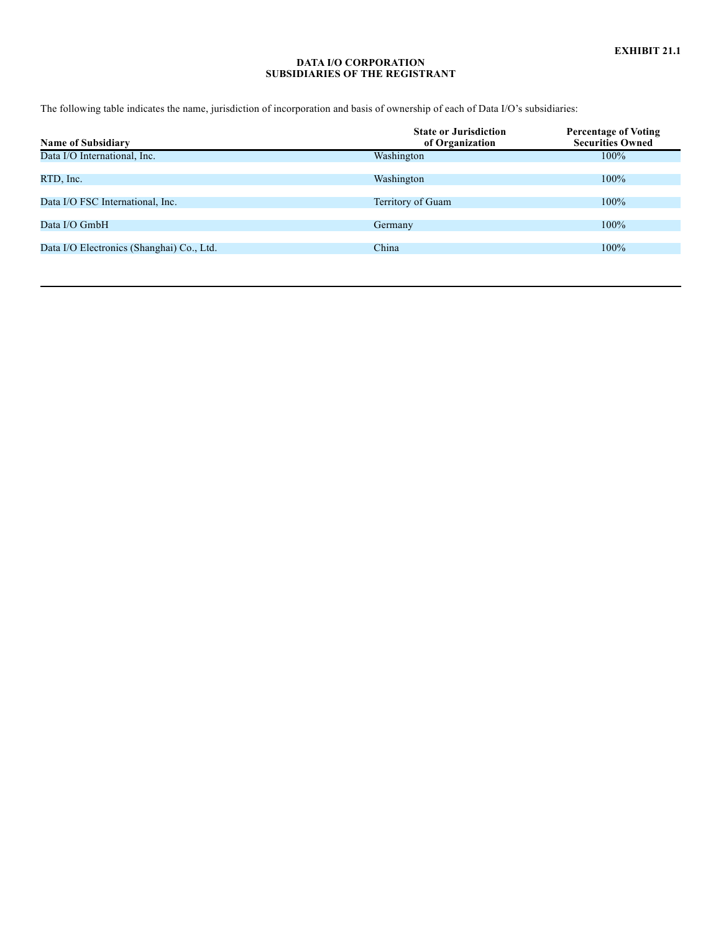### **DATA I/O CORPORATION SUBSIDIARIES OF THE REGISTRANT**

The following table indicates the name, jurisdiction of incorporation and basis of ownership of each of Data I/O's subsidiaries:

| <b>Name of Subsidiary</b>                                  | <b>State or Jurisdiction</b><br>of Organization | <b>Percentage of Voting</b><br><b>Securities Owned</b> |
|------------------------------------------------------------|-------------------------------------------------|--------------------------------------------------------|
| Data I/O International, Inc.                               | Washington                                      | $100\%$                                                |
|                                                            |                                                 |                                                        |
| RTD, Inc.                                                  | Washington                                      | 100%                                                   |
|                                                            |                                                 |                                                        |
| Data I/O FSC International, Inc.                           | Territory of Guam                               | 100%                                                   |
|                                                            |                                                 |                                                        |
|                                                            |                                                 |                                                        |
|                                                            |                                                 |                                                        |
|                                                            |                                                 |                                                        |
| Data I/O GmbH<br>Data I/O Electronics (Shanghai) Co., Ltd. | Germany<br>China                                | 100%<br>100%                                           |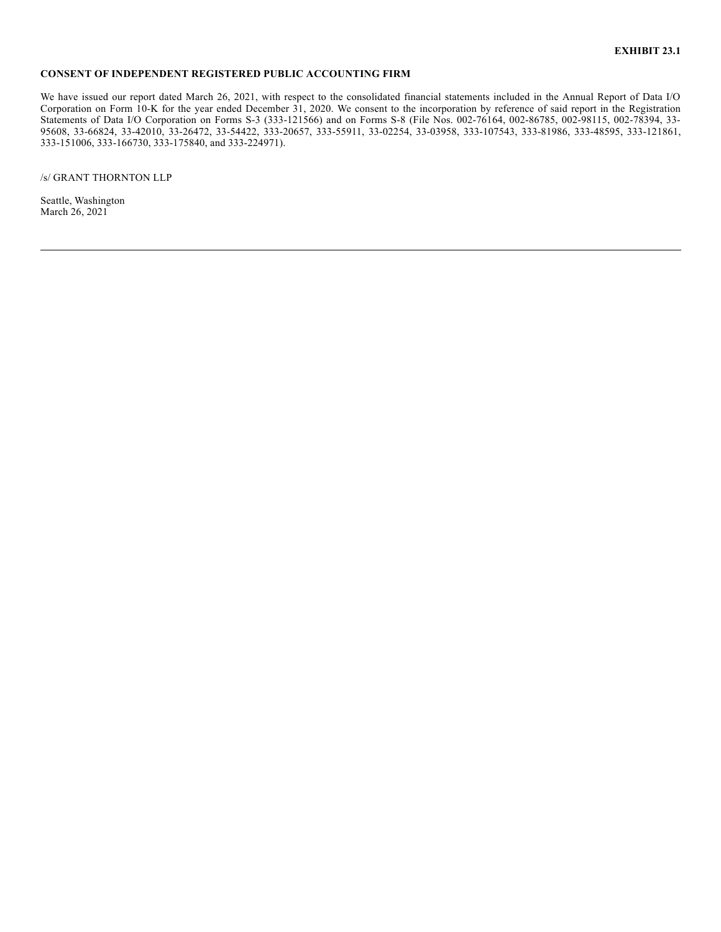## **CONSENT OF INDEPENDENT REGISTERED PUBLIC ACCOUNTING FIRM**

We have issued our report dated March 26, 2021, with respect to the consolidated financial statements included in the Annual Report of Data I/O Corporation on Form 10-K for the year ended December 31, 2020. We consent to the incorporation by reference of said report in the Registration Statements of Data I/O Corporation on Forms S-3 (333-121566) and on Forms S-8 (File Nos. 002-76164, 002-86785, 002-98115, 002-78394, 33-95608, 33-66824, 33-42010, 33-26472, 33-54422, 333-20657, 333-55911, 33-02254, 33-03958, 333-107543, 333-81986, 333-48595, 333-121861, 333-151006, 333-166730, 333-175840, and 333-224971).

/s/ GRANT THORNTON LLP

Seattle, Washington March 26, 2021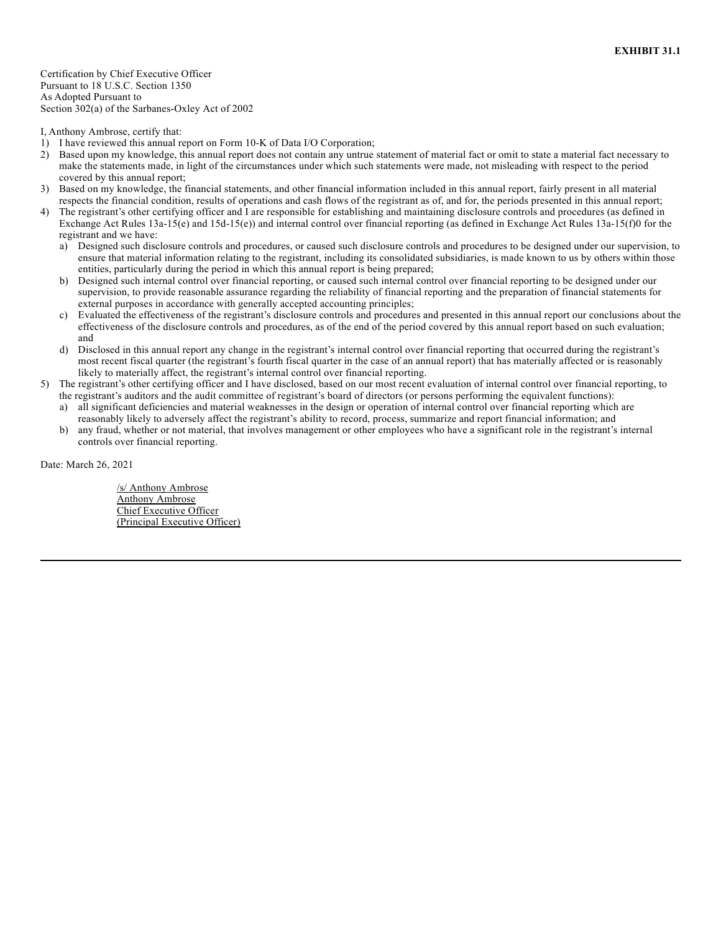Certification by Chief Executive Officer Pursuant to 18 U.S.C. Section 1350 As Adopted Pursuant to Section 302(a) of the Sarbanes-Oxley Act of 2002

I, Anthony Ambrose, certify that:

- 1) I have reviewed this annual report on Form 10-K of Data I/O Corporation;
- 2) Based upon my knowledge, this annual report does not contain any untrue statement of material fact or omit to state a material fact necessary to make the statements made, in light of the circumstances under which such statements were made, not misleading with respect to the period covered by this annual report;
- 3) Based on my knowledge, the financial statements, and other financial information included in this annual report, fairly present in all material respects the financial condition, results of operations and cash flows of the registrant as of, and for, the periods presented in this annual report;
- 4) The registrant's other certifying officer and I are responsible for establishing and maintaining disclosure controls and procedures (as defined in Exchange Act Rules 13a-15(e) and 15d-15(e)) and internal control over financial reporting (as defined in Exchange Act Rules 13a-15(f)0 for the registrant and we have:
	- a) Designed such disclosure controls and procedures, or caused such disclosure controls and procedures to be designed under our supervision, to ensure that material information relating to the registrant, including its consolidated subsidiaries, is made known to us by others within those entities, particularly during the period in which this annual report is being prepared;
	- b) Designed such internal control over financial reporting, or caused such internal control over financial reporting to be designed under our supervision, to provide reasonable assurance regarding the reliability of financial reporting and the preparation of financial statements for external purposes in accordance with generally accepted accounting principles;
	- c) Evaluated the effectiveness of the registrant's disclosure controls and procedures and presented in this annual report our conclusions about the effectiveness of the disclosure controls and procedures, as of the end of the period covered by this annual report based on such evaluation; and
	- d) Disclosed in this annual report any change in the registrant's internal control over financial reporting that occurred during the registrant's most recent fiscal quarter (the registrant's fourth fiscal quarter in the case of an annual report) that has materially affected or is reasonably likely to materially affect, the registrant's internal control over financial reporting.
- 5) The registrant's other certifying officer and I have disclosed, based on our most recent evaluation of internal control over financial reporting, to the registrant's auditors and the audit committee of registrant's board of directors (or persons performing the equivalent functions):
	- a) all significant deficiencies and material weaknesses in the design or operation of internal control over financial reporting which are reasonably likely to adversely affect the registrant's ability to record, process, summarize and report financial information; and
	- b) any fraud, whether or not material, that involves management or other employees who have a significant role in the registrant's internal controls over financial reporting.

Date: March 26, 2021

/s/ Anthony Ambrose Anthony Ambrose Chief Executive Officer (Principal Executive Officer)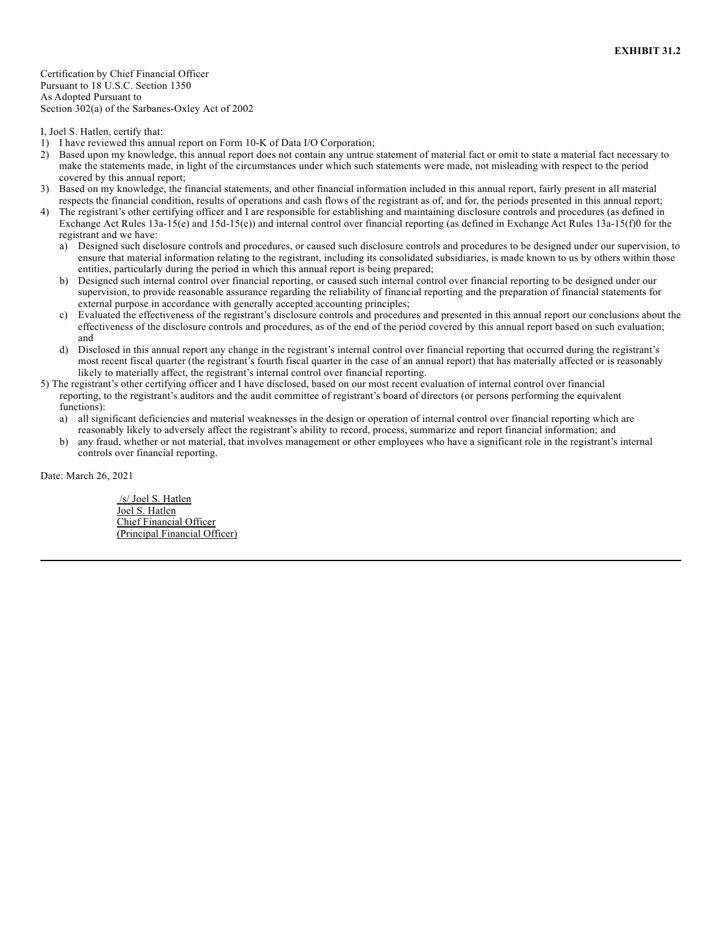Certification by Chief Financial Officer Pursuant to 18 U.S.C. Section 1350 As Adopted Pursuant to Section 302(a) of the Sarbanes-Oxley Act of 2002

I, Joel S. Hatlen, certify that:

- 1) I have reviewed this annual report on Form 10-K of Data I/O Corporation;
- 2) Based upon my knowledge, this annual report does not contain any untrue statement of material fact or omit to state a material fact necessary to make the statements made, in light of the circumstances under which such statements were made, not misleading with respect to the period covered by this annual report;
- 3) Based on my knowledge, the financial statements, and other financial information included in this annual report, fairly present in all material respects the financial condition, results of operations and cash flows of the registrant as of, and for, the periods presented in this annual report;
- 4) The registrant's other certifying officer and I are responsible for establishing and maintaining disclosure controls and procedures (as defined in Exchange Act Rules 13a-15(e) and 15d-15(e)) and internal control over financial reporting (as defined in Exchange Act Rules 13a-15(f)0 for the registrant and we have:
	- a) Designed such disclosure controls and procedures, or caused such disclosure controls and procedures to be designed under our supervision, to ensure that material information relating to the registrant, including its consolidated subsidiaries, is made known to us by others within those entities, particularly during the period in which this annual report is being prepared;
	- b) Designed such internal control over financial reporting, or caused such internal control over financial reporting to be designed under our supervision, to provide reasonable assurance regarding the reliability of financial reporting and the preparation of financial statements for external purpose in accordance with generally accepted accounting principles;
	- c) Evaluated the effectiveness of the registrant's disclosure controls and procedures and presented in this annual report our conclusions about the effectiveness of the disclosure controls and procedures, as of the end of the period covered by this annual report based on such evaluation; and
	- d) Disclosed in this annual report any change in the registrant's internal control over financial reporting that occurred during the registrant's most recent fiscal quarter (the registrant's fourth fiscal quarter in the case of an annual report) that has materially affected or is reasonably likely to materially affect, the registrant's internal control over financial reporting.
- 5) The registrant's other certifying officer and I have disclosed, based on our most recent evaluation of internal control over financial reporting, to the registrant's auditors and the audit committee of registrant's board of directors (or persons performing the equivalent functions):
	- a) all significant deficiencies and material weaknesses in the design or operation of internal control over financial reporting which are reasonably likely to adversely affect the registrant's ability to record, process, summarize and report financial information; and
	- b) any fraud, whether or not material, that involves management or other employees who have a significant role in the registrant's internal controls over financial reporting.

Date: March 26, 2021

/s/ Joel S. Hatlen Joel S. Hatlen Chief Financial Officer (Principal Financial Officer)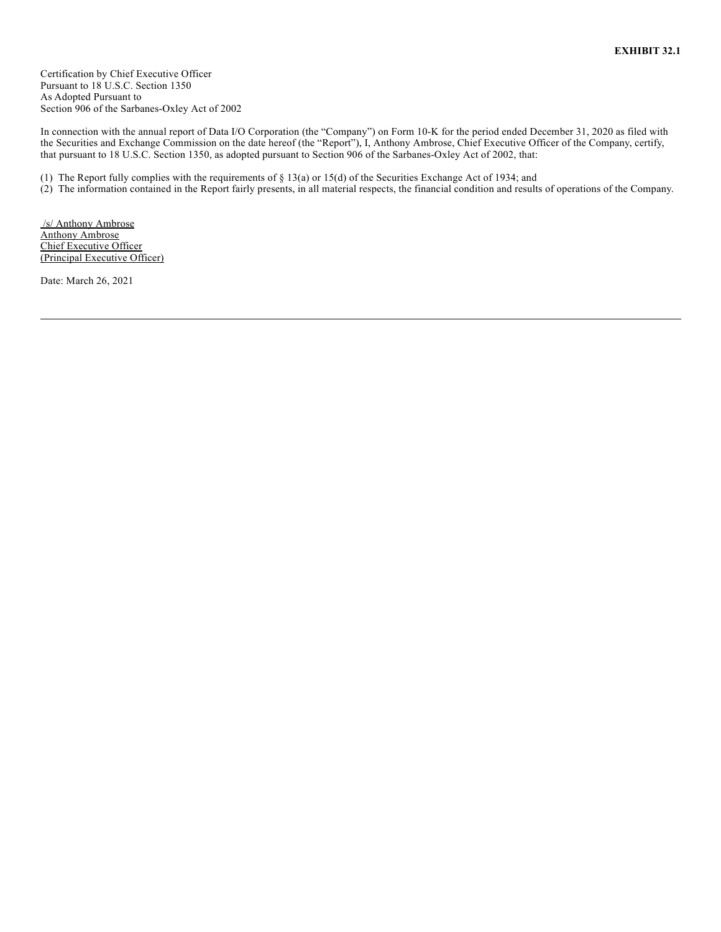Certification by Chief Executive Officer Pursuant to 18 U.S.C. Section 1350 As Adopted Pursuant to Section 906 of the Sarbanes-Oxley Act of 2002

In connection with the annual report of Data I/O Corporation (the "Company") on Form 10-K for the period ended December 31, 2020 as filed with the Securities and Exchange Commission on the date hereof (the "Report"), I, Anthony Ambrose, Chief Executive Officer of the Company, certify, that pursuant to 18 U.S.C. Section 1350, as adopted pursuant to Section 906 of the Sarbanes-Oxley Act of 2002, that:

(1) The Report fully complies with the requirements of § 13(a) or 15(d) of the Securities Exchange Act of 1934; and

(2) The information contained in the Report fairly presents, in all material respects, the financial condition and results of operations of the Company.

/s/ Anthony Ambrose Anthony Ambrose Chief Executive Officer (Principal Executive Officer)

Date: March 26, 2021